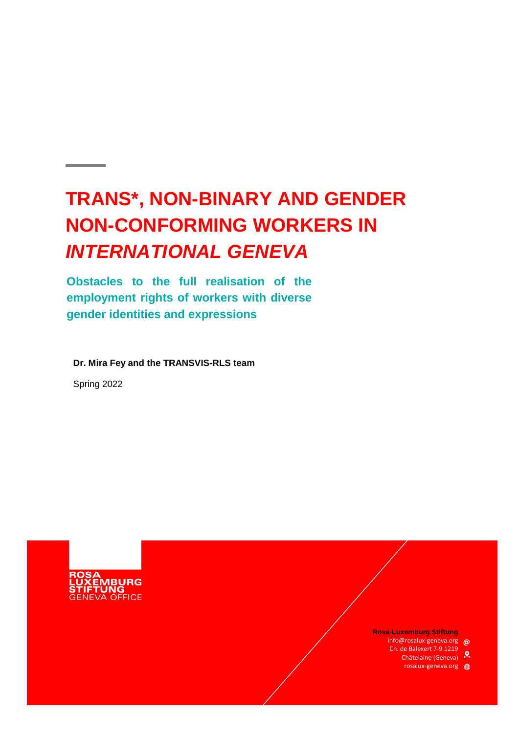# **TRANS\*, NON-BINARY AND GENDER NON-CONFORMING WORKERS IN**  *INTERNATIONAL GENEVA*

**Obstacles to the full realisation of the employment rights of workers with diverse gender identities and expressions**

**Dr. Mira Fey and the TRANSVIS-RLS team**

Spring 2022



**Rosa-Luxemburg Stiftung**

info@rosalux-geneva.org mfo@rosalux-geneva.org<br>Ch. de Balexert 7-9 1219

Châtelaine (Geneva)  $\Omega$ 

rosalux-geneva.org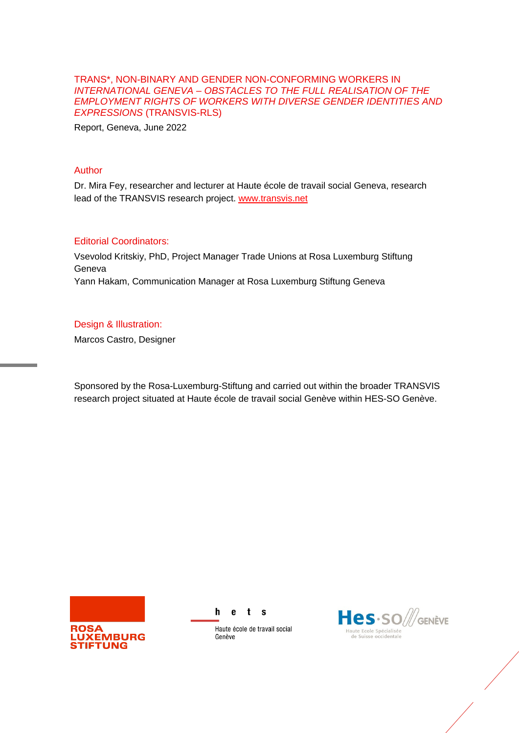#### TRANS\*, NON-BINARY AND GENDER NON-CONFORMING WORKERS IN *INTERNATIONAL GENEVA – OBSTACLES TO THE FULL REALISATION OF THE EMPLOYMENT RIGHTS OF WORKERS WITH DIVERSE GENDER IDENTITIES AND EXPRESSIONS* (TRANSVIS-RLS)

Report, Geneva, June 2022

#### Author

Dr. Mira Fey, researcher and lecturer at Haute école de travail social Geneva, research lead of the TRANSVIS research project. [www.transvis.net](http://www.transvis.net/)

#### Editorial Coordinators:

Vsevolod Kritskiy, PhD, Project Manager Trade Unions at Rosa Luxemburg Stiftung Geneva Yann Hakam, Communication Manager at Rosa Luxemburg Stiftung Geneva

#### Design & Illustration:

Marcos Castro, Designer

Sponsored by the Rosa-Luxemburg-Stiftung and carried out within the broader TRANSVIS research project situated at Haute école de travail social Genève within HES-SO Genève.



hets



Haute école de travail social Genève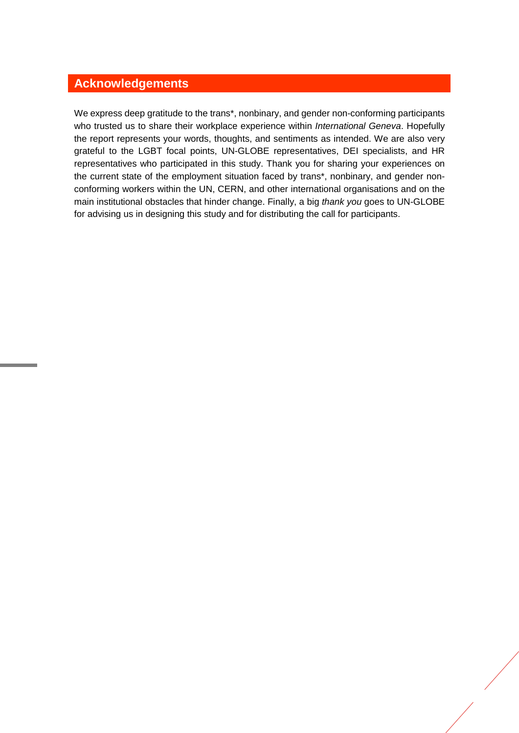## <span id="page-3-0"></span>**Acknowledgements**

We express deep gratitude to the trans\*, nonbinary, and gender non-conforming participants who trusted us to share their workplace experience within *International Geneva*. Hopefully the report represents your words, thoughts, and sentiments as intended. We are also very grateful to the LGBT focal points, UN-GLOBE representatives, DEI specialists, and HR representatives who participated in this study. Thank you for sharing your experiences on the current state of the employment situation faced by trans\*, nonbinary, and gender nonconforming workers within the UN, CERN, and other international organisations and on the main institutional obstacles that hinder change. Finally, a big *thank you* goes to UN-GLOBE for advising us in designing this study and for distributing the call for participants.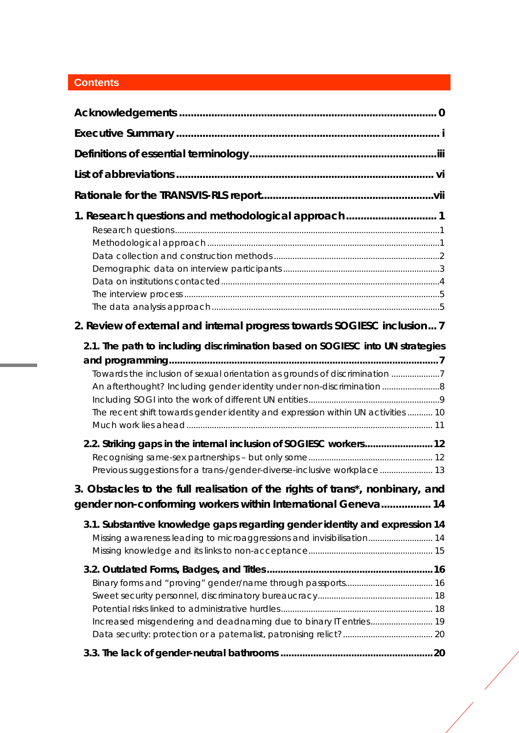## **Contents**

۰

| 1. Research questions and methodological approach 1                                                                                                                                                                                                                                                                                                                                                                                                                       |  |
|---------------------------------------------------------------------------------------------------------------------------------------------------------------------------------------------------------------------------------------------------------------------------------------------------------------------------------------------------------------------------------------------------------------------------------------------------------------------------|--|
| 2. Review of external and internal progress towards SOGIESC inclusion 7                                                                                                                                                                                                                                                                                                                                                                                                   |  |
| 2.1. The path to including discrimination based on SOGIESC into UN strategies<br>Towards the inclusion of sexual orientation as grounds of discrimination 7<br>An afterthought? Including gender identity under non-discrimination 8<br>The recent shift towards gender identity and expression within UN activities  10<br>2.2. Striking gaps in the internal inclusion of SOGIESC workers 12<br>Previous suggestions for a trans-/gender-diverse-inclusive workplace 13 |  |
| 3. Obstacles to the full realisation of the rights of trans*, nonbinary, and<br>gender non-conforming workers within International Geneva 14                                                                                                                                                                                                                                                                                                                              |  |
| 3.1. Substantive knowledge gaps regarding gender identity and expression 14<br>Missing awareness leading to microaggressions and invisibilisation 14                                                                                                                                                                                                                                                                                                                      |  |
| Increased misgendering and deadnaming due to binary IT entries 19                                                                                                                                                                                                                                                                                                                                                                                                         |  |
|                                                                                                                                                                                                                                                                                                                                                                                                                                                                           |  |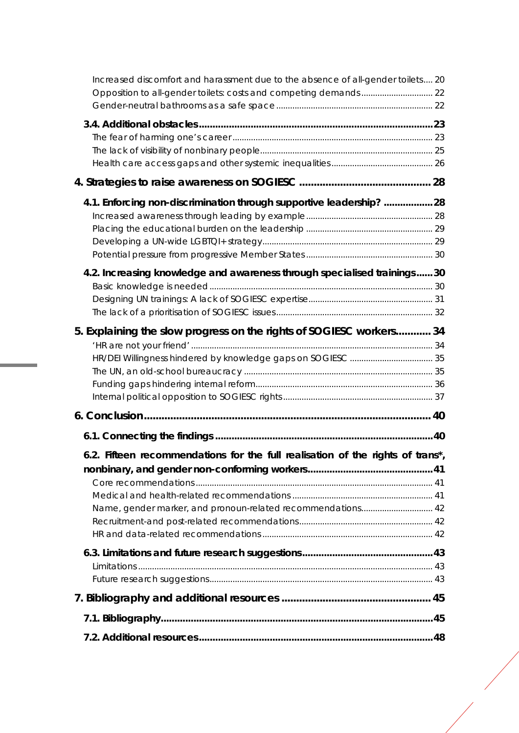| Increased discomfort and harassment due to the absence of all-gender toilets 20             |  |
|---------------------------------------------------------------------------------------------|--|
|                                                                                             |  |
|                                                                                             |  |
|                                                                                             |  |
|                                                                                             |  |
|                                                                                             |  |
|                                                                                             |  |
|                                                                                             |  |
| 4.1. Enforcing non-discrimination through supportive leadership? 28                         |  |
|                                                                                             |  |
|                                                                                             |  |
|                                                                                             |  |
|                                                                                             |  |
| 4.2. Increasing knowledge and awareness through specialised trainings30                     |  |
|                                                                                             |  |
|                                                                                             |  |
|                                                                                             |  |
| 5. Explaining the slow progress on the rights of SOGIESC workers 34                         |  |
|                                                                                             |  |
|                                                                                             |  |
|                                                                                             |  |
|                                                                                             |  |
|                                                                                             |  |
|                                                                                             |  |
|                                                                                             |  |
| 6.2. Fifteen recommendations for the full realisation of the rights of trans <sup>*</sup> , |  |
|                                                                                             |  |
|                                                                                             |  |
|                                                                                             |  |
| Name, gender marker, and pronoun-related recommendations 42                                 |  |
|                                                                                             |  |
|                                                                                             |  |
|                                                                                             |  |
|                                                                                             |  |
|                                                                                             |  |
|                                                                                             |  |
|                                                                                             |  |
|                                                                                             |  |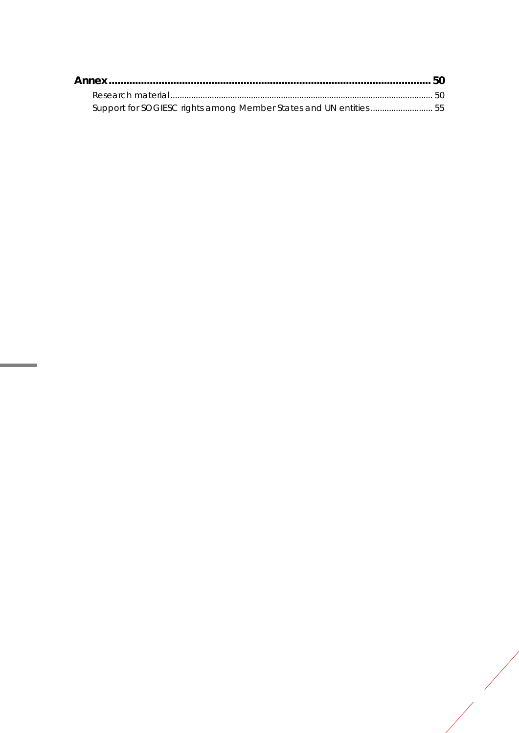| Support for SOGIESC rights among Member States and UN entities 55 |  |
|-------------------------------------------------------------------|--|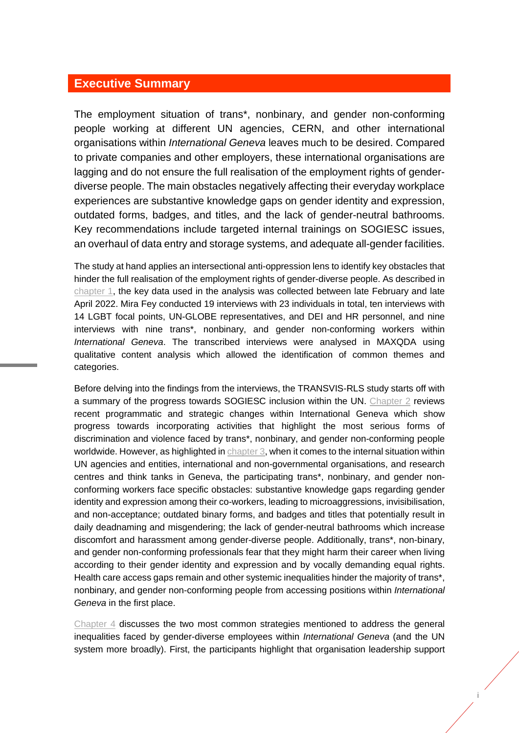## <span id="page-7-0"></span>**Executive Summary**

The employment situation of trans\*, nonbinary, and gender non-conforming people working at different UN agencies, CERN, and other international organisations within *International Geneva* leaves much to be desired. Compared to private companies and other employers, these international organisations are lagging and do not ensure the full realisation of the employment rights of genderdiverse people. The main obstacles negatively affecting their everyday workplace experiences are substantive knowledge gaps on gender identity and expression, outdated forms, badges, and titles, and the lack of gender-neutral bathrooms. Key recommendations include targeted internal trainings on SOGIESC issues, an overhaul of data entry and storage systems, and adequate all-gender facilities.

The study at hand applies an intersectional anti-oppression lens to identify key obstacles that hinder the full realisation of the employment rights of gender-diverse people. As described in [chapter 1,](#page-14-0) the key data used in the analysis was collected between late February and late April 2022. Mira Fey conducted 19 interviews with 23 individuals in total, ten interviews with 14 LGBT focal points, UN-GLOBE representatives, and DEI and HR personnel, and nine interviews with nine trans\*, nonbinary, and gender non-conforming workers within *International Geneva*. The transcribed interviews were analysed in MAXQDA using qualitative content analysis which allowed the identification of common themes and categories.

Before delving into the findings from the interviews, the TRANSVIS-RLS study starts off with a summary of the progress towards SOGIESC inclusion within the UN. [Chapter 2](#page-20-3) reviews recent programmatic and strategic changes within International Geneva which show progress towards incorporating activities that highlight the most serious forms of discrimination and violence faced by trans\*, nonbinary, and gender non-conforming people worldwide. However, as highlighted i[n chapter 3,](#page-27-0) when it comes to the internal situation within UN agencies and entities, international and non-governmental organisations, and research centres and think tanks in Geneva, the participating trans\*, nonbinary, and gender nonconforming workers face specific obstacles: substantive knowledge gaps regarding gender identity and expression among their co-workers, leading to microaggressions, invisibilisation, and non-acceptance; outdated binary forms, and badges and titles that potentially result in daily deadnaming and misgendering; the lack of gender-neutral bathrooms which increase discomfort and harassment among gender-diverse people. Additionally, trans\*, non-binary, and gender non-conforming professionals fear that they might harm their career when living according to their gender identity and expression and by vocally demanding equal rights. Health care access gaps remain and other systemic inequalities hinder the majority of trans\*, nonbinary, and gender non-conforming people from accessing positions within *International Geneva* in the first place.

[Chapter 4](#page-41-0) discusses the two most common strategies mentioned to address the general inequalities faced by gender-diverse employees within *International Geneva* (and the UN system more broadly). First, the participants highlight that organisation leadership support

i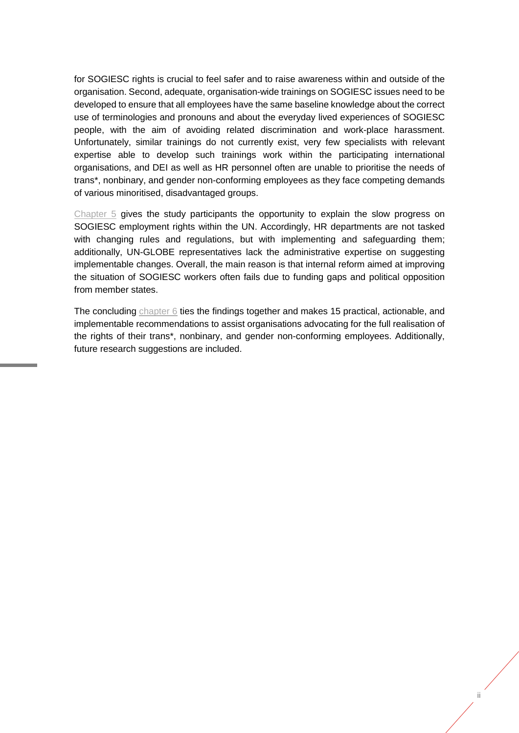for SOGIESC rights is crucial to feel safer and to raise awareness within and outside of the organisation. Second, adequate, organisation-wide trainings on SOGIESC issues need to be developed to ensure that all employees have the same baseline knowledge about the correct use of terminologies and pronouns and about the everyday lived experiences of SOGIESC people, with the aim of avoiding related discrimination and work-place harassment. Unfortunately, similar trainings do not currently exist, very few specialists with relevant expertise able to develop such trainings work within the participating international organisations, and DEI as well as HR personnel often are unable to prioritise the needs of trans\*, nonbinary, and gender non-conforming employees as they face competing demands of various minoritised, disadvantaged groups.

[Chapter 5](#page-47-0) gives the study participants the opportunity to explain the slow progress on SOGIESC employment rights within the UN. Accordingly, HR departments are not tasked with changing rules and regulations, but with implementing and safeguarding them; additionally, UN-GLOBE representatives lack the administrative expertise on suggesting implementable changes. Overall, the main reason is that internal reform aimed at improving the situation of SOGIESC workers often fails due to funding gaps and political opposition from member states.

The concluding [chapter 6](#page-53-2) ties the findings together and makes 15 practical, actionable, and implementable recommendations to assist organisations advocating for the full realisation of the rights of their trans\*, nonbinary, and gender non-conforming employees. Additionally, future research suggestions are included.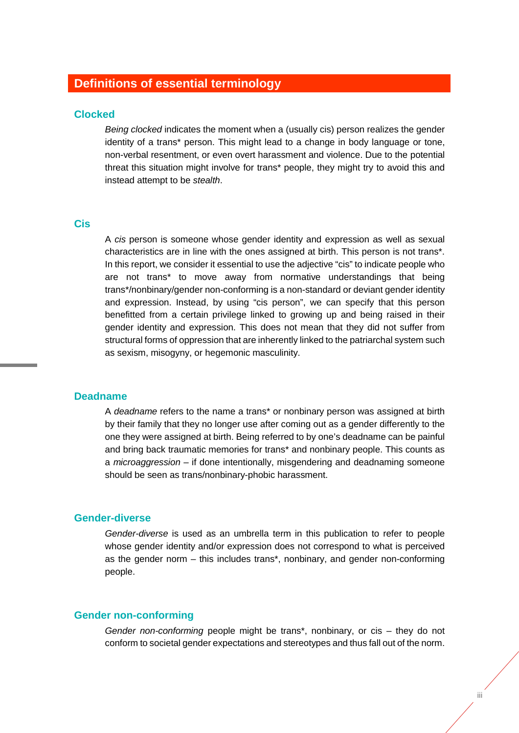## <span id="page-9-0"></span>**Definitions of essential terminology**

#### **Clocked**

*Being clocked* indicates the moment when a (usually cis) person realizes the gender identity of a trans\* person. This might lead to a change in body language or tone, non-verbal resentment, or even overt harassment and violence. Due to the potential threat this situation might involve for trans\* people, they might try to avoid this and instead attempt to be *stealth*.

#### **Cis**

A *cis* person is someone whose gender identity and expression as well as sexual characteristics are in line with the ones assigned at birth. This person is not trans\*. In this report, we consider it essential to use the adjective "cis" to indicate people who are not trans\* to move away from normative understandings that being trans\*/nonbinary/gender non-conforming is a non-standard or deviant gender identity and expression. Instead, by using "cis person", we can specify that this person benefitted from a certain privilege linked to growing up and being raised in their gender identity and expression. This does not mean that they did not suffer from structural forms of oppression that are inherently linked to the patriarchal system such as sexism, misogyny, or hegemonic masculinity.

#### **Deadname**

A *deadname* refers to the name a trans\* or nonbinary person was assigned at birth by their family that they no longer use after coming out as a gender differently to the one they were assigned at birth. Being referred to by one's deadname can be painful and bring back traumatic memories for trans\* and nonbinary people. This counts as a *microaggression* – if done intentionally, misgendering and deadnaming someone should be seen as trans/nonbinary-phobic harassment.

#### **Gender-diverse**

*Gender-diverse* is used as an umbrella term in this publication to refer to people whose gender identity and/or expression does not correspond to what is perceived as the gender norm – this includes trans\*, nonbinary, and gender non-conforming people.

#### **Gender non-conforming**

*Gender non-conforming* people might be trans\*, nonbinary, or cis – they do not conform to societal gender expectations and stereotypes and thus fall out of the norm.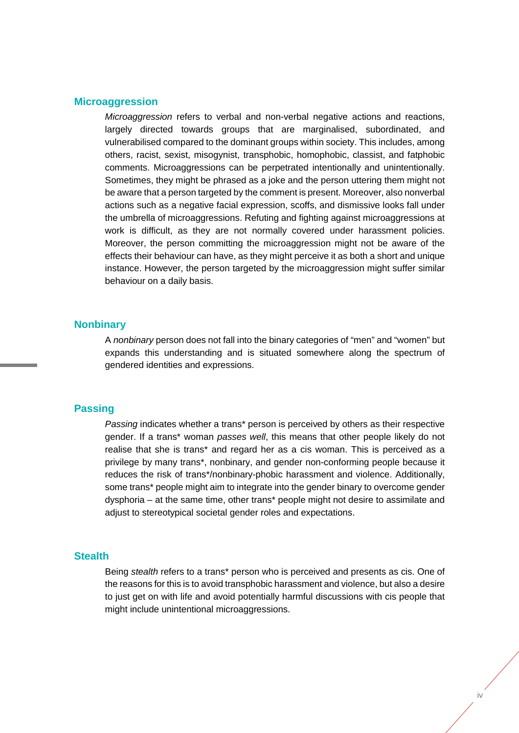#### **Microaggression**

*Microaggression* refers to verbal and non-verbal negative actions and reactions, largely directed towards groups that are marginalised, subordinated, and vulnerabilised compared to the dominant groups within society. This includes, among others, racist, sexist, misogynist, transphobic, homophobic, classist, and fatphobic comments. Microaggressions can be perpetrated intentionally and unintentionally. Sometimes, they might be phrased as a joke and the person uttering them might not be aware that a person targeted by the comment is present. Moreover, also nonverbal actions such as a negative facial expression, scoffs, and dismissive looks fall under the umbrella of microaggressions. Refuting and fighting against microaggressions at work is difficult, as they are not normally covered under harassment policies. Moreover, the person committing the microaggression might not be aware of the effects their behaviour can have, as they might perceive it as both a short and unique instance. However, the person targeted by the microaggression might suffer similar behaviour on a daily basis.

#### **Nonbinary**

A *nonbinary* person does not fall into the binary categories of "men" and "women" but expands this understanding and is situated somewhere along the spectrum of gendered identities and expressions.

#### **Passing**

*Passing* indicates whether a trans\* person is perceived by others as their respective gender. If a trans\* woman *passes well*, this means that other people likely do not realise that she is trans\* and regard her as a cis woman. This is perceived as a privilege by many trans\*, nonbinary, and gender non-conforming people because it reduces the risk of trans\*/nonbinary-phobic harassment and violence. Additionally, some trans\* people might aim to integrate into the gender binary to overcome gender dysphoria – at the same time, other trans\* people might not desire to assimilate and adjust to stereotypical societal gender roles and expectations.

#### **Stealth**

Being *stealth* refers to a trans\* person who is perceived and presents as cis. One of the reasons for this is to avoid transphobic harassment and violence, but also a desire to just get on with life and avoid potentially harmful discussions with cis people that might include unintentional microaggressions.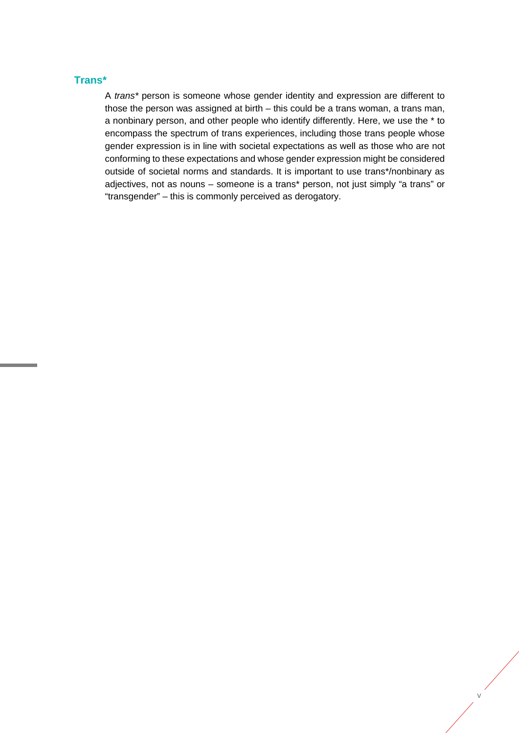#### **Trans\***

A *trans\** person is someone whose gender identity and expression are different to those the person was assigned at birth – this could be a trans woman, a trans man, a nonbinary person, and other people who identify differently. Here, we use the \* to encompass the spectrum of trans experiences, including those trans people whose gender expression is in line with societal expectations as well as those who are not conforming to these expectations and whose gender expression might be considered outside of societal norms and standards. It is important to use trans\*/nonbinary as adjectives, not as nouns – someone is a trans\* person, not just simply "a trans" or "transgender" – this is commonly perceived as derogatory.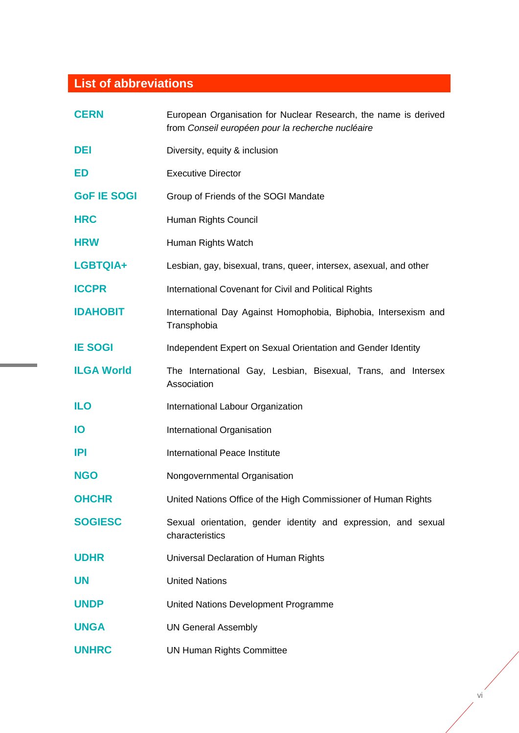## <span id="page-12-0"></span>**List of abbreviations**

| <b>CERN</b>        | European Organisation for Nuclear Research, the name is derived<br>from Conseil européen pour la recherche nucléaire |  |  |
|--------------------|----------------------------------------------------------------------------------------------------------------------|--|--|
| <b>DEI</b>         | Diversity, equity & inclusion                                                                                        |  |  |
| <b>ED</b>          | <b>Executive Director</b>                                                                                            |  |  |
| <b>GoF IE SOGI</b> | Group of Friends of the SOGI Mandate                                                                                 |  |  |
| <b>HRC</b>         | Human Rights Council                                                                                                 |  |  |
| <b>HRW</b>         | Human Rights Watch                                                                                                   |  |  |
| LGBTQIA+           | Lesbian, gay, bisexual, trans, queer, intersex, asexual, and other                                                   |  |  |
| <b>ICCPR</b>       | International Covenant for Civil and Political Rights                                                                |  |  |
| <b>IDAHOBIT</b>    | International Day Against Homophobia, Biphobia, Intersexism and<br>Transphobia                                       |  |  |
| <b>IE SOGI</b>     | Independent Expert on Sexual Orientation and Gender Identity                                                         |  |  |
| <b>ILGA World</b>  | The International Gay, Lesbian, Bisexual, Trans, and Intersex<br>Association                                         |  |  |
| <b>ILO</b>         | International Labour Organization                                                                                    |  |  |
| <b>IO</b>          | International Organisation                                                                                           |  |  |
| <b>IPI</b>         | <b>International Peace Institute</b>                                                                                 |  |  |
| <b>NGO</b>         | Nongovernmental Organisation                                                                                         |  |  |
| <b>OHCHR</b>       | United Nations Office of the High Commissioner of Human Rights                                                       |  |  |
| <b>SOGIESC</b>     | Sexual orientation, gender identity and expression, and sexual<br>characteristics                                    |  |  |
| <b>UDHR</b>        | Universal Declaration of Human Rights                                                                                |  |  |
| <b>UN</b>          | <b>United Nations</b>                                                                                                |  |  |
| <b>UNDP</b>        | United Nations Development Programme                                                                                 |  |  |
| <b>UNGA</b>        | <b>UN General Assembly</b>                                                                                           |  |  |
| <b>UNHRC</b>       | <b>UN Human Rights Committee</b>                                                                                     |  |  |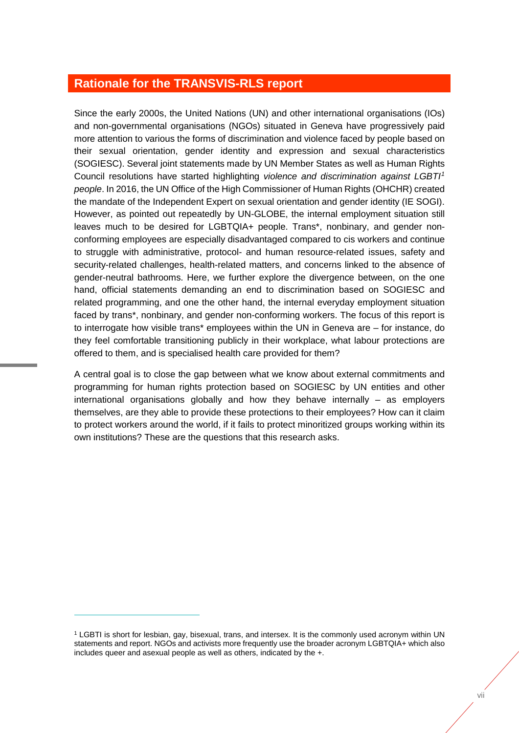## <span id="page-13-0"></span>**Rationale for the TRANSVIS-RLS report**

Since the early 2000s, the United Nations (UN) and other international organisations (IOs) and non-governmental organisations (NGOs) situated in Geneva have progressively paid more attention to various the forms of discrimination and violence faced by people based on their sexual orientation, gender identity and expression and sexual characteristics (SOGIESC). Several joint statements made by UN Member States as well as Human Rights Council resolutions have started highlighting *violence and discrimination against LGBTI[1](#page-13-1) people*. In 2016, the UN Office of the High Commissioner of Human Rights (OHCHR) created the mandate of the Independent Expert on sexual orientation and gender identity (IE SOGI). However, as pointed out repeatedly by UN-GLOBE, the internal employment situation still leaves much to be desired for LGBTQIA+ people. Trans\*, nonbinary, and gender nonconforming employees are especially disadvantaged compared to cis workers and continue to struggle with administrative, protocol- and human resource-related issues, safety and security-related challenges, health-related matters, and concerns linked to the absence of gender-neutral bathrooms. Here, we further explore the divergence between, on the one hand, official statements demanding an end to discrimination based on SOGIESC and related programming, and one the other hand, the internal everyday employment situation faced by trans\*, nonbinary, and gender non-conforming workers. The focus of this report is to interrogate how visible trans\* employees within the UN in Geneva are – for instance, do they feel comfortable transitioning publicly in their workplace, what labour protections are offered to them, and is specialised health care provided for them?

A central goal is to close the gap between what we know about external commitments and programming for human rights protection based on SOGIESC by UN entities and other international organisations globally and how they behave internally – as employers themselves, are they able to provide these protections to their employees? How can it claim to protect workers around the world, if it fails to protect minoritized groups working within its own institutions? These are the questions that this research asks.

<span id="page-13-1"></span><sup>1</sup> LGBTI is short for lesbian, gay, bisexual, trans, and intersex. It is the commonly used acronym within UN statements and report. NGOs and activists more frequently use the broader acronym LGBTQIA+ which also includes queer and asexual people as well as others, indicated by the +.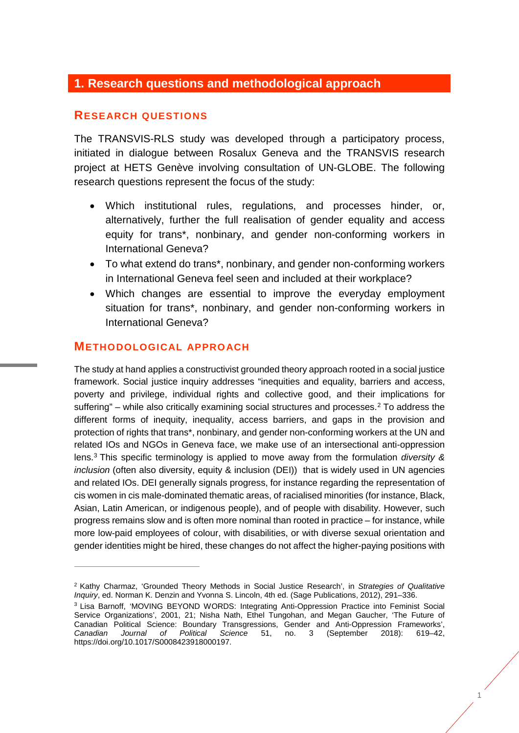## <span id="page-14-0"></span>**1. Research questions and methodological approach**

## <span id="page-14-1"></span>**RESEARCH QUESTIONS**

The TRANSVIS-RLS study was developed through a participatory process, initiated in dialogue between Rosalux Geneva and the TRANSVIS research project at HETS Genève involving consultation of UN-GLOBE. The following research questions represent the focus of the study:

- Which institutional rules, regulations, and processes hinder, or, alternatively, further the full realisation of gender equality and access equity for trans\*, nonbinary, and gender non-conforming workers in International Geneva?
- To what extend do trans\*, nonbinary, and gender non-conforming workers in International Geneva feel seen and included at their workplace?
- Which changes are essential to improve the everyday employment situation for trans\*, nonbinary, and gender non-conforming workers in International Geneva?

## <span id="page-14-2"></span>**METHODOLOGICAL APPROACH**

 $\overline{a}$ 

The study at hand applies a constructivist grounded theory approach rooted in a social justice framework. Social justice inquiry addresses "inequities and equality, barriers and access, poverty and privilege, individual rights and collective good, and their implications for suffering" – while also critically examining social structures and processes.<sup>[2](#page-14-3)</sup> To address the different forms of inequity, inequality, access barriers, and gaps in the provision and protection of rights that trans\*, nonbinary, and gender non-conforming workers at the UN and related IOs and NGOs in Geneva face, we make use of an intersectional anti-oppression lens.[3](#page-14-4) This specific terminology is applied to move away from the formulation *diversity & inclusion* (often also diversity, equity & inclusion (DEI)) that is widely used in UN agencies and related IOs. DEI generally signals progress, for instance regarding the representation of cis women in cis male-dominated thematic areas, of racialised minorities (for instance, Black, Asian, Latin American, or indigenous people), and of people with disability. However, such progress remains slow and is often more nominal than rooted in practice – for instance, while more low-paid employees of colour, with disabilities, or with diverse sexual orientation and gender identities might be hired, these changes do not affect the higher-paying positions with

<span id="page-14-3"></span><sup>2</sup> Kathy Charmaz, 'Grounded Theory Methods in Social Justice Research', in *Strategies of Qualitative Inquiry*, ed. Norman K. Denzin and Yvonna S. Lincoln, 4th ed. (Sage Publications, 2012), 291–336.

<span id="page-14-4"></span><sup>3</sup> Lisa Barnoff, 'MOVING BEYOND WORDS: Integrating Anti-Oppression Practice into Feminist Social Service Organizations', 2001, 21; Nisha Nath, Ethel Tungohan, and Megan Gaucher, 'The Future of Canadian Political Science: Boundary Transgressions, Gender and Anti-Oppression Frameworks', Canadian Journal of Political Science 51, no. 3 (September 2018): 619–42, *Caience* 51, no. 3 (September https://doi.org/10.1017/S0008423918000197.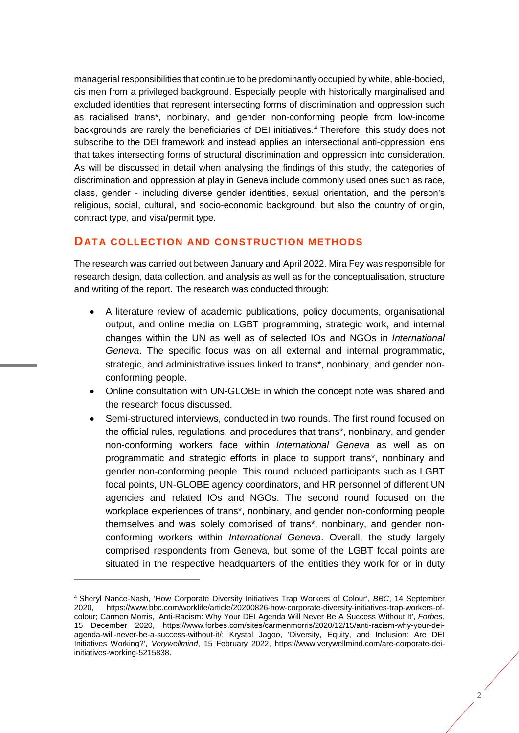managerial responsibilities that continue to be predominantly occupied by white, able-bodied, cis men from a privileged background. Especially people with historically marginalised and excluded identities that represent intersecting forms of discrimination and oppression such as racialised trans\*, nonbinary, and gender non-conforming people from low-income backgrounds are rarely the beneficiaries of DEI initiatives[.4](#page-15-1) Therefore, this study does not subscribe to the DEI framework and instead applies an intersectional anti-oppression lens that takes intersecting forms of structural discrimination and oppression into consideration. As will be discussed in detail when analysing the findings of this study, the categories of discrimination and oppression at play in Geneva include commonly used ones such as race, class, gender - including diverse gender identities, sexual orientation, and the person's religious, social, cultural, and socio-economic background, but also the country of origin, contract type, and visa/permit type.

### <span id="page-15-0"></span>**DATA COLLECTION AND CONSTRUCTION METHODS**

The research was carried out between January and April 2022. Mira Fey was responsible for research design, data collection, and analysis as well as for the conceptualisation, structure and writing of the report. The research was conducted through:

- A literature review of academic publications, policy documents, organisational output, and online media on LGBT programming, strategic work, and internal changes within the UN as well as of selected IOs and NGOs in *International Geneva*. The specific focus was on all external and internal programmatic, strategic, and administrative issues linked to trans\*, nonbinary, and gender nonconforming people.
- Online consultation with UN-GLOBE in which the concept note was shared and the research focus discussed.
- Semi-structured interviews, conducted in two rounds. The first round focused on the official rules, regulations, and procedures that trans\*, nonbinary, and gender non-conforming workers face within *International Geneva* as well as on programmatic and strategic efforts in place to support trans\*, nonbinary and gender non-conforming people. This round included participants such as LGBT focal points, UN-GLOBE agency coordinators, and HR personnel of different UN agencies and related IOs and NGOs. The second round focused on the workplace experiences of trans\*, nonbinary, and gender non-conforming people themselves and was solely comprised of trans\*, nonbinary, and gender nonconforming workers within *International Geneva*. Overall, the study largely comprised respondents from Geneva, but some of the LGBT focal points are situated in the respective headquarters of the entities they work for or in duty

<span id="page-15-1"></span><sup>4</sup> Sheryl Nance-Nash, 'How Corporate Diversity Initiatives Trap Workers of Colour', *BBC*, 14 September 2020, https://www.bbc.com/worklife/article/20200826-how-corporate-diversity-initiatives-trap-workers-ofcolour; Carmen Morris, 'Anti-Racism: Why Your DEI Agenda Will Never Be A Success Without It', *Forbes*, 15 December 2020, https://www.forbes.com/sites/carmenmorris/2020/12/15/anti-racism-why-your-deiagenda-will-never-be-a-success-without-it/; Krystal Jagoo, 'Diversity, Equity, and Inclusion: Are DEI Initiatives Working?', *Verywellmind*, 15 February 2022, https://www.verywellmind.com/are-corporate-deiinitiatives-working-5215838.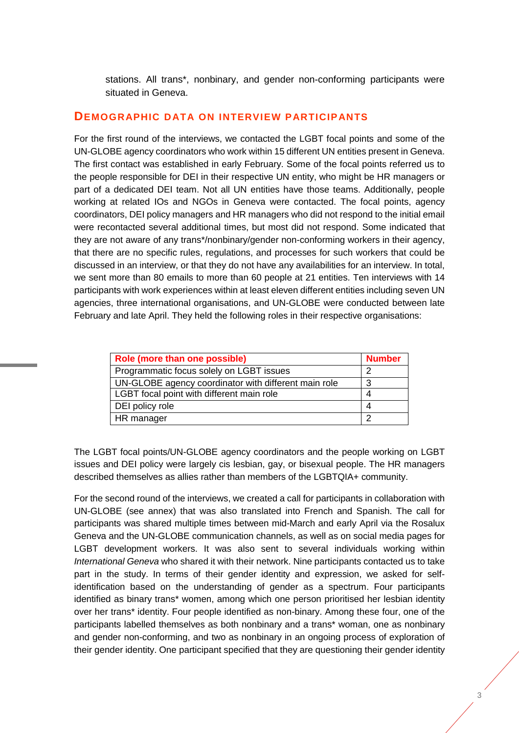stations. All trans\*, nonbinary, and gender non-conforming participants were situated in Geneva.

#### <span id="page-16-0"></span>**DEMOGRAPHIC DATA ON INTERVIEW PARTICIPANTS**

For the first round of the interviews, we contacted the LGBT focal points and some of the UN-GLOBE agency coordinators who work within 15 different UN entities present in Geneva. The first contact was established in early February. Some of the focal points referred us to the people responsible for DEI in their respective UN entity, who might be HR managers or part of a dedicated DEI team. Not all UN entities have those teams. Additionally, people working at related IOs and NGOs in Geneva were contacted. The focal points, agency coordinators, DEI policy managers and HR managers who did not respond to the initial email were recontacted several additional times, but most did not respond. Some indicated that they are not aware of any trans\*/nonbinary/gender non-conforming workers in their agency, that there are no specific rules, regulations, and processes for such workers that could be discussed in an interview, or that they do not have any availabilities for an interview. In total, we sent more than 80 emails to more than 60 people at 21 entities. Ten interviews with 14 participants with work experiences within at least eleven different entities including seven UN agencies, three international organisations, and UN-GLOBE were conducted between late February and late April. They held the following roles in their respective organisations:

| Role (more than one possible)                        | <b>Number</b> |
|------------------------------------------------------|---------------|
| Programmatic focus solely on LGBT issues             | 2             |
| UN-GLOBE agency coordinator with different main role | 3             |
| LGBT focal point with different main role            | 4             |
| DEI policy role                                      | 4             |
| HR manager                                           | າ             |

The LGBT focal points/UN-GLOBE agency coordinators and the people working on LGBT issues and DEI policy were largely cis lesbian, gay, or bisexual people. The HR managers described themselves as allies rather than members of the LGBTQIA+ community.

For the second round of the interviews, we created a call for participants in collaboration with UN-GLOBE (see annex) that was also translated into French and Spanish. The call for participants was shared multiple times between mid-March and early April via the Rosalux Geneva and the UN-GLOBE communication channels, as well as on social media pages for LGBT development workers. It was also sent to several individuals working within *International Geneva* who shared it with their network. Nine participants contacted us to take part in the study. In terms of their gender identity and expression, we asked for selfidentification based on the understanding of gender as a spectrum. Four participants identified as binary trans\* women, among which one person prioritised her lesbian identity over her trans\* identity. Four people identified as non-binary. Among these four, one of the participants labelled themselves as both nonbinary and a trans\* woman, one as nonbinary and gender non-conforming, and two as nonbinary in an ongoing process of exploration of their gender identity. One participant specified that they are questioning their gender identity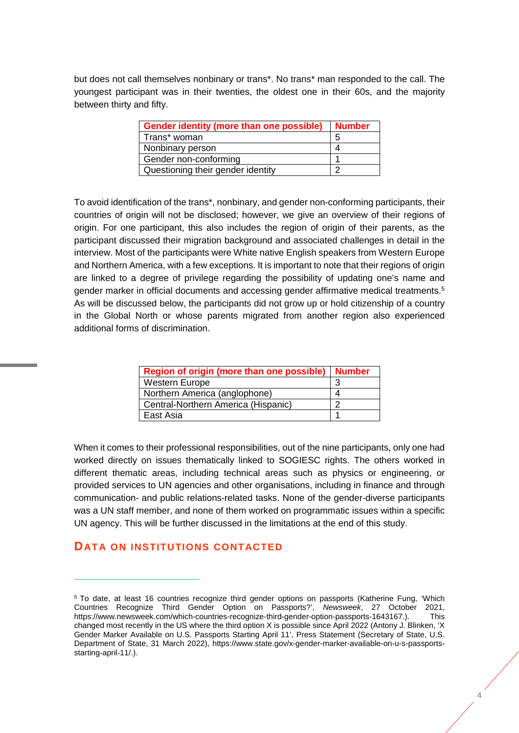but does not call themselves nonbinary or trans\*. No trans\* man responded to the call. The youngest participant was in their twenties, the oldest one in their 60s, and the majority between thirty and fifty.

| Gender identity (more than one possible) | <b>Number</b> |
|------------------------------------------|---------------|
| Trans* woman                             | 5             |
| Nonbinary person                         |               |
| Gender non-conforming                    |               |
| Questioning their gender identity        |               |

To avoid identification of the trans\*, nonbinary, and gender non-conforming participants, their countries of origin will not be disclosed; however, we give an overview of their regions of origin. For one participant, this also includes the region of origin of their parents, as the participant discussed their migration background and associated challenges in detail in the interview. Most of the participants were White native English speakers from Western Europe and Northern America, with a few exceptions. It is important to note that their regions of origin are linked to a degree of privilege regarding the possibility of updating one's name and gender marker in official documents and accessing gender affirmative medical treatments.<sup>5</sup> As will be discussed below, the participants did not grow up or hold citizenship of a country in the Global North or whose parents migrated from another region also experienced additional forms of discrimination.

| Region of origin (more than one possible) | <b>Number</b> |
|-------------------------------------------|---------------|
| <b>Western Europe</b>                     | ີ             |
| Northern America (anglophone)             |               |
| Central-Northern America (Hispanic)       | ◠             |
| East Asia                                 |               |

When it comes to their professional responsibilities, out of the nine participants, only one had worked directly on issues thematically linked to SOGIESC rights. The others worked in different thematic areas, including technical areas such as physics or engineering, or provided services to UN agencies and other organisations, including in finance and through communication- and public relations-related tasks. None of the gender-diverse participants was a UN staff member, and none of them worked on programmatic issues within a specific UN agency. This will be further discussed in the limitations at the end of this study.

#### <span id="page-17-0"></span>**DATA ON INSTITUTIONS CONTACTED**

<span id="page-17-1"></span><sup>5</sup> To date, at least 16 countries recognize third gender options on passports (Katherine Fung, 'Which Countries Recognize Third Gender Option on Passports?', *Newsweek*, 27 October 2021, https://www.newsweek.com/which-countries-recognize-third-gender-option-passports-1643167.). changed most recently in the US where the third option X is possible since April 2022 (Antony J. Blinken, 'X Gender Marker Available on U.S. Passports Starting April 11', Press Statement (Secretary of State, U.S. Department of State, 31 March 2022), https://www.state.gov/x-gender-marker-available-on-u-s-passportsstarting-april-11/.).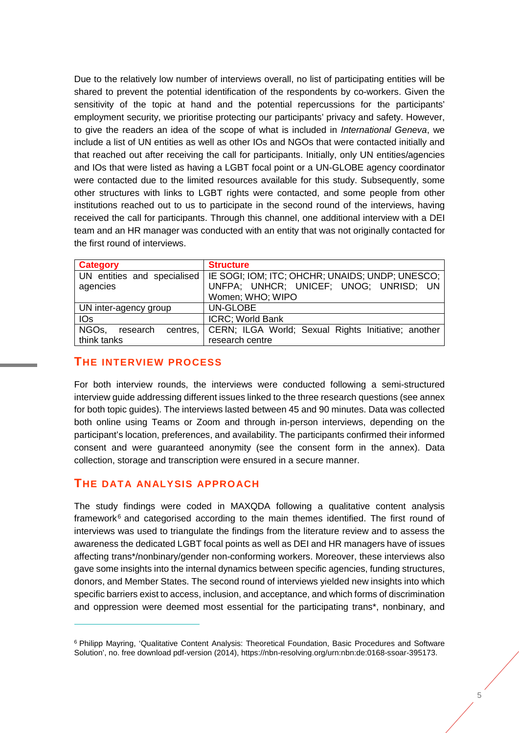Due to the relatively low number of interviews overall, no list of participating entities will be shared to prevent the potential identification of the respondents by co-workers. Given the sensitivity of the topic at hand and the potential repercussions for the participants' employment security, we prioritise protecting our participants' privacy and safety. However, to give the readers an idea of the scope of what is included in *International Geneva*, we include a list of UN entities as well as other IOs and NGOs that were contacted initially and that reached out after receiving the call for participants. Initially, only UN entities/agencies and IOs that were listed as having a LGBT focal point or a UN-GLOBE agency coordinator were contacted due to the limited resources available for this study. Subsequently, some other structures with links to LGBT rights were contacted, and some people from other institutions reached out to us to participate in the second round of the interviews, having received the call for participants. Through this channel, one additional interview with a DEI team and an HR manager was conducted with an entity that was not originally contacted for the first round of interviews.

| <b>Category</b>       | <b>Structure</b>                                                              |  |
|-----------------------|-------------------------------------------------------------------------------|--|
|                       | UN entities and specialised   IE SOGI; IOM; ITC; OHCHR; UNAIDS; UNDP; UNESCO; |  |
| agencies              | UNFPA; UNHCR; UNICEF; UNOG; UNRISD; UN                                        |  |
|                       | Women; WHO; WIPO                                                              |  |
| UN inter-agency group | <b>UN-GLOBE</b>                                                               |  |
| <b>IOs</b>            | ICRC; World Bank                                                              |  |
| NGOs, research        | centres, CERN; ILGA World; Sexual Rights Initiative; another                  |  |
| think tanks           | research centre                                                               |  |

### <span id="page-18-0"></span>**THE INTERVIEW PROCESS**

For both interview rounds, the interviews were conducted following a semi-structured interview guide addressing different issues linked to the three research questions (see annex for both topic guides). The interviews lasted between 45 and 90 minutes. Data was collected both online using Teams or Zoom and through in-person interviews, depending on the participant's location, preferences, and availability. The participants confirmed their informed consent and were guaranteed anonymity (see the consent form in the annex). Data collection, storage and transcription were ensured in a secure manner.

## <span id="page-18-1"></span>**THE DATA ANALYSIS APPROACH**

-

The study findings were coded in MAXQDA following a qualitative content analysis framework $6$  and categorised according to the main themes identified. The first round of interviews was used to triangulate the findings from the literature review and to assess the awareness the dedicated LGBT focal points as well as DEI and HR managers have of issues affecting trans\*/nonbinary/gender non-conforming workers. Moreover, these interviews also gave some insights into the internal dynamics between specific agencies, funding structures, donors, and Member States. The second round of interviews yielded new insights into which specific barriers exist to access, inclusion, and acceptance, and which forms of discrimination and oppression were deemed most essential for the participating trans\*, nonbinary, and

<span id="page-18-2"></span><sup>6</sup> Philipp Mayring, 'Qualitative Content Analysis: Theoretical Foundation, Basic Procedures and Software Solution', no. free download pdf-version (2014), https://nbn-resolving.org/urn:nbn:de:0168-ssoar-395173.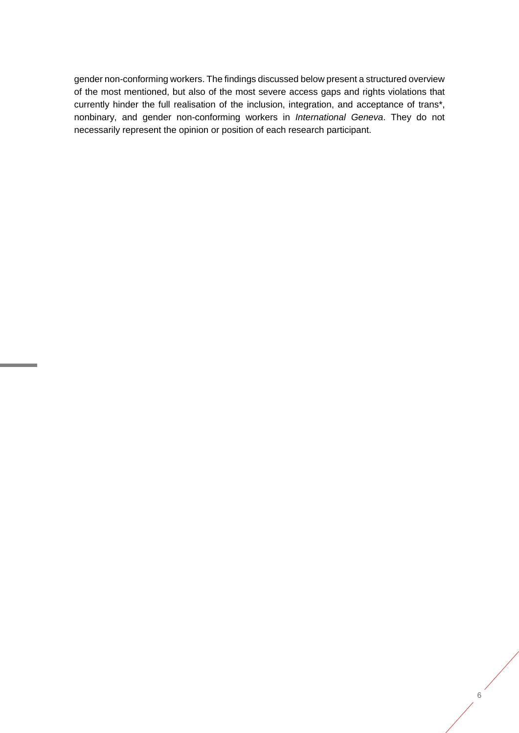gender non-conforming workers. The findings discussed below present a structured overview of the most mentioned, but also of the most severe access gaps and rights violations that currently hinder the full realisation of the inclusion, integration, and acceptance of trans\*, nonbinary, and gender non-conforming workers in *International Geneva*. They do not necessarily represent the opinion or position of each research participant.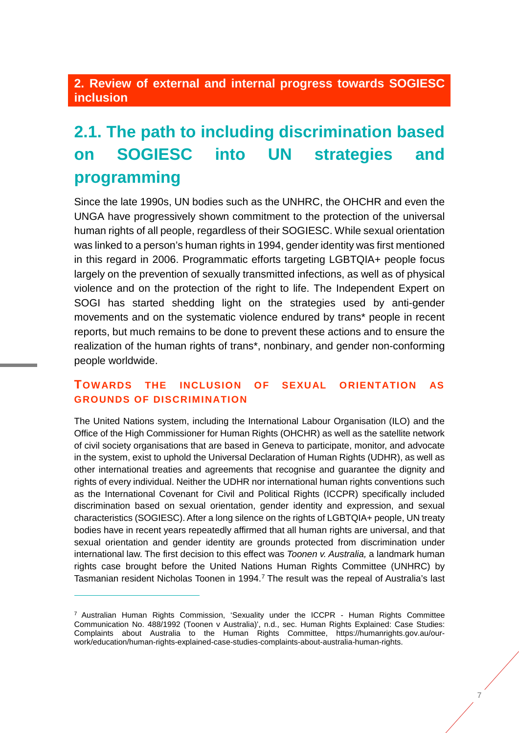## <span id="page-20-3"></span><span id="page-20-0"></span>**2. Review of external and internal progress towards SOGIESC inclusion**

# <span id="page-20-1"></span>**2.1. The path to including discrimination based on SOGIESC into UN strategies and programming**

Since the late 1990s, UN bodies such as the UNHRC, the OHCHR and even the UNGA have progressively shown commitment to the protection of the universal human rights of all people, regardless of their SOGIESC. While sexual orientation was linked to a person's human rights in 1994, gender identity was first mentioned in this regard in 2006. Programmatic efforts targeting LGBTQIA+ people focus largely on the prevention of sexually transmitted infections, as well as of physical violence and on the protection of the right to life. The Independent Expert on SOGI has started shedding light on the strategies used by anti-gender movements and on the systematic violence endured by trans\* people in recent reports, but much remains to be done to prevent these actions and to ensure the realization of the human rights of trans\*, nonbinary, and gender non-conforming people worldwide.

## <span id="page-20-2"></span>**TOWARDS THE INCLUSION OF SEXUAL ORIENTATION AS GROUNDS OF DISCRIMINATION**

The United Nations system, including the International Labour Organisation (ILO) and the Office of the High Commissioner for Human Rights (OHCHR) as well as the satellite network of civil society organisations that are based in Geneva to participate, monitor, and advocate in the system, exist to uphold the Universal Declaration of Human Rights (UDHR), as well as other international treaties and agreements that recognise and guarantee the dignity and rights of every individual. Neither the UDHR nor international human rights conventions such as the International Covenant for Civil and Political Rights (ICCPR) specifically included discrimination based on sexual orientation, gender identity and expression, and sexual characteristics (SOGIESC). After a long silence on the rights of LGBTQIA+ people, UN treaty bodies have in recent years repeatedly affirmed that all human rights are universal, and that sexual orientation and gender identity are grounds protected from discrimination under international law. The first decision to this effect was *Toonen v. Australia,* a landmark human rights case brought before the United Nations Human Rights Committee (UNHRC) by Tasmanian resident Nicholas Toonen in 1994.[7](#page-20-4) The result was the repeal of Australia's last

<span id="page-20-4"></span> $7$  Australian Human Rights Commission, 'Sexuality under the ICCPR - Human Rights Committee Communication No. 488/1992 (Toonen v Australia)', n.d., sec. Human Rights Explained: Case Studies: Complaints about Australia to the Human Rights Committee, https://humanrights.gov.au/ourwork/education/human-rights-explained-case-studies-complaints-about-australia-human-rights.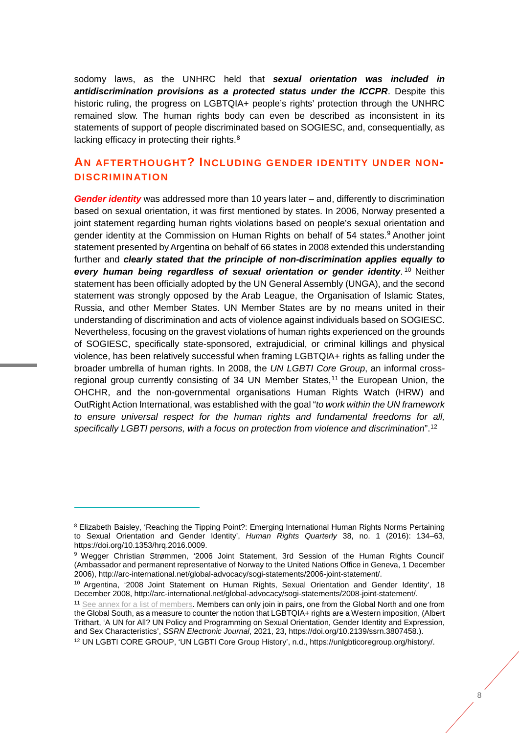sodomy laws, as the UNHRC held that *sexual orientation was included in antidiscrimination provisions as a protected status under the ICCPR*. Despite this historic ruling, the progress on LGBTQIA+ people's rights' protection through the UNHRC remained slow. The human rights body can even be described as inconsistent in its statements of support of people discriminated based on SOGIESC, and, consequentially, as lacking efficacy in protecting their rights.<sup>[8](#page-21-1)</sup>

## <span id="page-21-0"></span>**AN AFTERTHOUGHT? INCLUDING GENDER IDENTITY UNDER NON-DISCRIMINATION**

*Gender identity* was addressed more than 10 years later – and, differently to discrimination based on sexual orientation, it was first mentioned by states. In 2006, Norway presented a joint statement regarding human rights violations based on people's sexual orientation and gender identity at the Commission on Human Rights on behalf of 54 states.<sup>[9](#page-21-2)</sup> Another joint statement presented by Argentina on behalf of 66 states in 2008 extended this understanding further and *clearly stated that the principle of non-discrimination applies equally to every human being regardless of sexual orientation or gender identity*. [10](#page-21-3) Neither statement has been officially adopted by the UN General Assembly (UNGA), and the second statement was strongly opposed by the Arab League, the Organisation of Islamic States, Russia, and other Member States. UN Member States are by no means united in their understanding of discrimination and acts of violence against individuals based on SOGIESC. Nevertheless, focusing on the gravest violations of human rights experienced on the grounds of SOGIESC, specifically state-sponsored, extrajudicial, or criminal killings and physical violence, has been relatively successful when framing LGBTQIA+ rights as falling under the broader umbrella of human rights. In 2008, the *UN LGBTI Core Group*, an informal cross-regional group currently consisting of 34 UN Member States,<sup>[11](#page-21-4)</sup> the European Union, the OHCHR, and the non-governmental organisations Human Rights Watch (HRW) and OutRight Action International, was established with the goal "*to work within the UN framework to ensure universal respect for the human rights and fundamental freedoms for all, specifically LGBTI persons, with a focus on protection from violence and discrimination*".[12](#page-21-5)

<span id="page-21-1"></span><sup>&</sup>lt;sup>8</sup> Elizabeth Baisley, 'Reaching the Tipping Point?: Emerging International Human Rights Norms Pertaining to Sexual Orientation and Gender Identity', *Human Rights Quarterly* 38, no. 1 (2016): 134–63, https://doi.org/10.1353/hrq.2016.0009.

<span id="page-21-2"></span><sup>9</sup> Wegger Christian Strømmen, '2006 Joint Statement, 3rd Session of the Human Rights Council' (Ambassador and permanent representative of Norway to the United Nations Office in Geneva, 1 December 2006), http://arc-international.net/global-advocacy/sogi-statements/2006-joint-statement/.

<span id="page-21-3"></span><sup>&</sup>lt;sup>10</sup> Argentina, '2008 Joint Statement on Human Rights, Sexual Orientation and Gender Identity', 18 December 2008, http://arc-international.net/global-advocacy/sogi-statements/2008-joint-statement/.

<span id="page-21-4"></span><sup>&</sup>lt;sup>11</sup> [See annex for a list of members.](#page-68-0) Members can only join in pairs, one from the Global North and one from the Global South, as a measure to counter the notion that LGBTQIA+ rights are a Western imposition, (Albert Trithart, 'A UN for All? UN Policy and Programming on Sexual Orientation, Gender Identity and Expression, and Sex Characteristics', *SSRN Electronic Journal*, 2021, 23, https://doi.org/10.2139/ssrn.3807458.).

<span id="page-21-5"></span><sup>12</sup> UN LGBTI CORE GROUP, 'UN LGBTI Core Group History', n.d., https://unlgbticoregroup.org/history/.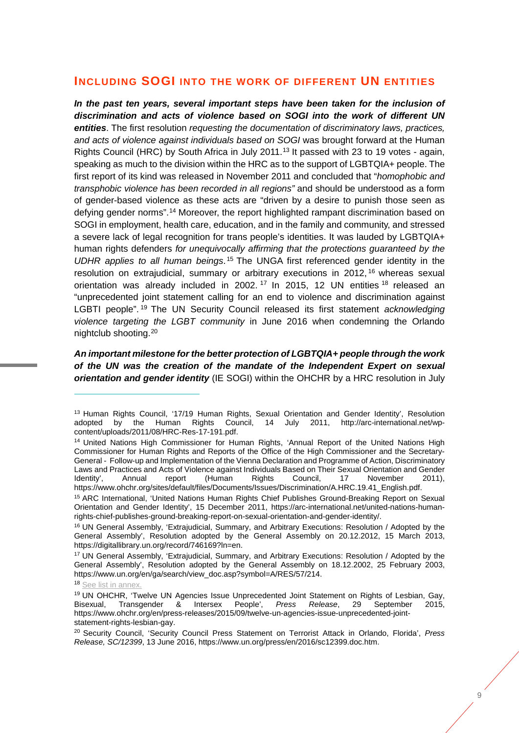## <span id="page-22-0"></span>**INCLUDING SOGI INTO THE WORK OF DIFFERENT UN ENTITIES**

In the past ten years, several important steps have been taken for the inclusion of *discrimination and acts of violence based on SOGI into the work of different UN entities*. The first resolution *requesting the documentation of discriminatory laws, practices, and acts of violence against individuals based on SOGI* was brought forward at the Human Rights Council (HRC) by South Africa in July 2011.<sup>13</sup> It passed with 23 to 19 votes - again, speaking as much to the division within the HRC as to the support of LGBTQIA+ people. The first report of its kind was released in November 2011 and concluded that "*homophobic and transphobic violence has been recorded in all regions"* and should be understood as a form of gender-based violence as these acts are "driven by a desire to punish those seen as defying gender norms".[14](#page-22-2) Moreover, the report highlighted rampant discrimination based on SOGI in employment, health care, education, and in the family and community, and stressed a severe lack of legal recognition for trans people's identities. It was lauded by LGBTQIA+ human rights defenders *for unequivocally affirming that the protections guaranteed by the UDHR applies to all human beings*. [15](#page-22-3) The UNGA first referenced gender identity in the resolution on extrajudicial, summary or arbitrary executions in 2012,<sup>[16](#page-22-4)</sup> whereas sexual orientation was already included in 2002.<sup>[17](#page-22-5)</sup> In 2015, 12 UN entities <sup>18</sup> released an "unprecedented joint statement calling for an end to violence and discrimination against LGBTI people". [19](#page-22-7) The UN Security Council released its first statement *acknowledging violence targeting the LGBT community* in June 2016 when condemning the Orlando nightclub shooting.[20](#page-22-8)

*An important milestone for the better protection of LGBTQIA+ people through the work of the UN was the creation of the mandate of the Independent Expert on sexual orientation and gender identity* (IE SOGI) within the OHCHR by a HRC resolution in July

<span id="page-22-6"></span>18 [See list in annex.](#page-68-0)

<span id="page-22-1"></span><sup>&</sup>lt;sup>13</sup> Human Rights Council, '17/19 Human Rights, Sexual Orientation and Gender Identity', Resolution<br>adopted by the Human Rights Council, 14 July 2011, http://arc-international.net/wpadopted by the Human Rights Council,  $14$  July content/uploads/2011/08/HRC-Res-17-191.pdf.

<span id="page-22-2"></span><sup>&</sup>lt;sup>14</sup> United Nations High Commissioner for Human Rights, 'Annual Report of the United Nations High Commissioner for Human Rights and Reports of the Office of the High Commissioner and the Secretary-General - Follow-up and Implementation of the Vienna Declaration and Programme of Action, Discriminatory Laws and Practices and Acts of Violence against Individuals Based on Their Sexual Orientation and Gender<br>Identity'. Manual Report (Human Rights Council, 17 November 2011), Identity', Annual report (Human Rights Council, 17 November 2011), https://www.ohchr.org/sites/default/files/Documents/Issues/Discrimination/A.HRC.19.41\_English.pdf.

<span id="page-22-3"></span><sup>15</sup> ARC International, 'United Nations Human Rights Chief Publishes Ground-Breaking Report on Sexual Orientation and Gender Identity', 15 December 2011, https://arc-international.net/united-nations-humanrights-chief-publishes-ground-breaking-report-on-sexual-orientation-and-gender-identity/.

<span id="page-22-4"></span><sup>&</sup>lt;sup>16</sup> UN General Assembly, 'Extrajudicial, Summary, and Arbitrary Executions: Resolution / Adopted by the General Assembly', Resolution adopted by the General Assembly on 20.12.2012, 15 March 2013, https://digitallibrary.un.org/record/746169?ln=en.

<span id="page-22-5"></span><sup>17</sup> UN General Assembly, 'Extrajudicial, Summary, and Arbitrary Executions: Resolution / Adopted by the General Assembly', Resolution adopted by the General Assembly on 18.12.2002, 25 February 2003, https://www.un.org/en/ga/search/view\_doc.asp?symbol=A/RES/57/214.

<span id="page-22-7"></span><sup>&</sup>lt;sup>19</sup> UN OHCHR, 'Twelve UN Agencies Issue Unprecedented Joint Statement on Rights of Lesbian, Gay,<br>Bisexual, Transgender & Intersex People', *Press Release*, 29 September 2015, Bisexual, Transgender & Intersex People', *Press Release*, 29 https://www.ohchr.org/en/press-releases/2015/09/twelve-un-agencies-issue-unprecedented-jointstatement-rights-lesbian-gay.

<span id="page-22-8"></span><sup>20</sup> Security Council, 'Security Council Press Statement on Terrorist Attack in Orlando, Florida', *Press Release, SC/12399*, 13 June 2016, https://www.un.org/press/en/2016/sc12399.doc.htm.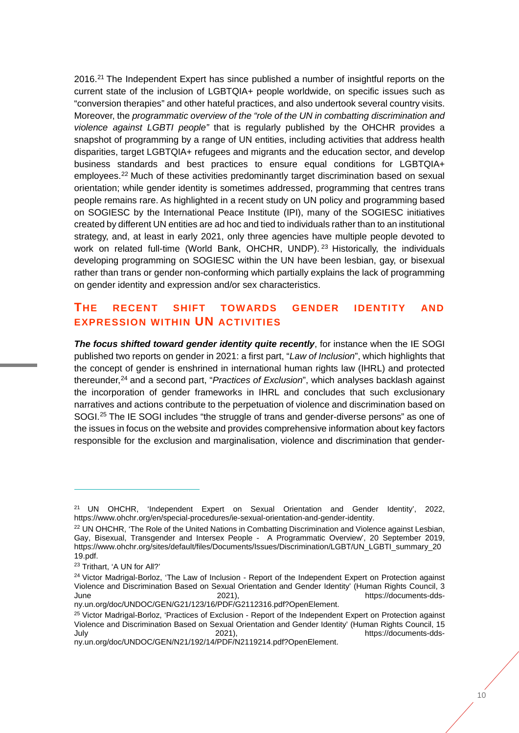2016.[21](#page-23-1) The Independent Expert has since published a number of insightful reports on the current state of the inclusion of LGBTQIA+ people worldwide, on specific issues such as "conversion therapies" and other hateful practices, and also undertook several country visits. Moreover, the *programmatic overview of the "role of the UN in combatting discrimination and violence against LGBTI people"* that is regularly published by the OHCHR provides a snapshot of programming by a range of UN entities, including activities that address health disparities, target LGBTQIA+ refugees and migrants and the education sector, and develop business standards and best practices to ensure equal conditions for LGBTQIA+ employees.<sup>[22](#page-23-2)</sup> Much of these activities predominantly target discrimination based on sexual orientation; while gender identity is sometimes addressed, programming that centres trans people remains rare. As highlighted in a recent study on UN policy and programming based on SOGIESC by the International Peace Institute (IPI), many of the SOGIESC initiatives created by different UN entities are ad hoc and tied to individuals rather than to an institutional strategy, and, at least in early 2021, only three agencies have multiple people devoted to work on related full-time (World Bank, OHCHR, UNDP).<sup>[23](#page-23-3)</sup> Historically, the individuals developing programming on SOGIESC within the UN have been lesbian, gay, or bisexual rather than trans or gender non-conforming which partially explains the lack of programming on gender identity and expression and/or sex characteristics.

## <span id="page-23-0"></span>**THE RECENT SHIFT TOWARDS GENDER IDENTITY AND EXPRESSION WITHIN UN ACTIVITIES**

*The focus shifted toward gender identity quite recently*, for instance when the IE SOGI published two reports on gender in 2021: a first part, "*Law of Inclusion*", which highlights that the concept of gender is enshrined in international human rights law (IHRL) and protected thereunder,<sup>[24](#page-23-4)</sup> and a second part, "*Practices of Exclusion*", which analyses backlash against the incorporation of gender frameworks in IHRL and concludes that such exclusionary narratives and actions contribute to the perpetuation of violence and discrimination based on SOGI.<sup>[25](#page-23-5)</sup> The IE SOGI includes "the struggle of trans and gender-diverse persons" as one of the issues in focus on the website and provides comprehensive information about key factors responsible for the exclusion and marginalisation, violence and discrimination that gender-

<span id="page-23-1"></span><sup>&</sup>lt;sup>21</sup> UN OHCHR, 'Independent Expert on Sexual Orientation and Gender Identity', 2022, https://www.ohchr.org/en/special-procedures/ie-sexual-orientation-and-gender-identity.

<span id="page-23-2"></span><sup>&</sup>lt;sup>22</sup> UN OHCHR, 'The Role of the United Nations in Combatting Discrimination and Violence against Lesbian, Gay, Bisexual, Transgender and Intersex People - A Programmatic Overview', 20 September 2019, https://www.ohchr.org/sites/default/files/Documents/Issues/Discrimination/LGBT/UN\_LGBTI\_summary\_20 19.pdf.

<span id="page-23-3"></span><sup>23</sup> Trithart, 'A UN for All?'

<span id="page-23-4"></span><sup>&</sup>lt;sup>24</sup> Victor Madrigal-Borloz, 'The Law of Inclusion - Report of the Independent Expert on Protection against Violence and Discrimination Based on Sexual Orientation and Gender Identity' (Human Rights Council, 3 June 2021), https://documents-ddsny.un.org/doc/UNDOC/GEN/G21/123/16/PDF/G2112316.pdf?OpenElement.

<span id="page-23-5"></span><sup>&</sup>lt;sup>25</sup> Victor Madrigal-Borloz, 'Practices of Exclusion - Report of the Independent Expert on Protection against Violence and Discrimination Based on Sexual Orientation and Gender Identity' (Human Rights Council, 15 https://documents-dds-

ny.un.org/doc/UNDOC/GEN/N21/192/14/PDF/N2119214.pdf?OpenElement.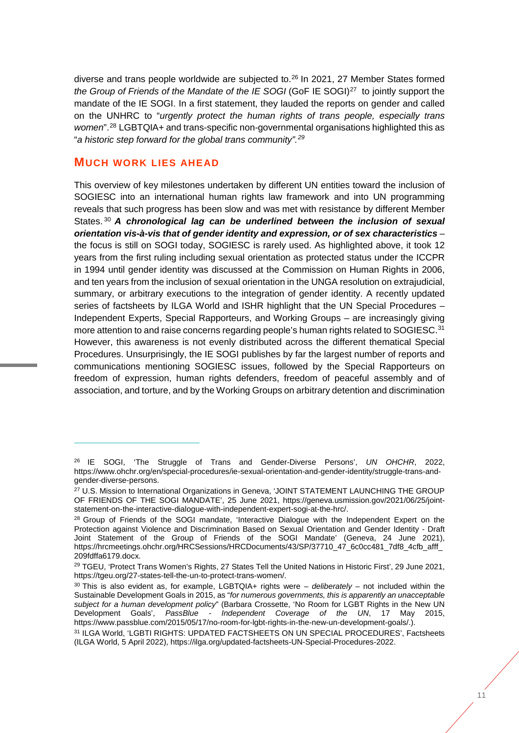diverse and trans people worldwide are subjected to.<sup>[26](#page-24-1)</sup> In 2021, 27 Member States formed *the Group of Friends of the Mandate of the IE SOGI* (GoF IE SOGI)[27](#page-24-2) to jointly support the mandate of the IE SOGI. In a first statement, they lauded the reports on gender and called on the UNHRC to "*urgently protect the human rights of trans people, especially trans women*".[28](#page-24-3) LGBTQIA+ and trans-specific non-governmental organisations highlighted this as "*a historic step forward for the global trans community".[29](#page-24-4)*

### <span id="page-24-0"></span>**MUCH WORK LIES AHEAD**

-

This overview of key milestones undertaken by different UN entities toward the inclusion of SOGIESC into an international human rights law framework and into UN programming reveals that such progress has been slow and was met with resistance by different Member States. [30](#page-24-5) *A chronological lag can be underlined between the inclusion of sexual orientation vis-à-vis that of gender identity and expression, or of sex characteristics* – the focus is still on SOGI today, SOGIESC is rarely used. As highlighted above, it took 12 years from the first ruling including sexual orientation as protected status under the ICCPR in 1994 until gender identity was discussed at the Commission on Human Rights in 2006, and ten years from the inclusion of sexual orientation in the UNGA resolution on extrajudicial, summary, or arbitrary executions to the integration of gender identity. A recently updated series of factsheets by ILGA World and ISHR highlight that the UN Special Procedures – Independent Experts, Special Rapporteurs, and Working Groups – are increasingly giving more attention to and raise concerns regarding people's human rights related to SOGIESC.<sup>[31](#page-24-6)</sup> However, this awareness is not evenly distributed across the different thematical Special Procedures. Unsurprisingly, the IE SOGI publishes by far the largest number of reports and communications mentioning SOGIESC issues, followed by the Special Rapporteurs on freedom of expression, human rights defenders, freedom of peaceful assembly and of association, and torture, and by the Working Groups on arbitrary detention and discrimination

<span id="page-24-1"></span><sup>26</sup> IE SOGI, 'The Struggle of Trans and Gender-Diverse Persons', *UN OHCHR*, 2022, https://www.ohchr.org/en/special-procedures/ie-sexual-orientation-and-gender-identity/struggle-trans-andgender-diverse-persons.

<span id="page-24-2"></span><sup>&</sup>lt;sup>27</sup> U.S. Mission to International Organizations in Geneva, 'JOINT STATEMENT LAUNCHING THE GROUP OF FRIENDS OF THE SOGI MANDATE', 25 June 2021, https://geneva.usmission.gov/2021/06/25/jointstatement-on-the-interactive-dialogue-with-independent-expert-sogi-at-the-hrc/.

<span id="page-24-3"></span><sup>&</sup>lt;sup>28</sup> Group of Friends of the SOGI mandate, 'Interactive Dialogue with the Independent Expert on the Protection against Violence and Discrimination Based on Sexual Orientation and Gender Identity - Draft Joint Statement of the Group of Friends of the SOGI Mandate' (Geneva, 24 June 2021), https://hrcmeetings.ohchr.org/HRCSessions/HRCDocuments/43/SP/37710\_47\_6c0cc481\_7df8\_4cfb\_afff\_ 209fdffa6179.docx.

<span id="page-24-4"></span><sup>&</sup>lt;sup>29</sup> TGEU, 'Protect Trans Women's Rights, 27 States Tell the United Nations in Historic First', 29 June 2021, https://tgeu.org/27-states-tell-the-un-to-protect-trans-women/.

<span id="page-24-5"></span><sup>30</sup> This is also evident as, for example, LGBTQIA+ rights were – *deliberately* – not included within the Sustainable Development Goals in 2015, as "*for numerous governments, this is apparently an unacceptable subject for a human development policy*" (Barbara Crossette, 'No Room for LGBT Rights in the New UN Development Goals', PassBlue - *Independent Coverage of the UN*, 17 May https://www.passblue.com/2015/05/17/no-room-for-lgbt-rights-in-the-new-un-development-goals/.).

<span id="page-24-6"></span><sup>31</sup> ILGA World, 'LGBTI RIGHTS: UPDATED FACTSHEETS ON UN SPECIAL PROCEDURES', Factsheets (ILGA World, 5 April 2022), https://ilga.org/updated-factsheets-UN-Special-Procedures-2022.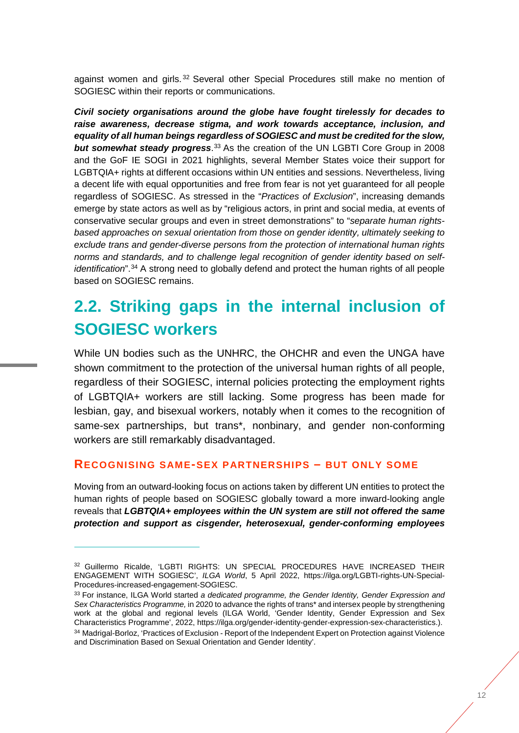against women and girls.<sup>[32](#page-25-2)</sup> Several other Special Procedures still make no mention of SOGIESC within their reports or communications.

*Civil society organisations around the globe have fought tirelessly for decades to raise awareness, decrease stigma, and work towards acceptance, inclusion, and equality of all human beings regardless of SOGIESC and must be credited for the slow,*  **but somewhat steady progress.**<sup>[33](#page-25-3)</sup> As the creation of the UN LGBTI Core Group in 2008 and the GoF IE SOGI in 2021 highlights, several Member States voice their support for LGBTQIA+ rights at different occasions within UN entities and sessions. Nevertheless, living a decent life with equal opportunities and free from fear is not yet guaranteed for all people regardless of SOGIESC. As stressed in the "*Practices of Exclusion*", increasing demands emerge by state actors as well as by "religious actors, in print and social media, at events of conservative secular groups and even in street demonstrations" to "*separate human rightsbased approaches on sexual orientation from those on gender identity, ultimately seeking to exclude trans and gender-diverse persons from the protection of international human rights norms and standards, and to challenge legal recognition of gender identity based on selfidentification*".[34](#page-25-4) A strong need to globally defend and protect the human rights of all people based on SOGIESC remains.

# <span id="page-25-0"></span>**2.2. Striking gaps in the internal inclusion of SOGIESC workers**

While UN bodies such as the UNHRC, the OHCHR and even the UNGA have shown commitment to the protection of the universal human rights of all people, regardless of their SOGIESC, internal policies protecting the employment rights of LGBTQIA+ workers are still lacking. Some progress has been made for lesbian, gay, and bisexual workers, notably when it comes to the recognition of same-sex partnerships, but trans\*, nonbinary, and gender non-conforming workers are still remarkably disadvantaged.

### <span id="page-25-1"></span>**RECOGNISING SAME-SEX PARTNERSHIPS – BUT ONLY SOME**

-

Moving from an outward-looking focus on actions taken by different UN entities to protect the human rights of people based on SOGIESC globally toward a more inward-looking angle reveals that *LGBTQIA+ employees within the UN system are still not offered the same protection and support as cisgender, heterosexual, gender-conforming employees* 

<span id="page-25-2"></span><sup>32</sup> Guillermo Ricalde, 'LGBTI RIGHTS: UN SPECIAL PROCEDURES HAVE INCREASED THEIR ENGAGEMENT WITH SOGIESC', *ILGA World*, 5 April 2022, https://ilga.org/LGBTI-rights-UN-Special-Procedures-increased-engagement-SOGIESC.

<span id="page-25-4"></span><span id="page-25-3"></span><sup>33</sup> For instance, ILGA World started *a dedicated programme, the Gender Identity, Gender Expression and Sex Characteristics Programme,* in 2020 to advance the rights of trans\* and intersex people by strengthening work at the global and regional levels (ILGA World, 'Gender Identity, Gender Expression and Sex Characteristics Programme', 2022, https://ilga.org/gender-identity-gender-expression-sex-characteristics.). <sup>34</sup> Madrigal-Borloz, 'Practices of Exclusion - Report of the Independent Expert on Protection against Violence and Discrimination Based on Sexual Orientation and Gender Identity'.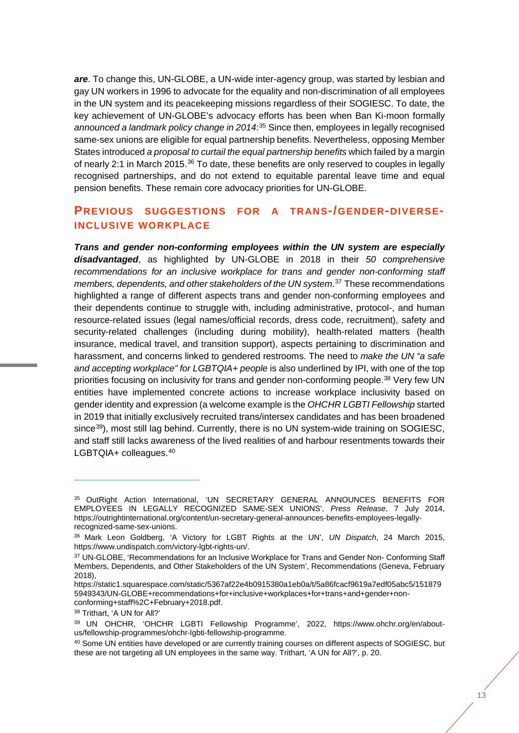*are*. To change this, UN-GLOBE, a UN-wide inter-agency group, was started by lesbian and gay UN workers in 1996 to advocate for the equality and non-discrimination of all employees in the UN system and its peacekeeping missions regardless of their SOGIESC. To date, the key achievement of UN-GLOBE's advocacy efforts has been when Ban Ki-moon formally *announced a landmark policy change in 2014*: [35](#page-26-1) Since then, employees in legally recognised same-sex unions are eligible for equal partnership benefits. Nevertheless, opposing Member States introduced *a proposal to curtail the equal partnership benefits* which failed by a margin of nearly 2:1 in March 2015.<sup>[36](#page-26-2)</sup> To date, these benefits are only reserved to couples in legally recognised partnerships, and do not extend to equitable parental leave time and equal pension benefits. These remain core advocacy priorities for UN-GLOBE.

## <span id="page-26-0"></span>**PREVIOUS SUGGESTIONS FOR A TRANS-/GENDER-DIVERSE-INCLUSIVE WORKPLACE**

*Trans and gender non-conforming employees within the UN system are especially disadvantaged*, as highlighted by UN-GLOBE in 2018 in their *50 comprehensive*  recommendations for an inclusive workplace for trans and gender non-conforming staff *members, dependents, and other stakeholders of the UN system*.[37](#page-26-3) These recommendations highlighted a range of different aspects trans and gender non-conforming employees and their dependents continue to struggle with, including administrative, protocol-, and human resource-related issues (legal names/official records, dress code, recruitment), safety and security-related challenges (including during mobility), health-related matters (health insurance, medical travel, and transition support), aspects pertaining to discrimination and harassment, and concerns linked to gendered restrooms. The need to *make the UN "a safe and accepting workplace" for LGBTQIA+ people* is also underlined by IPI, with one of the top priorities focusing on inclusivity for trans and gender non-conforming people.<sup>[38](#page-26-4)</sup> Very few UN entities have implemented concrete actions to increase workplace inclusivity based on gender identity and expression (a welcome example is the *OHCHR LGBTI Fellowship* started in 2019 that initially exclusively recruited trans/intersex candidates and has been broadened since<sup>39</sup>), most still lag behind. Currently, there is no UN system-wide training on SOGIESC, and staff still lacks awareness of the lived realities of and harbour resentments towards their LGBTQIA+ colleagues.[40](#page-26-6)

 $\overline{a}$ 

<span id="page-26-1"></span><sup>35</sup> OutRight Action International, 'UN SECRETARY GENERAL ANNOUNCES BENEFITS FOR EMPLOYEES IN LEGALLY RECOGNIZED SAME-SEX UNIONS', *Press Release*, 7 July 2014, https://outrightinternational.org/content/un-secretary-general-announces-benefits-employees-legallyrecognized-same-sex-unions.

<span id="page-26-2"></span><sup>36</sup> Mark Leon Goldberg, 'A Victory for LGBT Rights at the UN', *UN Dispatch*, 24 March 2015, https://www.undispatch.com/victory-lgbt-rights-un/.

<span id="page-26-3"></span><sup>&</sup>lt;sup>37</sup> UN-GLOBE, 'Recommendations for an Inclusive Workplace for Trans and Gender Non- Conforming Staff Members, Dependents, and Other Stakeholders of the UN System', Recommendations (Geneva, February 2018),

https://static1.squarespace.com/static/5367af22e4b0915380a1eb0a/t/5a86fcacf9619a7edf05abc5/151879 5949343/UN-GLOBE+recommendations+for+inclusive+workplaces+for+trans+and+gender+nonconforming+staff%2C+February+2018.pdf.

<span id="page-26-4"></span><sup>38</sup> Trithart, 'A UN for All?'

<span id="page-26-5"></span><sup>39</sup> UN OHCHR, 'OHCHR LGBTI Fellowship Programme', 2022, https://www.ohchr.org/en/aboutus/fellowship-programmes/ohchr-lgbti-fellowship-programme.

<span id="page-26-6"></span><sup>&</sup>lt;sup>40</sup> Some UN entities have developed or are currently training courses on different aspects of SOGIESC, but these are not targeting all UN employees in the same way. Trithart, 'A UN for All?', p. 20.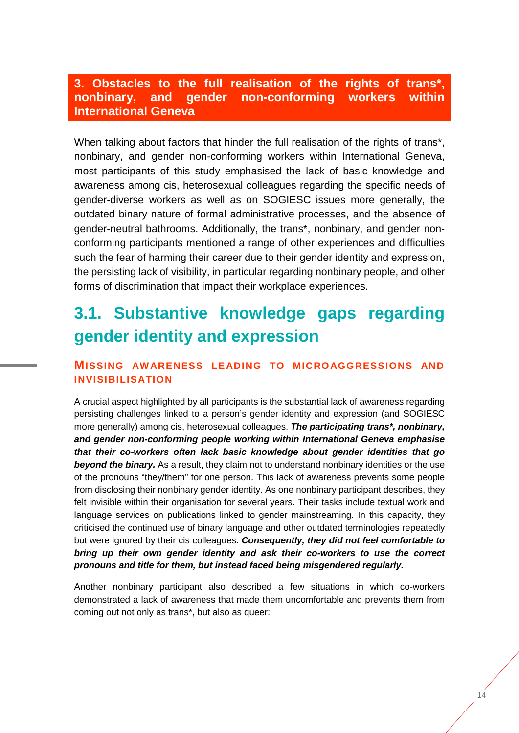## <span id="page-27-0"></span>**3. Obstacles to the full realisation of the rights of trans\*, nonbinary, and gender non-conforming workers within International Geneva**

When talking about factors that hinder the full realisation of the rights of trans\*, nonbinary, and gender non-conforming workers within International Geneva, most participants of this study emphasised the lack of basic knowledge and awareness among cis, heterosexual colleagues regarding the specific needs of gender-diverse workers as well as on SOGIESC issues more generally, the outdated binary nature of formal administrative processes, and the absence of gender-neutral bathrooms. Additionally, the trans\*, nonbinary, and gender nonconforming participants mentioned a range of other experiences and difficulties such the fear of harming their career due to their gender identity and expression, the persisting lack of visibility, in particular regarding nonbinary people, and other forms of discrimination that impact their workplace experiences.

# <span id="page-27-1"></span>**3.1. Substantive knowledge gaps regarding gender identity and expression**

## <span id="page-27-2"></span>**MISSING AWARENESS LEADING TO MICROAGGRESSIONS AND INVISIBILISATION**

A crucial aspect highlighted by all participants is the substantial lack of awareness regarding persisting challenges linked to a person's gender identity and expression (and SOGIESC more generally) among cis, heterosexual colleagues. *The participating trans\*, nonbinary, and gender non-conforming people working within International Geneva emphasise that their co-workers often lack basic knowledge about gender identities that go*  **beyond the binary.** As a result, they claim not to understand nonbinary identities or the use of the pronouns "they/them" for one person. This lack of awareness prevents some people from disclosing their nonbinary gender identity. As one nonbinary participant describes, they felt invisible within their organisation for several years. Their tasks include textual work and language services on publications linked to gender mainstreaming. In this capacity, they criticised the continued use of binary language and other outdated terminologies repeatedly but were ignored by their cis colleagues. *Consequently, they did not feel comfortable to bring up their own gender identity and ask their co-workers to use the correct pronouns and title for them, but instead faced being misgendered regularly.* 

Another nonbinary participant also described a few situations in which co-workers demonstrated a lack of awareness that made them uncomfortable and prevents them from coming out not only as trans\*, but also as queer: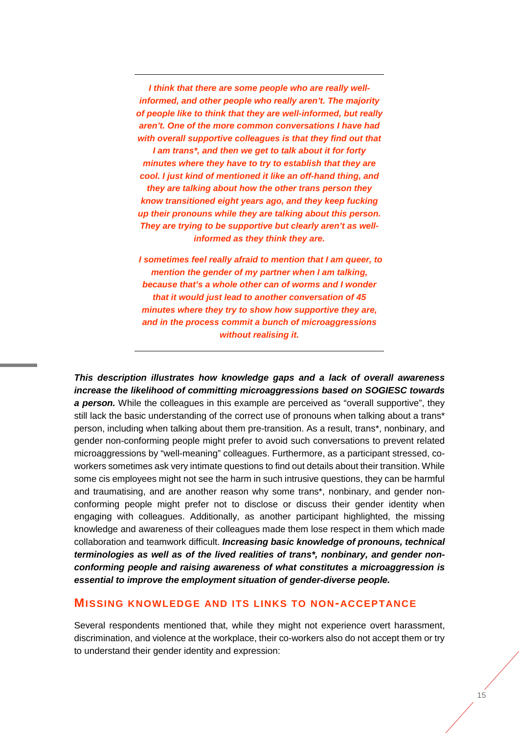*I think that there are some people who are really wellinformed, and other people who really aren't. The majority of people like to think that they are well-informed, but really aren't. One of the more common conversations I have had with overall supportive colleagues is that they find out that I am trans\*, and then we get to talk about it for forty minutes where they have to try to establish that they are cool. I just kind of mentioned it like an off-hand thing, and they are talking about how the other trans person they know transitioned eight years ago, and they keep fucking up their pronouns while they are talking about this person. They are trying to be supportive but clearly aren't as wellinformed as they think they are.*

*I sometimes feel really afraid to mention that I am queer, to mention the gender of my partner when I am talking, because that's a whole other can of worms and I wonder that it would just lead to another conversation of 45 minutes where they try to show how supportive they are, and in the process commit a bunch of microaggressions without realising it.*

*This description illustrates how knowledge gaps and a lack of overall awareness increase the likelihood of committing microaggressions based on SOGIESC towards*  **a person.** While the colleagues in this example are perceived as "overall supportive", they still lack the basic understanding of the correct use of pronouns when talking about a trans\* person, including when talking about them pre-transition. As a result, trans\*, nonbinary, and gender non-conforming people might prefer to avoid such conversations to prevent related microaggressions by "well-meaning" colleagues. Furthermore, as a participant stressed, coworkers sometimes ask very intimate questions to find out details about their transition. While some cis employees might not see the harm in such intrusive questions, they can be harmful and traumatising, and are another reason why some trans\*, nonbinary, and gender nonconforming people might prefer not to disclose or discuss their gender identity when engaging with colleagues. Additionally, as another participant highlighted, the missing knowledge and awareness of their colleagues made them lose respect in them which made collaboration and teamwork difficult. *Increasing basic knowledge of pronouns, technical terminologies as well as of the lived realities of trans\*, nonbinary, and gender nonconforming people and raising awareness of what constitutes a microaggression is essential to improve the employment situation of gender-diverse people.* 

#### <span id="page-28-0"></span>**MISSING KNOWLEDGE AND ITS LINKS TO NON-ACCEPTANCE**

Several respondents mentioned that, while they might not experience overt harassment, discrimination, and violence at the workplace, their co-workers also do not accept them or try to understand their gender identity and expression: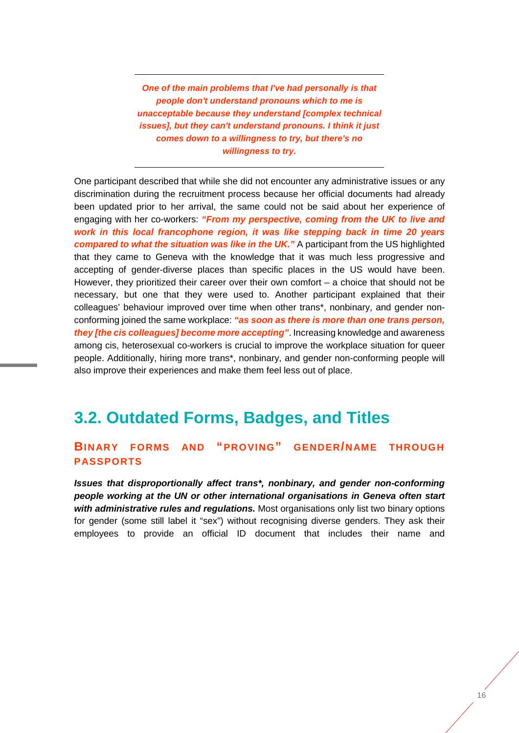*One of the main problems that I've had personally is that people don't understand pronouns which to me is unacceptable because they understand [complex technical issues], but they can't understand pronouns. I think it just comes down to a willingness to try, but there's no willingness to try.* 

One participant described that while she did not encounter any administrative issues or any discrimination during the recruitment process because her official documents had already been updated prior to her arrival, the same could not be said about her experience of engaging with her co-workers: *"From my perspective, coming from the UK to live and work in this local francophone region, it was like stepping back in time 20 years compared to what the situation was like in the UK."* A participant from the US highlighted that they came to Geneva with the knowledge that it was much less progressive and accepting of gender-diverse places than specific places in the US would have been. However, they prioritized their career over their own comfort – a choice that should not be necessary, but one that they were used to. Another participant explained that their colleagues' behaviour improved over time when other trans\*, nonbinary, and gender nonconforming joined the same workplace: *"as soon as there is more than one trans person, they [the cis colleagues] become more accepting"*. Increasing knowledge and awareness among cis, heterosexual co-workers is crucial to improve the workplace situation for queer people. Additionally, hiring more trans\*, nonbinary, and gender non-conforming people will also improve their experiences and make them feel less out of place.

## <span id="page-29-0"></span>**3.2. Outdated Forms, Badges, and Titles**

## <span id="page-29-1"></span>**BINARY FORMS AND "PROVING" GENDER/NAME THROUGH PASSPORTS**

<span id="page-29-3"></span><span id="page-29-2"></span>*Issues that disproportionally affect trans\*, nonbinary, and gender non-conforming people working at the UN or other international organisations in Geneva often start*  with administrative rules and regulations. Most organisations only list two binary options for gender (some still label it "sex") without recognising diverse genders. They ask their employees to provide an official ID document that includes their name and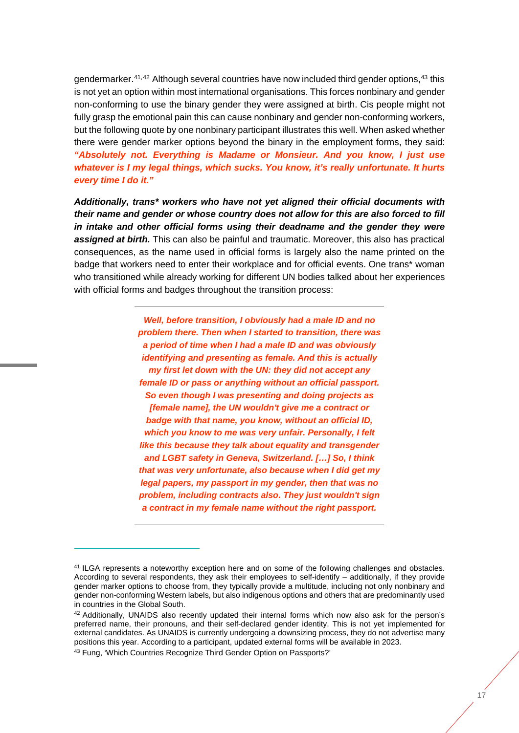gendermarker.<sup>[41,](#page-29-2)[42](#page-29-3)</sup> Although several countries have now included third gender options,<sup>[43](#page-30-0)</sup> this is not yet an option within most international organisations. This forces nonbinary and gender non-conforming to use the binary gender they were assigned at birth. Cis people might not fully grasp the emotional pain this can cause nonbinary and gender non-conforming workers, but the following quote by one nonbinary participant illustrates this well. When asked whether there were gender marker options beyond the binary in the employment forms, they said: *"Absolutely not. Everything is Madame or Monsieur. And you know, I just use whatever is I my legal things, which sucks. You know, it's really unfortunate. It hurts every time I do it."*

*Additionally, trans\* workers who have not yet aligned their official documents with their name and gender or whose country does not allow for this are also forced to fill in intake and other official forms using their deadname and the gender they were assigned at birth.* This can also be painful and traumatic. Moreover, this also has practical consequences, as the name used in official forms is largely also the name printed on the badge that workers need to enter their workplace and for official events. One trans\* woman who transitioned while already working for different UN bodies talked about her experiences with official forms and badges throughout the transition process:

> *Well, before transition, I obviously had a male ID and no problem there. Then when I started to transition, there was a period of time when I had a male ID and was obviously identifying and presenting as female. And this is actually my first let down with the UN: they did not accept any female ID or pass or anything without an official passport. So even though I was presenting and doing projects as [female name], the UN wouldn't give me a contract or badge with that name, you know, without an official ID, which you know to me was very unfair. Personally, I felt like this because they talk about equality and transgender and LGBT safety in Geneva, Switzerland. […] So, I think that was very unfortunate, also because when I did get my legal papers, my passport in my gender, then that was no problem, including contracts also. They just wouldn't sign a contract in my female name without the right passport.*

<sup>41</sup> ILGA represents a noteworthy exception here and on some of the following challenges and obstacles. According to several respondents, they ask their employees to self-identify – additionally, if they provide gender marker options to choose from, they typically provide a multitude, including not only nonbinary and gender non-conforming Western labels, but also indigenous options and others that are predominantly used in countries in the Global South.

<sup>42</sup> Additionally, UNAIDS also recently updated their internal forms which now also ask for the person's preferred name, their pronouns, and their self-declared gender identity. This is not yet implemented for external candidates. As UNAIDS is currently undergoing a downsizing process, they do not advertise many positions this year. According to a participant, updated external forms will be available in 2023.

<span id="page-30-0"></span><sup>43</sup> Fung, 'Which Countries Recognize Third Gender Option on Passports?'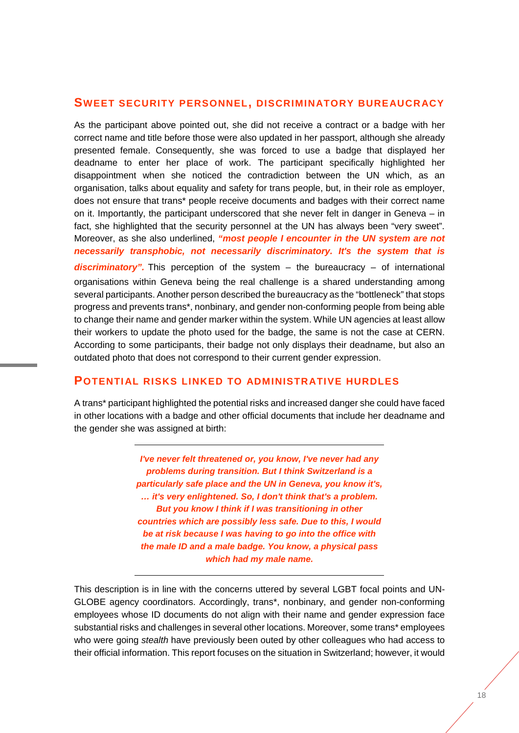#### <span id="page-31-0"></span>**SWEET SECURITY PERSONNEL, DISCRIMINATORY BUREAUCRACY**

As the participant above pointed out, she did not receive a contract or a badge with her correct name and title before those were also updated in her passport, although she already presented female. Consequently, she was forced to use a badge that displayed her deadname to enter her place of work. The participant specifically highlighted her disappointment when she noticed the contradiction between the UN which, as an organisation, talks about equality and safety for trans people, but, in their role as employer, does not ensure that trans\* people receive documents and badges with their correct name on it. Importantly, the participant underscored that she never felt in danger in Geneva – in fact, she highlighted that the security personnel at the UN has always been "very sweet". Moreover, as she also underlined, *"most people I encounter in the UN system are not necessarily transphobic, not necessarily discriminatory. It's the system that is discriminatory".* This perception of the system – the bureaucracy – of international

organisations within Geneva being the real challenge is a shared understanding among several participants. Another person described the bureaucracy as the "bottleneck" that stops progress and prevents trans\*, nonbinary, and gender non-conforming people from being able to change their name and gender marker within the system. While UN agencies at least allow their workers to update the photo used for the badge, the same is not the case at CERN. According to some participants, their badge not only displays their deadname, but also an outdated photo that does not correspond to their current gender expression.

#### <span id="page-31-1"></span>**POTENTIAL RISKS LINKED TO ADMINISTRATIVE HURDLES**

A trans\* participant highlighted the potential risks and increased danger she could have faced in other locations with a badge and other official documents that include her deadname and the gender she was assigned at birth:

> *I've never felt threatened or, you know, I've never had any problems during transition. But I think Switzerland is a particularly safe place and the UN in Geneva, you know it's, … it's very enlightened. So, I don't think that's a problem. But you know I think if I was transitioning in other countries which are possibly less safe. Due to this, I would be at risk because I was having to go into the office with the male ID and a male badge. You know, a physical pass which had my male name.*

This description is in line with the concerns uttered by several LGBT focal points and UN-GLOBE agency coordinators. Accordingly, trans\*, nonbinary, and gender non-conforming employees whose ID documents do not align with their name and gender expression face substantial risks and challenges in several other locations. Moreover, some trans\* employees who were going *stealth* have previously been outed by other colleagues who had access to their official information. This report focuses on the situation in Switzerland; however, it would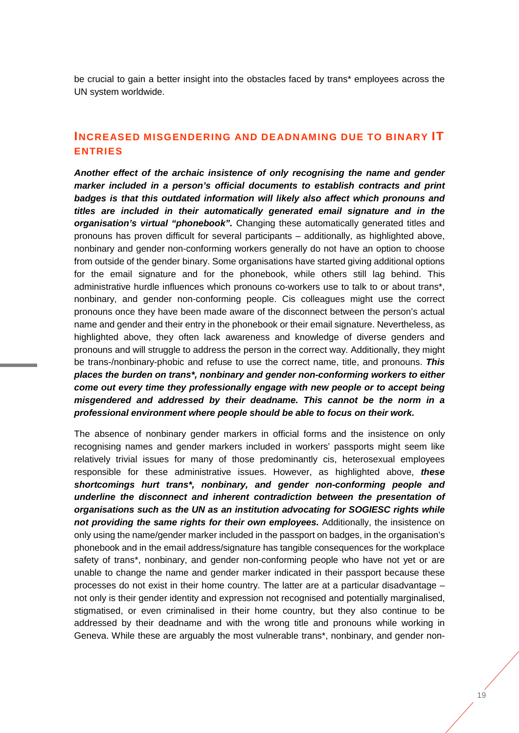be crucial to gain a better insight into the obstacles faced by trans\* employees across the UN system worldwide.

## <span id="page-32-0"></span>**INCREASED MISGENDERING AND DEADNAMING DUE TO BINARY IT ENTRIES**

*Another effect of the archaic insistence of only recognising the name and gender marker included in a person's official documents to establish contracts and print badges is that this outdated information will likely also affect which pronouns and titles are included in their automatically generated email signature and in the organisation's virtual "phonebook".* Changing these automatically generated titles and pronouns has proven difficult for several participants – additionally, as highlighted above, nonbinary and gender non-conforming workers generally do not have an option to choose from outside of the gender binary. Some organisations have started giving additional options for the email signature and for the phonebook, while others still lag behind. This administrative hurdle influences which pronouns co-workers use to talk to or about trans\*, nonbinary, and gender non-conforming people. Cis colleagues might use the correct pronouns once they have been made aware of the disconnect between the person's actual name and gender and their entry in the phonebook or their email signature. Nevertheless, as highlighted above, they often lack awareness and knowledge of diverse genders and pronouns and will struggle to address the person in the correct way. Additionally, they might be trans-/nonbinary-phobic and refuse to use the correct name, title, and pronouns. *This places the burden on trans\*, nonbinary and gender non-conforming workers to either come out every time they professionally engage with new people or to accept being misgendered and addressed by their deadname. This cannot be the norm in a professional environment where people should be able to focus on their work.*

The absence of nonbinary gender markers in official forms and the insistence on only recognising names and gender markers included in workers' passports might seem like relatively trivial issues for many of those predominantly cis, heterosexual employees responsible for these administrative issues. However, as highlighted above, *these shortcomings hurt trans\*, nonbinary, and gender non-conforming people and underline the disconnect and inherent contradiction between the presentation of organisations such as the UN as an institution advocating for SOGIESC rights while not providing the same rights for their own employees.* Additionally, the insistence on only using the name/gender marker included in the passport on badges, in the organisation's phonebook and in the email address/signature has tangible consequences for the workplace safety of trans\*, nonbinary, and gender non-conforming people who have not yet or are unable to change the name and gender marker indicated in their passport because these processes do not exist in their home country. The latter are at a particular disadvantage – not only is their gender identity and expression not recognised and potentially marginalised, stigmatised, or even criminalised in their home country, but they also continue to be addressed by their deadname and with the wrong title and pronouns while working in Geneva. While these are arguably the most vulnerable trans\*, nonbinary, and gender non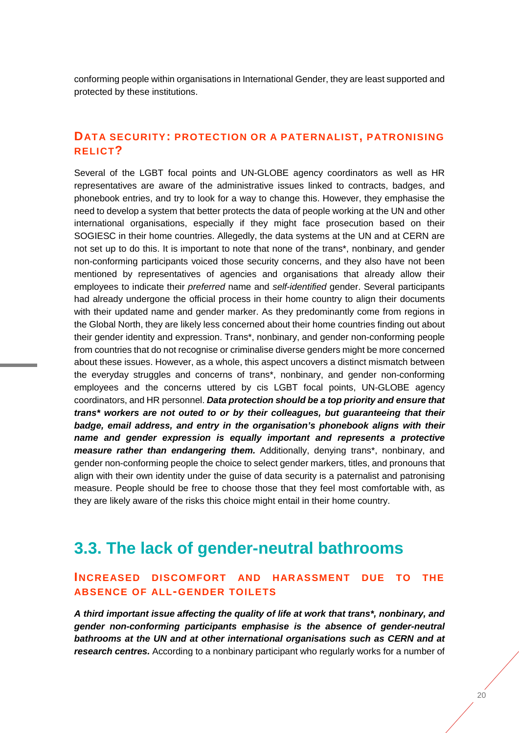conforming people within organisations in International Gender, they are least supported and protected by these institutions.

## <span id="page-33-0"></span>**DATA SECURITY: PROTECTION OR A PATERNALIST, PATRONISING RELICT?**

Several of the LGBT focal points and UN-GLOBE agency coordinators as well as HR representatives are aware of the administrative issues linked to contracts, badges, and phonebook entries, and try to look for a way to change this. However, they emphasise the need to develop a system that better protects the data of people working at the UN and other international organisations, especially if they might face prosecution based on their SOGIESC in their home countries. Allegedly, the data systems at the UN and at CERN are not set up to do this. It is important to note that none of the trans\*, nonbinary, and gender non-conforming participants voiced those security concerns, and they also have not been mentioned by representatives of agencies and organisations that already allow their employees to indicate their *preferred* name and *self-identified* gender. Several participants had already undergone the official process in their home country to align their documents with their updated name and gender marker. As they predominantly come from regions in the Global North, they are likely less concerned about their home countries finding out about their gender identity and expression. Trans\*, nonbinary, and gender non-conforming people from countries that do not recognise or criminalise diverse genders might be more concerned about these issues. However, as a whole, this aspect uncovers a distinct mismatch between the everyday struggles and concerns of trans\*, nonbinary, and gender non-conforming employees and the concerns uttered by cis LGBT focal points, UN-GLOBE agency coordinators, and HR personnel. *Data protection should be a top priority and ensure that trans\* workers are not outed to or by their colleagues, but guaranteeing that their badge, email address, and entry in the organisation's phonebook aligns with their name and gender expression is equally important and represents a protective measure rather than endangering them.* Additionally, denying trans\*, nonbinary, and gender non-conforming people the choice to select gender markers, titles, and pronouns that align with their own identity under the guise of data security is a paternalist and patronising measure. People should be free to choose those that they feel most comfortable with, as they are likely aware of the risks this choice might entail in their home country.

## <span id="page-33-1"></span>**3.3. The lack of gender-neutral bathrooms**

## <span id="page-33-2"></span>**INCREASED DISCOMFORT AND HARASSMENT DUE TO THE ABSENCE OF ALL-GENDER TOILETS**

*A third important issue affecting the quality of life at work that trans\*, nonbinary, and gender non-conforming participants emphasise is the absence of gender-neutral bathrooms at the UN and at other international organisations such as CERN and at research centres.* According to a nonbinary participant who regularly works for a number of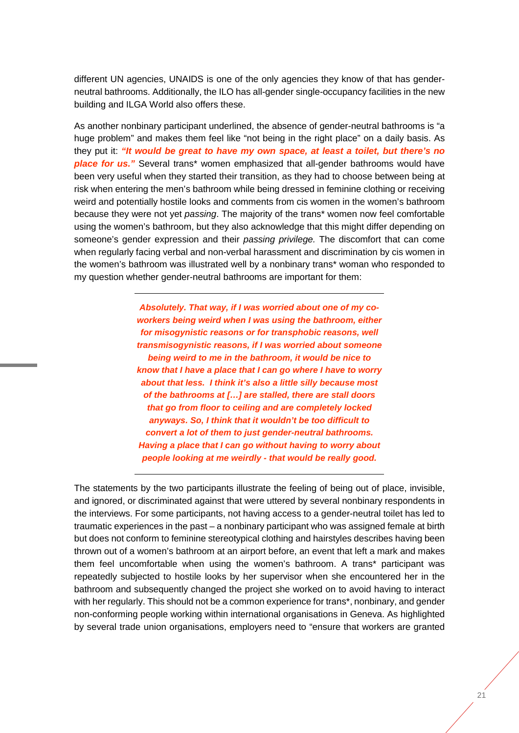different UN agencies, UNAIDS is one of the only agencies they know of that has genderneutral bathrooms. Additionally, the ILO has all-gender single-occupancy facilities in the new building and ILGA World also offers these.

As another nonbinary participant underlined, the absence of gender-neutral bathrooms is "a huge problem" and makes them feel like "not being in the right place" on a daily basis. As they put it: *"It would be great to have my own space, at least a toilet, but there's no place for us."* Several trans\* women emphasized that all-gender bathrooms would have been very useful when they started their transition, as they had to choose between being at risk when entering the men's bathroom while being dressed in feminine clothing or receiving weird and potentially hostile looks and comments from cis women in the women's bathroom because they were not yet *passing*. The majority of the trans\* women now feel comfortable using the women's bathroom, but they also acknowledge that this might differ depending on someone's gender expression and their *passing privilege.* The discomfort that can come when regularly facing verbal and non-verbal harassment and discrimination by cis women in the women's bathroom was illustrated well by a nonbinary trans\* woman who responded to my question whether gender-neutral bathrooms are important for them:

> *Absolutely. That way, if I was worried about one of my coworkers being weird when I was using the bathroom, either for misogynistic reasons or for transphobic reasons, well transmisogynistic reasons, if I was worried about someone being weird to me in the bathroom, it would be nice to know that I have a place that I can go where I have to worry about that less. I think it's also a little silly because most of the bathrooms at […] are stalled, there are stall doors that go from floor to ceiling and are completely locked anyways. So, I think that it wouldn't be too difficult to convert a lot of them to just gender-neutral bathrooms. Having a place that I can go without having to worry about people looking at me weirdly - that would be really good.*

The statements by the two participants illustrate the feeling of being out of place, invisible, and ignored, or discriminated against that were uttered by several nonbinary respondents in the interviews. For some participants, not having access to a gender-neutral toilet has led to traumatic experiences in the past – a nonbinary participant who was assigned female at birth but does not conform to feminine stereotypical clothing and hairstyles describes having been thrown out of a women's bathroom at an airport before, an event that left a mark and makes them feel uncomfortable when using the women's bathroom. A trans\* participant was repeatedly subjected to hostile looks by her supervisor when she encountered her in the bathroom and subsequently changed the project she worked on to avoid having to interact with her regularly. This should not be a common experience for trans\*, nonbinary, and gender non-conforming people working within international organisations in Geneva. As highlighted by several trade union organisations, employers need to "ensure that workers are granted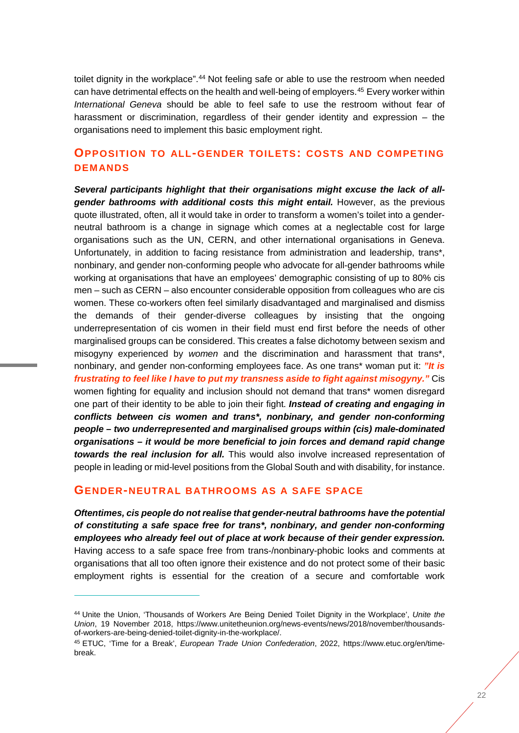toilet dignity in the workplace".<sup>[44](#page-35-2)</sup> Not feeling safe or able to use the restroom when needed can have detrimental effects on the health and well-being of employers.<sup>[45](#page-35-3)</sup> Every worker within *International Geneva* should be able to feel safe to use the restroom without fear of harassment or discrimination, regardless of their gender identity and expression – the organisations need to implement this basic employment right.

## <span id="page-35-0"></span>**OPPOSITION TO ALL-GENDER TOILETS: COSTS AND COMPETING DEMANDS**

*Several participants highlight that their organisations might excuse the lack of allgender bathrooms with additional costs this might entail.* **However, as the previous** quote illustrated, often, all it would take in order to transform a women's toilet into a genderneutral bathroom is a change in signage which comes at a neglectable cost for large organisations such as the UN, CERN, and other international organisations in Geneva. Unfortunately, in addition to facing resistance from administration and leadership, trans\*, nonbinary, and gender non-conforming people who advocate for all-gender bathrooms while working at organisations that have an employees' demographic consisting of up to 80% cis men – such as CERN – also encounter considerable opposition from colleagues who are cis women. These co-workers often feel similarly disadvantaged and marginalised and dismiss the demands of their gender-diverse colleagues by insisting that the ongoing underrepresentation of cis women in their field must end first before the needs of other marginalised groups can be considered. This creates a false dichotomy between sexism and misogyny experienced by *women* and the discrimination and harassment that trans\*, nonbinary, and gender non-conforming employees face. As one trans\* woman put it: *"It is frustrating to feel like I have to put my transness aside to fight against misogyny."* Cis women fighting for equality and inclusion should not demand that trans\* women disregard one part of their identity to be able to join their fight. *Instead of creating and engaging in conflicts between cis women and trans\*, nonbinary, and gender non-conforming people – two underrepresented and marginalised groups within (cis) male-dominated organisations – it would be more beneficial to join forces and demand rapid change towards the real inclusion for all.* This would also involve increased representation of people in leading or mid-level positions from the Global South and with disability, for instance.

#### <span id="page-35-1"></span>**GENDER-NEUTRAL BATHROOMS AS A SAFE SPACE**

-

*Oftentimes, cis people do not realise that gender-neutral bathrooms have the potential of constituting a safe space free for trans\*, nonbinary, and gender non-conforming employees who already feel out of place at work because of their gender expression.* Having access to a safe space free from trans-/nonbinary-phobic looks and comments at organisations that all too often ignore their existence and do not protect some of their basic employment rights is essential for the creation of a secure and comfortable work

<span id="page-35-2"></span><sup>44</sup> Unite the Union, 'Thousands of Workers Are Being Denied Toilet Dignity in the Workplace', *Unite the Union*, 19 November 2018, https://www.unitetheunion.org/news-events/news/2018/november/thousandsof-workers-are-being-denied-toilet-dignity-in-the-workplace/.

<span id="page-35-3"></span><sup>45</sup> ETUC, 'Time for a Break', *European Trade Union Confederation*, 2022, https://www.etuc.org/en/timebreak.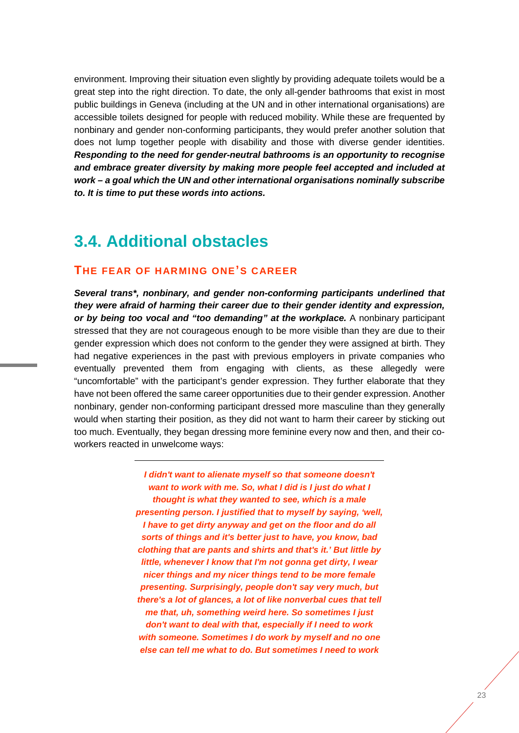environment. Improving their situation even slightly by providing adequate toilets would be a great step into the right direction. To date, the only all-gender bathrooms that exist in most public buildings in Geneva (including at the UN and in other international organisations) are accessible toilets designed for people with reduced mobility. While these are frequented by nonbinary and gender non-conforming participants, they would prefer another solution that does not lump together people with disability and those with diverse gender identities. *Responding to the need for gender-neutral bathrooms is an opportunity to recognise and embrace greater diversity by making more people feel accepted and included at work – a goal which the UN and other international organisations nominally subscribe to. It is time to put these words into actions.*

## <span id="page-36-0"></span>**3.4. Additional obstacles**

## <span id="page-36-1"></span>**THE FEAR OF HARMING ONE'S CAREER**

*Several trans\*, nonbinary, and gender non-conforming participants underlined that they were afraid of harming their career due to their gender identity and expression, or by being too vocal and "too demanding" at the workplace.* A nonbinary participant stressed that they are not courageous enough to be more visible than they are due to their gender expression which does not conform to the gender they were assigned at birth. They had negative experiences in the past with previous employers in private companies who eventually prevented them from engaging with clients, as these allegedly were "uncomfortable" with the participant's gender expression. They further elaborate that they have not been offered the same career opportunities due to their gender expression. Another nonbinary, gender non-conforming participant dressed more masculine than they generally would when starting their position, as they did not want to harm their career by sticking out too much. Eventually, they began dressing more feminine every now and then, and their coworkers reacted in unwelcome ways:

> *I didn't want to alienate myself so that someone doesn't want to work with me. So, what I did is I just do what I thought is what they wanted to see, which is a male presenting person. I justified that to myself by saying, 'well, I have to get dirty anyway and get on the floor and do all sorts of things and it's better just to have, you know, bad clothing that are pants and shirts and that's it.' But little by little, whenever I know that I'm not gonna get dirty, I wear nicer things and my nicer things tend to be more female presenting. Surprisingly, people don't say very much, but there's a lot of glances, a lot of like nonverbal cues that tell me that, uh, something weird here. So sometimes I just don't want to deal with that, especially if I need to work with someone. Sometimes I do work by myself and no one else can tell me what to do. But sometimes I need to work*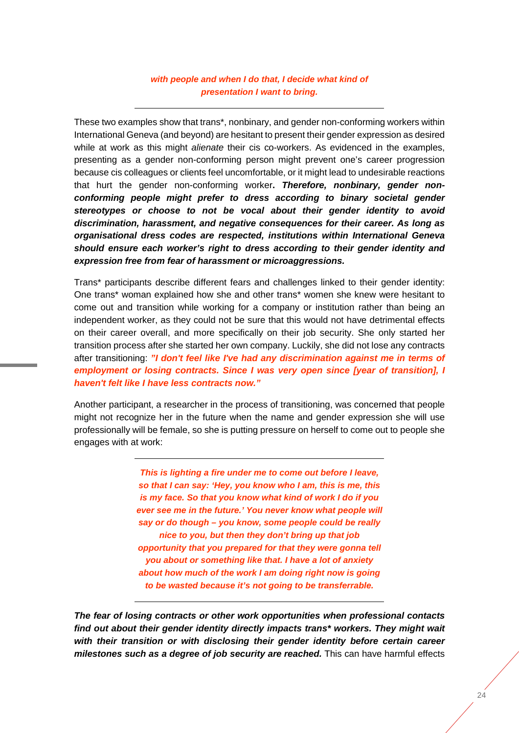#### *with people and when I do that, I decide what kind of presentation I want to bring.*

These two examples show that trans\*, nonbinary, and gender non-conforming workers within International Geneva (and beyond) are hesitant to present their gender expression as desired while at work as this might *alienate* their cis co-workers. As evidenced in the examples, presenting as a gender non-conforming person might prevent one's career progression because cis colleagues or clients feel uncomfortable, or it might lead to undesirable reactions that hurt the gender non-conforming worker**.** *Therefore, nonbinary, gender nonconforming people might prefer to dress according to binary societal gender stereotypes or choose to not be vocal about their gender identity to avoid discrimination, harassment, and negative consequences for their career. As long as organisational dress codes are respected, institutions within International Geneva should ensure each worker's right to dress according to their gender identity and expression free from fear of harassment or microaggressions.*

Trans\* participants describe different fears and challenges linked to their gender identity: One trans\* woman explained how she and other trans\* women she knew were hesitant to come out and transition while working for a company or institution rather than being an independent worker, as they could not be sure that this would not have detrimental effects on their career overall, and more specifically on their job security. She only started her transition process after she started her own company. Luckily, she did not lose any contracts after transitioning: *"I don't feel like I've had any discrimination against me in terms of employment or losing contracts. Since I was very open since [year of transition], I haven't felt like I have less contracts now."*

Another participant, a researcher in the process of transitioning, was concerned that people might not recognize her in the future when the name and gender expression she will use professionally will be female, so she is putting pressure on herself to come out to people she engages with at work:

> *This is lighting a fire under me to come out before I leave, so that I can say: 'Hey, you know who I am, this is me, this is my face. So that you know what kind of work I do if you ever see me in the future.' You never know what people will say or do though – you know, some people could be really nice to you, but then they don't bring up that job opportunity that you prepared for that they were gonna tell you about or something like that. I have a lot of anxiety about how much of the work I am doing right now is going to be wasted because it's not going to be transferrable.*

*The fear of losing contracts or other work opportunities when professional contacts find out about their gender identity directly impacts trans\* workers. They might wait with their transition or with disclosing their gender identity before certain career milestones such as a degree of job security are reached.* This can have harmful effects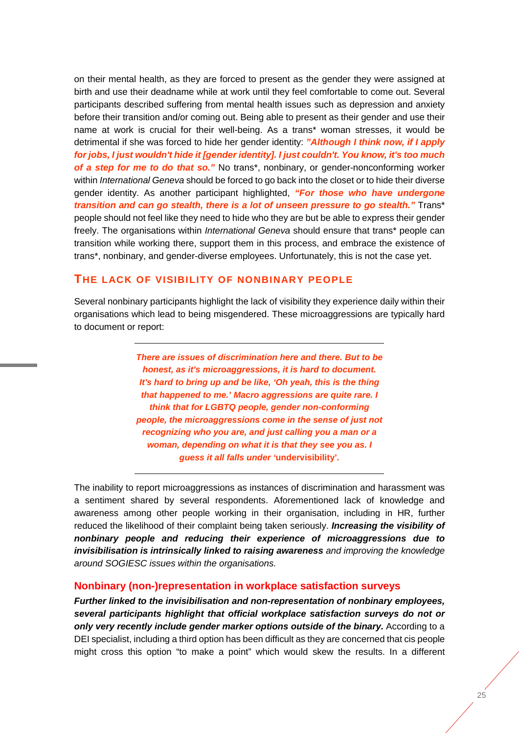on their mental health, as they are forced to present as the gender they were assigned at birth and use their deadname while at work until they feel comfortable to come out. Several participants described suffering from mental health issues such as depression and anxiety before their transition and/or coming out. Being able to present as their gender and use their name at work is crucial for their well-being. As a trans\* woman stresses, it would be detrimental if she was forced to hide her gender identity: *"Although I think now, if I apply for jobs, I just wouldn't hide it [gender identity]. I just couldn't. You know, it's too much of a step for me to do that so."* No trans\*, nonbinary, or gender-nonconforming worker within *International Geneva* should be forced to go back into the closet or to hide their diverse gender identity. As another participant highlighted, *"For those who have undergone transition and can go stealth, there is a lot of unseen pressure to go stealth.*" Trans\* people should not feel like they need to hide who they are but be able to express their gender freely. The organisations within *International Geneva* should ensure that trans\* people can transition while working there, support them in this process, and embrace the existence of trans\*, nonbinary, and gender-diverse employees. Unfortunately, this is not the case yet.

#### <span id="page-38-0"></span>**THE LACK OF VISIBILITY OF NONBINARY PEOPLE**

Several nonbinary participants highlight the lack of visibility they experience daily within their organisations which lead to being misgendered. These microaggressions are typically hard to document or report:

> *There are issues of discrimination here and there. But to be honest, as it's microaggressions, it is hard to document. It's hard to bring up and be like, 'Oh yeah, this is the thing that happened to me.' Macro aggressions are quite rare. I think that for LGBTQ people, gender non-conforming people, the microaggressions come in the sense of just not recognizing who you are, and just calling you a man or a woman, depending on what it is that they see you as. I guess it all falls under '***undervisibility'***.*

The inability to report microaggressions as instances of discrimination and harassment was a sentiment shared by several respondents. Aforementioned lack of knowledge and awareness among other people working in their organisation, including in HR, further reduced the likelihood of their complaint being taken seriously. *Increasing the visibility of nonbinary people and reducing their experience of microaggressions due to invisibilisation is intrinsically linked to raising awareness and improving the knowledge around SOGIESC issues within the organisations.* 

#### **Nonbinary (non-)representation in workplace satisfaction surveys**

*Further linked to the invisibilisation and non-representation of nonbinary employees, several participants highlight that official workplace satisfaction surveys do not or only very recently include gender marker options outside of the binary.* According to a DEI specialist, including a third option has been difficult as they are concerned that cis people might cross this option "to make a point" which would skew the results. In a different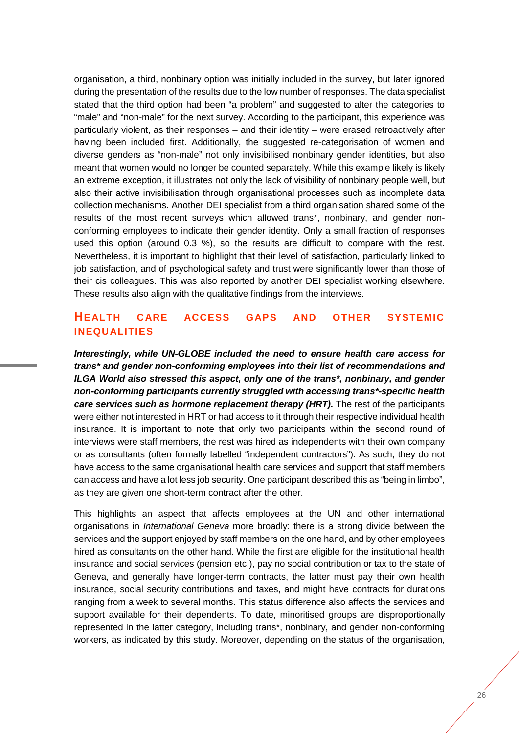organisation, a third, nonbinary option was initially included in the survey, but later ignored during the presentation of the results due to the low number of responses. The data specialist stated that the third option had been "a problem" and suggested to alter the categories to "male" and "non-male" for the next survey. According to the participant, this experience was particularly violent, as their responses – and their identity – were erased retroactively after having been included first. Additionally, the suggested re-categorisation of women and diverse genders as "non-male" not only invisibilised nonbinary gender identities, but also meant that women would no longer be counted separately. While this example likely is likely an extreme exception, it illustrates not only the lack of visibility of nonbinary people well, but also their active invisibilisation through organisational processes such as incomplete data collection mechanisms. Another DEI specialist from a third organisation shared some of the results of the most recent surveys which allowed trans\*, nonbinary, and gender nonconforming employees to indicate their gender identity. Only a small fraction of responses used this option (around 0.3 %), so the results are difficult to compare with the rest. Nevertheless, it is important to highlight that their level of satisfaction, particularly linked to job satisfaction, and of psychological safety and trust were significantly lower than those of their cis colleagues. This was also reported by another DEI specialist working elsewhere. These results also align with the qualitative findings from the interviews.

### <span id="page-39-0"></span>**HEALTH CARE ACCESS GAPS AND OTHER SYSTEMIC INEQUALITIES**

*Interestingly, while UN-GLOBE included the need to ensure health care access for trans\* and gender non-conforming employees into their list of recommendations and ILGA World also stressed this aspect, only one of the trans\*, nonbinary, and gender non-conforming participants currently struggled with accessing trans\*-specific health care services such as hormone replacement therapy (HRT).* The rest of the participants were either not interested in HRT or had access to it through their respective individual health insurance. It is important to note that only two participants within the second round of interviews were staff members, the rest was hired as independents with their own company or as consultants (often formally labelled "independent contractors"). As such, they do not have access to the same organisational health care services and support that staff members can access and have a lot less job security. One participant described this as "being in limbo", as they are given one short-term contract after the other.

This highlights an aspect that affects employees at the UN and other international organisations in *International Geneva* more broadly: there is a strong divide between the services and the support enjoyed by staff members on the one hand, and by other employees hired as consultants on the other hand. While the first are eligible for the institutional health insurance and social services (pension etc.), pay no social contribution or tax to the state of Geneva, and generally have longer-term contracts, the latter must pay their own health insurance, social security contributions and taxes, and might have contracts for durations ranging from a week to several months. This status difference also affects the services and support available for their dependents. To date, minoritised groups are disproportionally represented in the latter category, including trans\*, nonbinary, and gender non-conforming workers, as indicated by this study. Moreover, depending on the status of the organisation,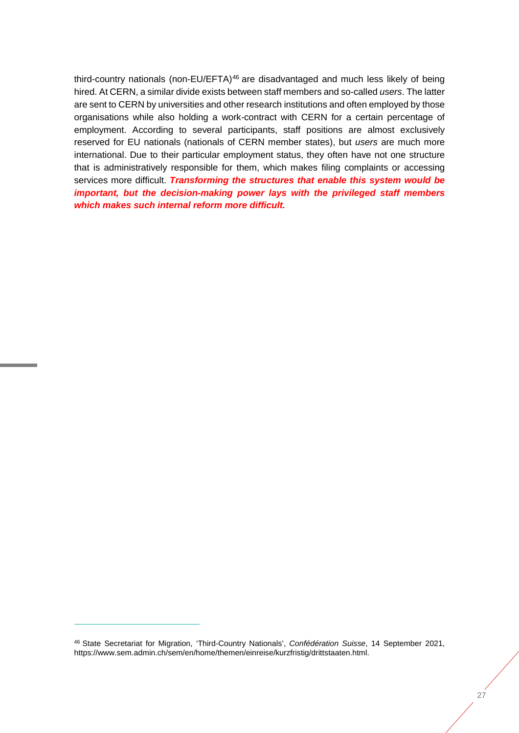third-country nationals (non-EU/EFTA) $46$  are disadvantaged and much less likely of being hired. At CERN, a similar divide exists between staff members and so-called *users*. The latter are sent to CERN by universities and other research institutions and often employed by those organisations while also holding a work-contract with CERN for a certain percentage of employment. According to several participants, staff positions are almost exclusively reserved for EU nationals (nationals of CERN member states), but *users* are much more international. Due to their particular employment status, they often have not one structure that is administratively responsible for them, which makes filing complaints or accessing services more difficult. *Transforming the structures that enable this system would be important, but the decision-making power lays with the privileged staff members which makes such internal reform more difficult.* 

<span id="page-40-0"></span><sup>46</sup> State Secretariat for Migration, 'Third-Country Nationals', *Confédération Suisse*, 14 September 2021, https://www.sem.admin.ch/sem/en/home/themen/einreise/kurzfristig/drittstaaten.html.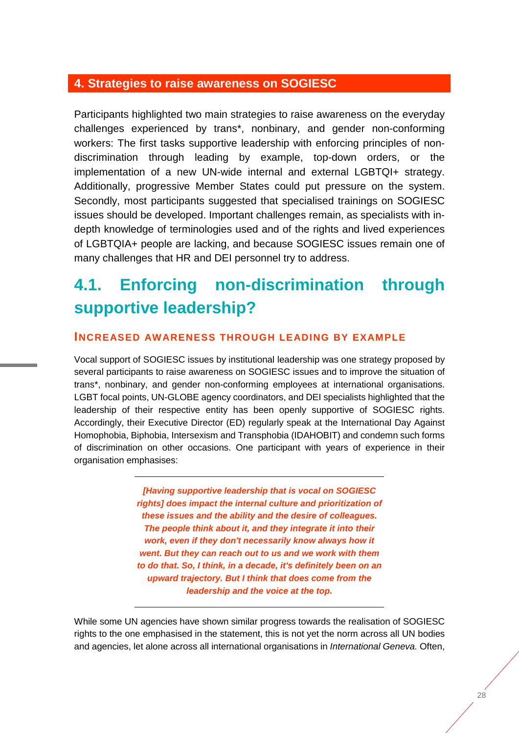## <span id="page-41-0"></span>**4. Strategies to raise awareness on SOGIESC**

Participants highlighted two main strategies to raise awareness on the everyday challenges experienced by trans\*, nonbinary, and gender non-conforming workers: The first tasks supportive leadership with enforcing principles of nondiscrimination through leading by example, top-down orders, or the implementation of a new UN-wide internal and external LGBTQI+ strategy. Additionally, progressive Member States could put pressure on the system. Secondly, most participants suggested that specialised trainings on SOGIESC issues should be developed. Important challenges remain, as specialists with indepth knowledge of terminologies used and of the rights and lived experiences of LGBTQIA+ people are lacking, and because SOGIESC issues remain one of many challenges that HR and DEI personnel try to address.

# <span id="page-41-1"></span>**4.1. Enforcing non-discrimination through supportive leadership?**

### <span id="page-41-2"></span>**INCREASED AWARENESS THROUGH LEADING BY EXAMPLE**

Vocal support of SOGIESC issues by institutional leadership was one strategy proposed by several participants to raise awareness on SOGIESC issues and to improve the situation of trans\*, nonbinary, and gender non-conforming employees at international organisations. LGBT focal points, UN-GLOBE agency coordinators, and DEI specialists highlighted that the leadership of their respective entity has been openly supportive of SOGIESC rights. Accordingly, their Executive Director (ED) regularly speak at the International Day Against Homophobia, Biphobia, Intersexism and Transphobia (IDAHOBIT) and condemn such forms of discrimination on other occasions. One participant with years of experience in their organisation emphasises:

> *[Having supportive leadership that is vocal on SOGIESC rights] does impact the internal culture and prioritization of these issues and the ability and the desire of colleagues. The people think about it, and they integrate it into their work, even if they don't necessarily know always how it went. But they can reach out to us and we work with them to do that. So, I think, in a decade, it's definitely been on an upward trajectory. But I think that does come from the leadership and the voice at the top.*

While some UN agencies have shown similar progress towards the realisation of SOGIESC rights to the one emphasised in the statement, this is not yet the norm across all UN bodies and agencies, let alone across all international organisations in *International Geneva.* Often,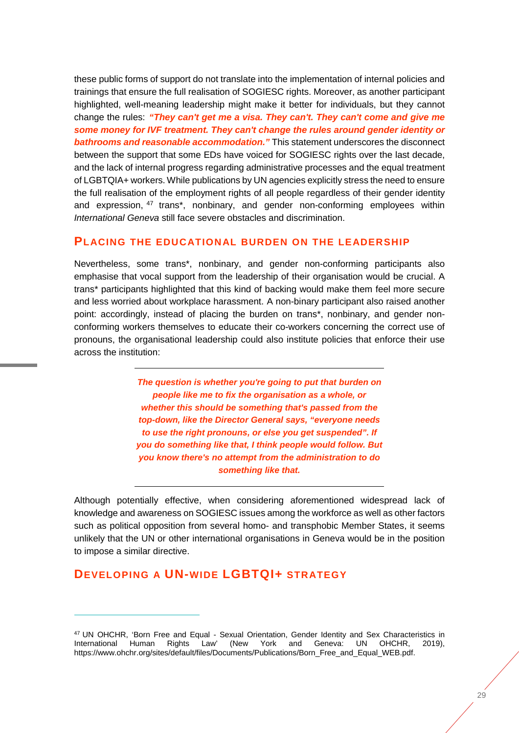these public forms of support do not translate into the implementation of internal policies and trainings that ensure the full realisation of SOGIESC rights. Moreover, as another participant highlighted, well-meaning leadership might make it better for individuals, but they cannot change the rules: *"They can't get me a visa. They can't. They can't come and give me some money for IVF treatment. They can't change the rules around gender identity or bathrooms and reasonable accommodation."* This statement underscores the disconnect between the support that some EDs have voiced for SOGIESC rights over the last decade, and the lack of internal progress regarding administrative processes and the equal treatment of LGBTQIA+ workers. While publications by UN agencies explicitly stress the need to ensure the full realisation of the employment rights of all people regardless of their gender identity and expression, <sup>[47](#page-42-2)</sup> trans<sup>\*</sup>, nonbinary, and gender non-conforming employees within *International Geneva* still face severe obstacles and discrimination.

#### <span id="page-42-0"></span>**PLACING THE EDUCATIONAL BURDEN ON THE LEADERSHIP**

Nevertheless, some trans\*, nonbinary, and gender non-conforming participants also emphasise that vocal support from the leadership of their organisation would be crucial. A trans\* participants highlighted that this kind of backing would make them feel more secure and less worried about workplace harassment. A non-binary participant also raised another point: accordingly, instead of placing the burden on trans\*, nonbinary, and gender nonconforming workers themselves to educate their co-workers concerning the correct use of pronouns, the organisational leadership could also institute policies that enforce their use across the institution:

> *The question is whether you're going to put that burden on people like me to fix the organisation as a whole, or whether this should be something that's passed from the top-down, like the Director General says, "everyone needs to use the right pronouns, or else you get suspended". If you do something like that, I think people would follow. But you know there's no attempt from the administration to do something like that.*

Although potentially effective, when considering aforementioned widespread lack of knowledge and awareness on SOGIESC issues among the workforce as well as other factors such as political opposition from several homo- and transphobic Member States, it seems unlikely that the UN or other international organisations in Geneva would be in the position to impose a similar directive.

## <span id="page-42-1"></span>**DEVELOPING A UN-WIDE LGBTQI+ STRATEGY**

<span id="page-42-2"></span><sup>47</sup> UN OHCHR, 'Born Free and Equal - Sexual Orientation, Gender Identity and Sex Characteristics in International Human Rights Law' (New York and Geneva: UN OHCHR, 2019), https://www.ohchr.org/sites/default/files/Documents/Publications/Born\_Free\_and\_Equal\_WEB.pdf.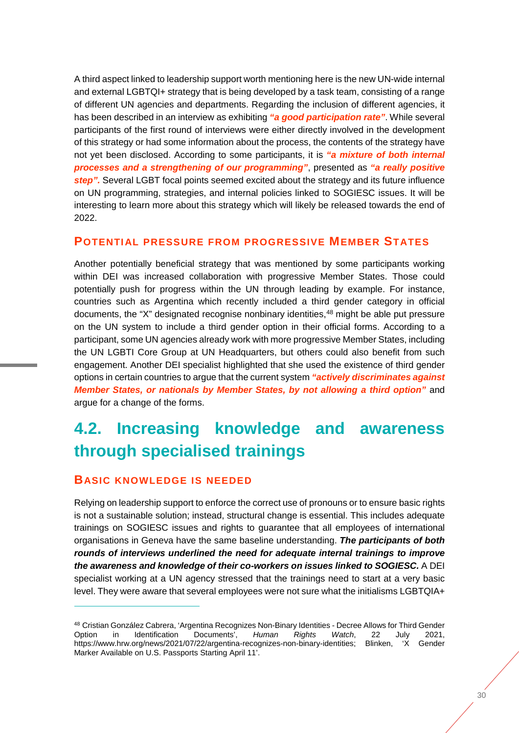A third aspect linked to leadership support worth mentioning here is the new UN-wide internal and external LGBTQI+ strategy that is being developed by a task team, consisting of a range of different UN agencies and departments. Regarding the inclusion of different agencies, it has been described in an interview as exhibiting *"a good participation rate"*. While several participants of the first round of interviews were either directly involved in the development of this strategy or had some information about the process, the contents of the strategy have not yet been disclosed. According to some participants, it is *"a mixture of both internal processes and a strengthening of our programming"*, presented as *"a really positive step".* Several LGBT focal points seemed excited about the strategy and its future influence on UN programming, strategies, and internal policies linked to SOGIESC issues. It will be interesting to learn more about this strategy which will likely be released towards the end of 2022.

#### <span id="page-43-0"></span>**POTENTIAL PRESSURE FROM PROGRESSIVE MEMBER STATES**

Another potentially beneficial strategy that was mentioned by some participants working within DEI was increased collaboration with progressive Member States. Those could potentially push for progress within the UN through leading by example. For instance, countries such as Argentina which recently included a third gender category in official documents, the "X" designated recognise nonbinary identities,<sup>[48](#page-43-3)</sup> might be able put pressure on the UN system to include a third gender option in their official forms. According to a participant, some UN agencies already work with more progressive Member States, including the UN LGBTI Core Group at UN Headquarters, but others could also benefit from such engagement. Another DEI specialist highlighted that she used the existence of third gender options in certain countries to argue that the current system *"actively discriminates against Member States, or nationals by Member States, by not allowing a third option"* and argue for a change of the forms.

# <span id="page-43-1"></span>**4.2. Increasing knowledge and awareness through specialised trainings**

### <span id="page-43-2"></span>**BASIC KNOWLEDGE IS NEEDED**

-

Relying on leadership support to enforce the correct use of pronouns or to ensure basic rights is not a sustainable solution; instead, structural change is essential. This includes adequate trainings on SOGIESC issues and rights to guarantee that all employees of international organisations in Geneva have the same baseline understanding. *The participants of both rounds of interviews underlined the need for adequate internal trainings to improve the awareness and knowledge of their co-workers on issues linked to SOGIESC.* A DEI specialist working at a UN agency stressed that the trainings need to start at a very basic level. They were aware that several employees were not sure what the initialisms LGBTQIA+

<span id="page-43-3"></span><sup>48</sup> Cristian González Cabrera, 'Argentina Recognizes Non-Binary Identities - Decree Allows for Third Gender Option in Identification Documents', *Human Rights Watch*, 22 July 2021, https://www.hrw.org/news/2021/07/22/argentina-recognizes-non-binary-identities; Blinken, 'X Gender Marker Available on U.S. Passports Starting April 11'.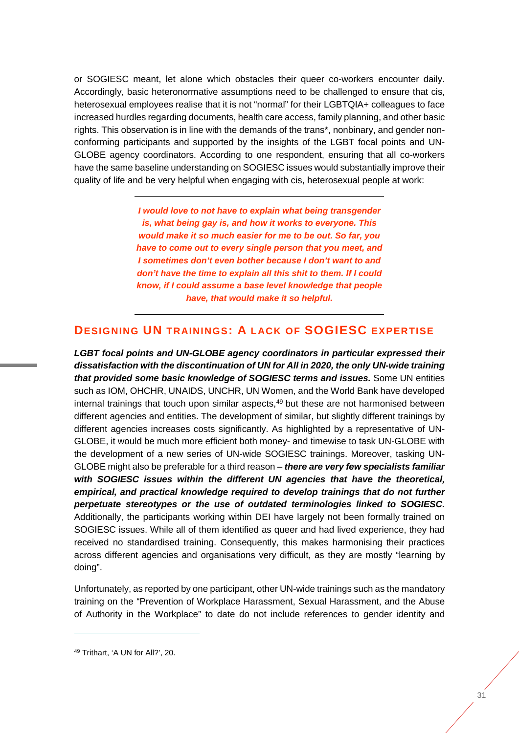or SOGIESC meant, let alone which obstacles their queer co-workers encounter daily. Accordingly, basic heteronormative assumptions need to be challenged to ensure that cis, heterosexual employees realise that it is not "normal" for their LGBTQIA+ colleagues to face increased hurdles regarding documents, health care access, family planning, and other basic rights. This observation is in line with the demands of the trans\*, nonbinary, and gender nonconforming participants and supported by the insights of the LGBT focal points and UN-GLOBE agency coordinators. According to one respondent, ensuring that all co-workers have the same baseline understanding on SOGIESC issues would substantially improve their quality of life and be very helpful when engaging with cis, heterosexual people at work:

> *I would love to not have to explain what being transgender is, what being gay is, and how it works to everyone. This would make it so much easier for me to be out. So far, you have to come out to every single person that you meet, and I sometimes don't even bother because I don't want to and don't have the time to explain all this shit to them. If I could know, if I could assume a base level knowledge that people have, that would make it so helpful.*

## <span id="page-44-0"></span>**DESIGNING UN TRAININGS: A LACK OF SOGIESC EXPERTISE**

*LGBT focal points and UN-GLOBE agency coordinators in particular expressed their dissatisfaction with the discontinuation of UN for All in 2020, the only UN-wide training that provided some basic knowledge of SOGIESC terms and issues.* Some UN entities such as IOM, OHCHR, UNAIDS, UNCHR, UN Women, and the World Bank have developed internal trainings that touch upon similar aspects,<sup>[49](#page-44-1)</sup> but these are not harmonised between different agencies and entities. The development of similar, but slightly different trainings by different agencies increases costs significantly. As highlighted by a representative of UN-GLOBE, it would be much more efficient both money- and timewise to task UN-GLOBE with the development of a new series of UN-wide SOGIESC trainings. Moreover, tasking UN-GLOBE might also be preferable for a third reason – *there are very few specialists familiar with SOGIESC issues within the different UN agencies that have the theoretical, empirical, and practical knowledge required to develop trainings that do not further perpetuate stereotypes or the use of outdated terminologies linked to SOGIESC.*  Additionally, the participants working within DEI have largely not been formally trained on SOGIESC issues. While all of them identified as queer and had lived experience, they had received no standardised training. Consequently, this makes harmonising their practices across different agencies and organisations very difficult, as they are mostly "learning by doing".

Unfortunately, as reported by one participant, other UN-wide trainings such as the mandatory training on the "Prevention of Workplace Harassment, Sexual Harassment, and the Abuse of Authority in the Workplace" to date do not include references to gender identity and

<span id="page-44-1"></span><sup>49</sup> Trithart, 'A UN for All?', 20.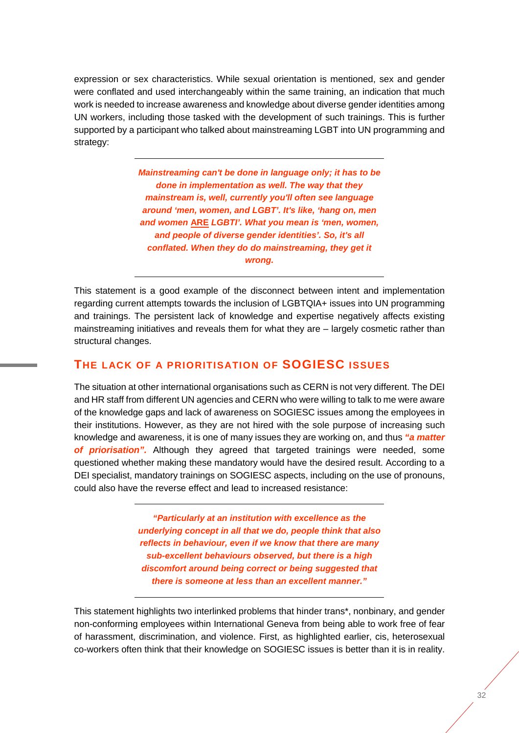expression or sex characteristics. While sexual orientation is mentioned, sex and gender were conflated and used interchangeably within the same training, an indication that much work is needed to increase awareness and knowledge about diverse gender identities among UN workers, including those tasked with the development of such trainings. This is further supported by a participant who talked about mainstreaming LGBT into UN programming and strategy:

> *Mainstreaming can't be done in language only; it has to be done in implementation as well. The way that they mainstream is, well, currently you'll often see language around 'men, women, and LGBT'. It's like, 'hang on, men and women* **ARE** *LGBTI'. What you mean is 'men, women, and people of diverse gender identities'. So, it's all conflated. When they do do mainstreaming, they get it wrong.*

This statement is a good example of the disconnect between intent and implementation regarding current attempts towards the inclusion of LGBTQIA+ issues into UN programming and trainings. The persistent lack of knowledge and expertise negatively affects existing mainstreaming initiatives and reveals them for what they are – largely cosmetic rather than structural changes.

## <span id="page-45-0"></span>**THE LACK OF A PRIORITISATION OF SOGIESC ISSUES**

The situation at other international organisations such as CERN is not very different. The DEI and HR staff from different UN agencies and CERN who were willing to talk to me were aware of the knowledge gaps and lack of awareness on SOGIESC issues among the employees in their institutions. However, as they are not hired with the sole purpose of increasing such knowledge and awareness, it is one of many issues they are working on, and thus *"a matter*  of *priorisation"*. Although they agreed that targeted trainings were needed, some questioned whether making these mandatory would have the desired result. According to a DEI specialist, mandatory trainings on SOGIESC aspects, including on the use of pronouns, could also have the reverse effect and lead to increased resistance:

> *"Particularly at an institution with excellence as the underlying concept in all that we do, people think that also reflects in behaviour, even if we know that there are many sub-excellent behaviours observed, but there is a high discomfort around being correct or being suggested that there is someone at less than an excellent manner."*

This statement highlights two interlinked problems that hinder trans\*, nonbinary, and gender non-conforming employees within International Geneva from being able to work free of fear of harassment, discrimination, and violence. First, as highlighted earlier, cis, heterosexual co-workers often think that their knowledge on SOGIESC issues is better than it is in reality.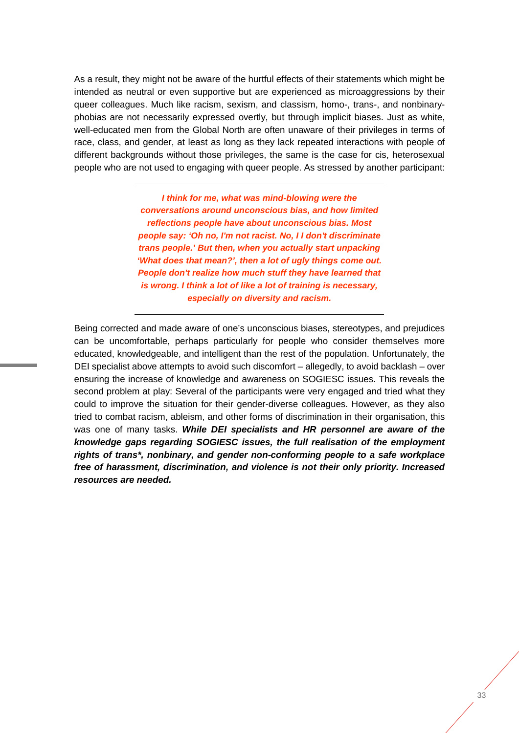As a result, they might not be aware of the hurtful effects of their statements which might be intended as neutral or even supportive but are experienced as microaggressions by their queer colleagues. Much like racism, sexism, and classism, homo-, trans-, and nonbinaryphobias are not necessarily expressed overtly, but through implicit biases. Just as white, well-educated men from the Global North are often unaware of their privileges in terms of race, class, and gender, at least as long as they lack repeated interactions with people of different backgrounds without those privileges, the same is the case for cis, heterosexual people who are not used to engaging with queer people. As stressed by another participant:

> *I think for me, what was mind-blowing were the conversations around unconscious bias, and how limited reflections people have about unconscious bias. Most people say: 'Oh no, I'm not racist. No, I I don't discriminate trans people.' But then, when you actually start unpacking 'What does that mean?', then a lot of ugly things come out. People don't realize how much stuff they have learned that is wrong. I think a lot of like a lot of training is necessary, especially on diversity and racism.*

Being corrected and made aware of one's unconscious biases, stereotypes, and prejudices can be uncomfortable, perhaps particularly for people who consider themselves more educated, knowledgeable, and intelligent than the rest of the population. Unfortunately, the DEI specialist above attempts to avoid such discomfort – allegedly, to avoid backlash – over ensuring the increase of knowledge and awareness on SOGIESC issues. This reveals the second problem at play: Several of the participants were very engaged and tried what they could to improve the situation for their gender-diverse colleagues. However, as they also tried to combat racism, ableism, and other forms of discrimination in their organisation, this was one of many tasks. *While DEI specialists and HR personnel are aware of the knowledge gaps regarding SOGIESC issues, the full realisation of the employment rights of trans\*, nonbinary, and gender non-conforming people to a safe workplace free of harassment, discrimination, and violence is not their only priority. Increased resources are needed.*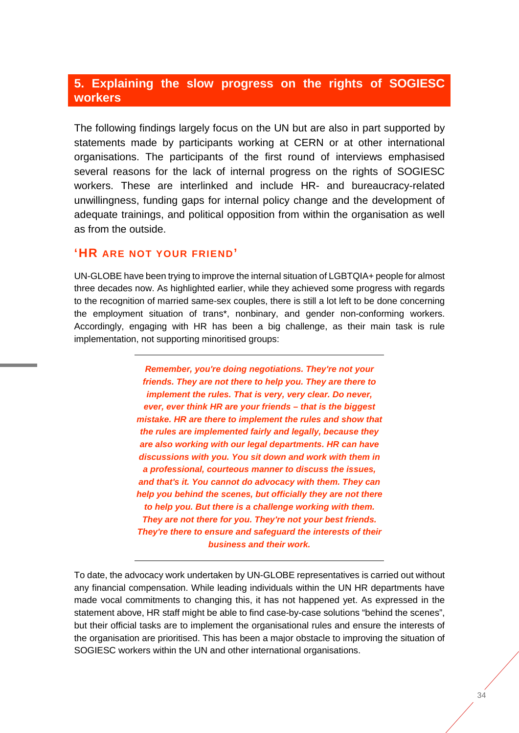## <span id="page-47-0"></span>**5. Explaining the slow progress on the rights of SOGIESC workers**

The following findings largely focus on the UN but are also in part supported by statements made by participants working at CERN or at other international organisations. The participants of the first round of interviews emphasised several reasons for the lack of internal progress on the rights of SOGIESC workers. These are interlinked and include HR- and bureaucracy-related unwillingness, funding gaps for internal policy change and the development of adequate trainings, and political opposition from within the organisation as well as from the outside.

### <span id="page-47-1"></span>**'HR ARE NOT YOUR FRIEND'**

UN-GLOBE have been trying to improve the internal situation of LGBTQIA+ people for almost three decades now. As highlighted earlier, while they achieved some progress with regards to the recognition of married same-sex couples, there is still a lot left to be done concerning the employment situation of trans\*, nonbinary, and gender non-conforming workers. Accordingly, engaging with HR has been a big challenge, as their main task is rule implementation, not supporting minoritised groups:

> *Remember, you're doing negotiations. They're not your friends. They are not there to help you. They are there to implement the rules. That is very, very clear. Do never, ever, ever think HR are your friends – that is the biggest mistake. HR are there to implement the rules and show that the rules are implemented fairly and legally, because they are also working with our legal departments. HR can have discussions with you. You sit down and work with them in a professional, courteous manner to discuss the issues, and that's it. You cannot do advocacy with them. They can help you behind the scenes, but officially they are not there to help you. But there is a challenge working with them. They are not there for you. They're not your best friends. They're there to ensure and safeguard the interests of their business and their work.*

To date, the advocacy work undertaken by UN-GLOBE representatives is carried out without any financial compensation. While leading individuals within the UN HR departments have made vocal commitments to changing this, it has not happened yet. As expressed in the statement above, HR staff might be able to find case-by-case solutions "behind the scenes", but their official tasks are to implement the organisational rules and ensure the interests of the organisation are prioritised. This has been a major obstacle to improving the situation of SOGIESC workers within the UN and other international organisations.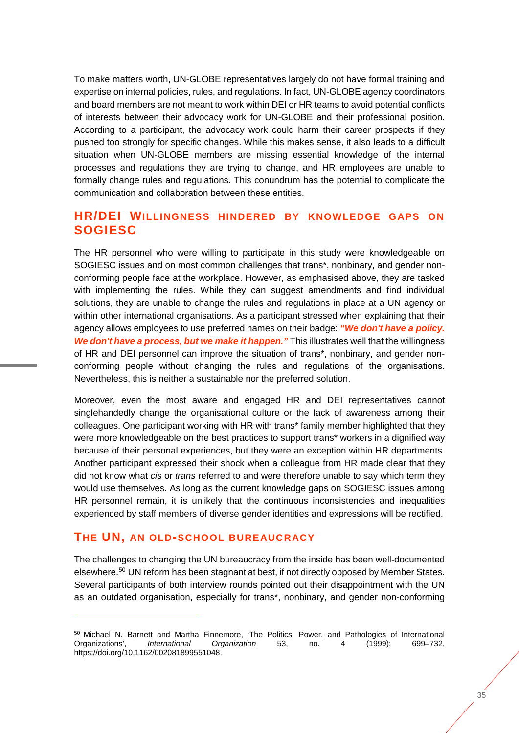To make matters worth, UN-GLOBE representatives largely do not have formal training and expertise on internal policies, rules, and regulations. In fact, UN-GLOBE agency coordinators and board members are not meant to work within DEI or HR teams to avoid potential conflicts of interests between their advocacy work for UN-GLOBE and their professional position. According to a participant, the advocacy work could harm their career prospects if they pushed too strongly for specific changes. While this makes sense, it also leads to a difficult situation when UN-GLOBE members are missing essential knowledge of the internal processes and regulations they are trying to change, and HR employees are unable to formally change rules and regulations. This conundrum has the potential to complicate the communication and collaboration between these entities.

## <span id="page-48-0"></span>**HR/DEI WILLINGNESS HINDERED BY KNOWLEDGE GAPS ON SOGIESC**

The HR personnel who were willing to participate in this study were knowledgeable on SOGIESC issues and on most common challenges that trans\*, nonbinary, and gender nonconforming people face at the workplace. However, as emphasised above, they are tasked with implementing the rules. While they can suggest amendments and find individual solutions, they are unable to change the rules and regulations in place at a UN agency or within other international organisations. As a participant stressed when explaining that their agency allows employees to use preferred names on their badge: *"We don't have a policy. We don't have a process, but we make it happen."* This illustrates well that the willingness of HR and DEI personnel can improve the situation of trans\*, nonbinary, and gender nonconforming people without changing the rules and regulations of the organisations. Nevertheless, this is neither a sustainable nor the preferred solution.

Moreover, even the most aware and engaged HR and DEI representatives cannot singlehandedly change the organisational culture or the lack of awareness among their colleagues. One participant working with HR with trans\* family member highlighted that they were more knowledgeable on the best practices to support trans\* workers in a dignified way because of their personal experiences, but they were an exception within HR departments. Another participant expressed their shock when a colleague from HR made clear that they did not know what *cis* or *trans* referred to and were therefore unable to say which term they would use themselves. As long as the current knowledge gaps on SOGIESC issues among HR personnel remain, it is unlikely that the continuous inconsistencies and inequalities experienced by staff members of diverse gender identities and expressions will be rectified.

## <span id="page-48-1"></span>**THE UN, AN OLD-SCHOOL BUREAUCRACY**

-

The challenges to changing the UN bureaucracy from the inside has been well-documented elsewhere[.50](#page-48-2) UN reform has been stagnant at best, if not directly opposed by Member States. Several participants of both interview rounds pointed out their disappointment with the UN as an outdated organisation, especially for trans\*, nonbinary, and gender non-conforming

<span id="page-48-2"></span><sup>&</sup>lt;sup>50</sup> Michael N. Barnett and Martha Finnemore, 'The Politics, Power, and Pathologies of International<br>Organizations'. International Organization 53. no. 4 (1999): 699–732. Organizations', *International Organization* 53, no. 4 (1999): https://doi.org/10.1162/002081899551048.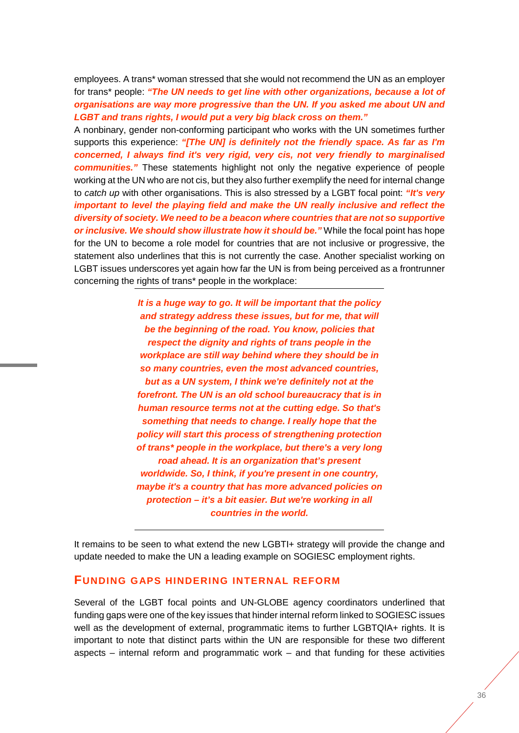employees. A trans\* woman stressed that she would not recommend the UN as an employer for trans\* people: *"The UN needs to get line with other organizations, because a lot of organisations are way more progressive than the UN. If you asked me about UN and LGBT and trans rights, I would put a very big black cross on them."*

A nonbinary, gender non-conforming participant who works with the UN sometimes further supports this experience: *"[The UN] is definitely not the friendly space. As far as I'm concerned, I always find it's very rigid, very cis, not very friendly to marginalised communities."* These statements highlight not only the negative experience of people working at the UN who are not cis, but they also further exemplify the need for internal change to *catch up* with other organisations. This is also stressed by a LGBT focal point: *"It's very important to level the playing field and make the UN really inclusive and reflect the diversity of society. We need to be a beacon where countries that are not so supportive or inclusive. We should show illustrate how it should be."* While the focal point has hope for the UN to become a role model for countries that are not inclusive or progressive, the statement also underlines that this is not currently the case. Another specialist working on LGBT issues underscores yet again how far the UN is from being perceived as a frontrunner concerning the rights of trans\* people in the workplace:

> *It is a huge way to go. It will be important that the policy and strategy address these issues, but for me, that will be the beginning of the road. You know, policies that respect the dignity and rights of trans people in the workplace are still way behind where they should be in so many countries, even the most advanced countries, but as a UN system, I think we're definitely not at the forefront. The UN is an old school bureaucracy that is in human resource terms not at the cutting edge. So that's something that needs to change. I really hope that the policy will start this process of strengthening protection of trans\* people in the workplace, but there's a very long road ahead. It is an organization that's present worldwide. So, I think, if you're present in one country, maybe it's a country that has more advanced policies on protection – it's a bit easier. But we're working in all countries in the world.*

It remains to be seen to what extend the new LGBTI+ strategy will provide the change and update needed to make the UN a leading example on SOGIESC employment rights.

#### <span id="page-49-0"></span>**FUNDING GAPS HINDERING INTERNAL REFORM**

Several of the LGBT focal points and UN-GLOBE agency coordinators underlined that funding gaps were one of the key issues that hinder internal reform linked to SOGIESC issues well as the development of external, programmatic items to further LGBTQIA+ rights. It is important to note that distinct parts within the UN are responsible for these two different aspects – internal reform and programmatic work – and that funding for these activities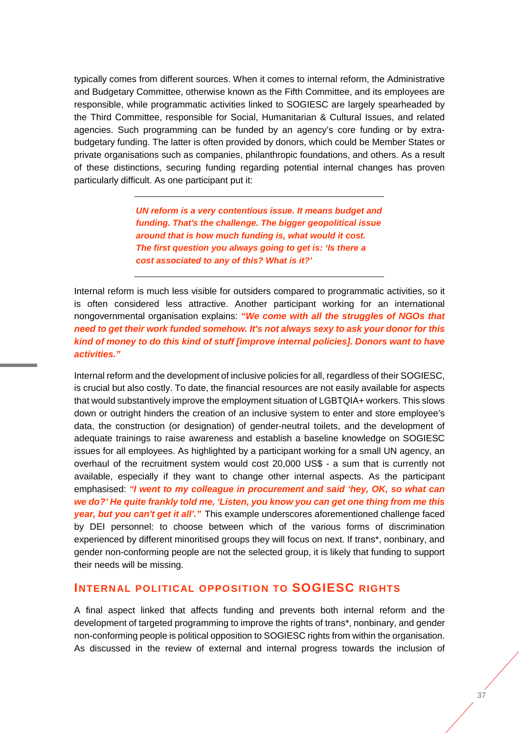typically comes from different sources. When it comes to internal reform, the Administrative and Budgetary Committee, otherwise known as the Fifth Committee, and its employees are responsible, while programmatic activities linked to SOGIESC are largely spearheaded by the Third Committee, responsible for Social, Humanitarian & Cultural Issues, and related agencies. Such programming can be funded by an agency's core funding or by extrabudgetary funding. The latter is often provided by donors, which could be Member States or private organisations such as companies, philanthropic foundations, and others. As a result of these distinctions, securing funding regarding potential internal changes has proven particularly difficult. As one participant put it:

> *UN reform is a very contentious issue. It means budget and funding. That's the challenge. The bigger geopolitical issue around that is how much funding is, what would it cost. The first question you always going to get is: 'Is there a cost associated to any of this? What is it?'*

Internal reform is much less visible for outsiders compared to programmatic activities, so it is often considered less attractive. Another participant working for an international nongovernmental organisation explains: *"We come with all the struggles of NGOs that need to get their work funded somehow. It's not always sexy to ask your donor for this kind of money to do this kind of stuff [improve internal policies]. Donors want to have activities."* 

Internal reform and the development of inclusive policies for all, regardless of their SOGIESC, is crucial but also costly. To date, the financial resources are not easily available for aspects that would substantively improve the employment situation of LGBTQIA+ workers. This slows down or outright hinders the creation of an inclusive system to enter and store employee's data, the construction (or designation) of gender-neutral toilets, and the development of adequate trainings to raise awareness and establish a baseline knowledge on SOGIESC issues for all employees. As highlighted by a participant working for a small UN agency, an overhaul of the recruitment system would cost 20,000 US\$ - a sum that is currently not available, especially if they want to change other internal aspects. As the participant emphasised: *"I went to my colleague in procurement and said 'hey, OK, so what can we do?' He quite frankly told me, 'Listen, you know you can get one thing from me this year, but you can't get it all'."* This example underscores aforementioned challenge faced by DEI personnel: to choose between which of the various forms of discrimination experienced by different minoritised groups they will focus on next. If trans\*, nonbinary, and gender non-conforming people are not the selected group, it is likely that funding to support their needs will be missing.

### <span id="page-50-0"></span>**INTERNAL POLITICAL OPPOSITION TO SOGIESC RIGHTS**

A final aspect linked that affects funding and prevents both internal reform and the development of targeted programming to improve the rights of trans\*, nonbinary, and gender non-conforming people is political opposition to SOGIESC rights from within the organisation. As discussed in the review of external and internal progress towards the inclusion of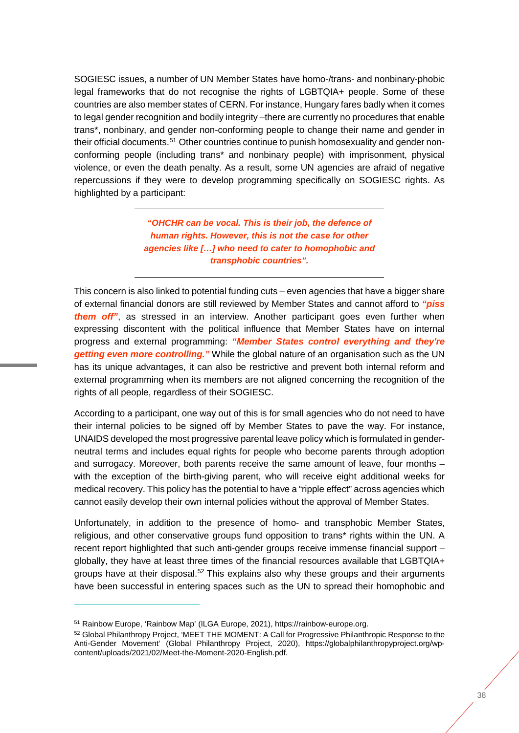SOGIESC issues, a number of UN Member States have homo-/trans- and nonbinary-phobic legal frameworks that do not recognise the rights of LGBTQIA+ people. Some of these countries are also member states of CERN. For instance, Hungary fares badly when it comes to legal gender recognition and bodily integrity –there are currently no procedures that enable trans\*, nonbinary, and gender non-conforming people to change their name and gender in their official documents.<sup>[51](#page-51-0)</sup> Other countries continue to punish homosexuality and gender nonconforming people (including trans\* and nonbinary people) with imprisonment, physical violence, or even the death penalty. As a result, some UN agencies are afraid of negative repercussions if they were to develop programming specifically on SOGIESC rights. As highlighted by a participant:

> *"OHCHR can be vocal. This is their job, the defence of human rights. However, this is not the case for other agencies like […] who need to cater to homophobic and transphobic countries".*

This concern is also linked to potential funding cuts – even agencies that have a bigger share of external financial donors are still reviewed by Member States and cannot afford to *"piss them off"*, as stressed in an interview. Another participant goes even further when expressing discontent with the political influence that Member States have on internal progress and external programming: *"Member States control everything and they're getting even more controlling."* While the global nature of an organisation such as the UN has its unique advantages, it can also be restrictive and prevent both internal reform and external programming when its members are not aligned concerning the recognition of the rights of all people, regardless of their SOGIESC.

According to a participant, one way out of this is for small agencies who do not need to have their internal policies to be signed off by Member States to pave the way. For instance, UNAIDS developed the most progressive parental leave policy which is formulated in genderneutral terms and includes equal rights for people who become parents through adoption and surrogacy. Moreover, both parents receive the same amount of leave, four months – with the exception of the birth-giving parent, who will receive eight additional weeks for medical recovery. This policy has the potential to have a "ripple effect" across agencies which cannot easily develop their own internal policies without the approval of Member States.

Unfortunately, in addition to the presence of homo- and transphobic Member States, religious, and other conservative groups fund opposition to trans\* rights within the UN. A recent report highlighted that such anti-gender groups receive immense financial support – globally, they have at least three times of the financial resources available that LGBTQIA+ groups have at their disposal.<sup>[52](#page-51-1)</sup> This explains also why these groups and their arguments have been successful in entering spaces such as the UN to spread their homophobic and

<span id="page-51-0"></span><sup>51</sup> Rainbow Europe, 'Rainbow Map' (ILGA Europe, 2021), https://rainbow-europe.org.

<span id="page-51-1"></span><sup>52</sup> Global Philanthropy Project, 'MEET THE MOMENT: A Call for Progressive Philanthropic Response to the Anti-Gender Movement' (Global Philanthropy Project, 2020), https://globalphilanthropyproject.org/wpcontent/uploads/2021/02/Meet-the-Moment-2020-English.pdf.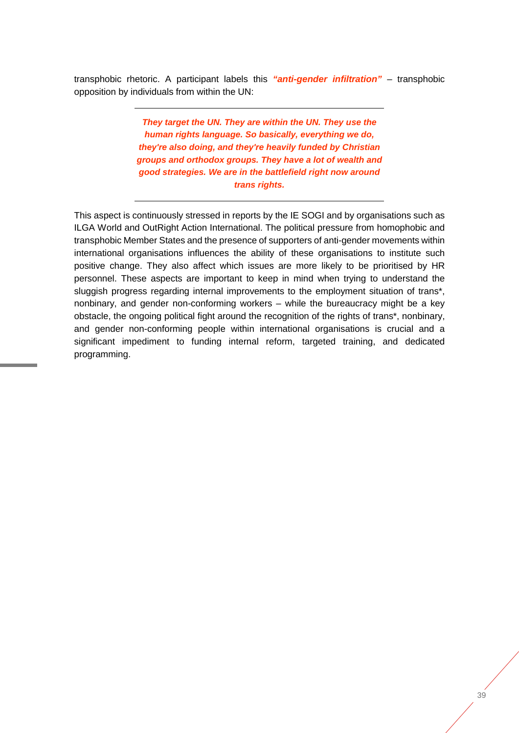transphobic rhetoric. A participant labels this *"anti-gender infiltration"* – transphobic opposition by individuals from within the UN:

> *They target the UN. They are within the UN. They use the human rights language. So basically, everything we do, they're also doing, and they're heavily funded by Christian groups and orthodox groups. They have a lot of wealth and good strategies. We are in the battlefield right now around trans rights.*

This aspect is continuously stressed in reports by the IE SOGI and by organisations such as ILGA World and OutRight Action International. The political pressure from homophobic and transphobic Member States and the presence of supporters of anti-gender movements within international organisations influences the ability of these organisations to institute such positive change. They also affect which issues are more likely to be prioritised by HR personnel. These aspects are important to keep in mind when trying to understand the sluggish progress regarding internal improvements to the employment situation of trans\*, nonbinary, and gender non-conforming workers – while the bureaucracy might be a key obstacle, the ongoing political fight around the recognition of the rights of trans\*, nonbinary, and gender non-conforming people within international organisations is crucial and a significant impediment to funding internal reform, targeted training, and dedicated programming.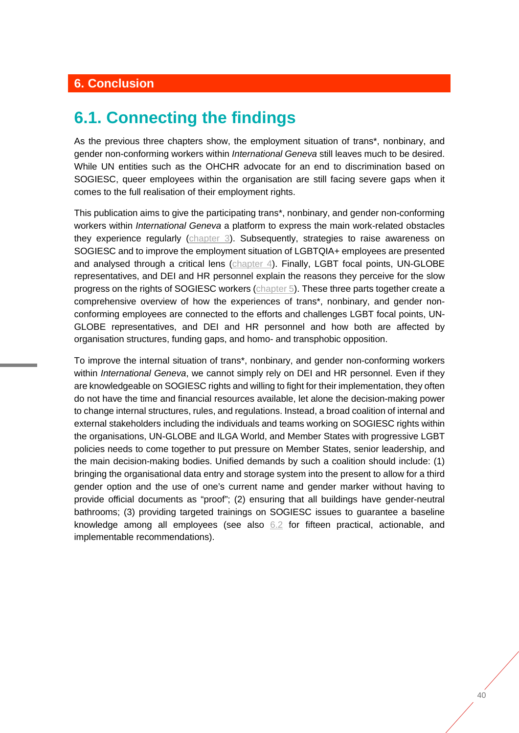## <span id="page-53-2"></span><span id="page-53-1"></span><span id="page-53-0"></span>**6.1. Connecting the findings**

As the previous three chapters show, the employment situation of trans\*, nonbinary, and gender non-conforming workers within *International Geneva* still leaves much to be desired. While UN entities such as the OHCHR advocate for an end to discrimination based on SOGIESC, queer employees within the organisation are still facing severe gaps when it comes to the full realisation of their employment rights.

This publication aims to give the participating trans\*, nonbinary, and gender non-conforming workers within *International Geneva* a platform to express the main work-related obstacles they experience regularly [\(chapter 3\)](#page-27-0). Subsequently, strategies to raise awareness on SOGIESC and to improve the employment situation of LGBTQIA+ employees are presented and analysed through a critical lens [\(chapter 4\)](#page-41-0). Finally, LGBT focal points, UN-GLOBE representatives, and DEI and HR personnel explain the reasons they perceive for the slow progress on the rights of SOGIESC workers [\(chapter 5\)](#page-47-0). These three parts together create a comprehensive overview of how the experiences of trans\*, nonbinary, and gender nonconforming employees are connected to the efforts and challenges LGBT focal points, UN-GLOBE representatives, and DEI and HR personnel and how both are affected by organisation structures, funding gaps, and homo- and transphobic opposition.

To improve the internal situation of trans\*, nonbinary, and gender non-conforming workers within *International Geneva*, we cannot simply rely on DEI and HR personnel. Even if they are knowledgeable on SOGIESC rights and willing to fight for their implementation, they often do not have the time and financial resources available, let alone the decision-making power to change internal structures, rules, and regulations. Instead, a broad coalition of internal and external stakeholders including the individuals and teams working on SOGIESC rights within the organisations, UN-GLOBE and ILGA World, and Member States with progressive LGBT policies needs to come together to put pressure on Member States, senior leadership, and the main decision-making bodies. Unified demands by such a coalition should include: (1) bringing the organisational data entry and storage system into the present to allow for a third gender option and the use of one's current name and gender marker without having to provide official documents as "proof"; (2) ensuring that all buildings have gender-neutral bathrooms; (3) providing targeted trainings on SOGIESC issues to guarantee a baseline knowledge among all employees (see also [6.2](#page-54-0) for fifteen practical, actionable, and implementable recommendations).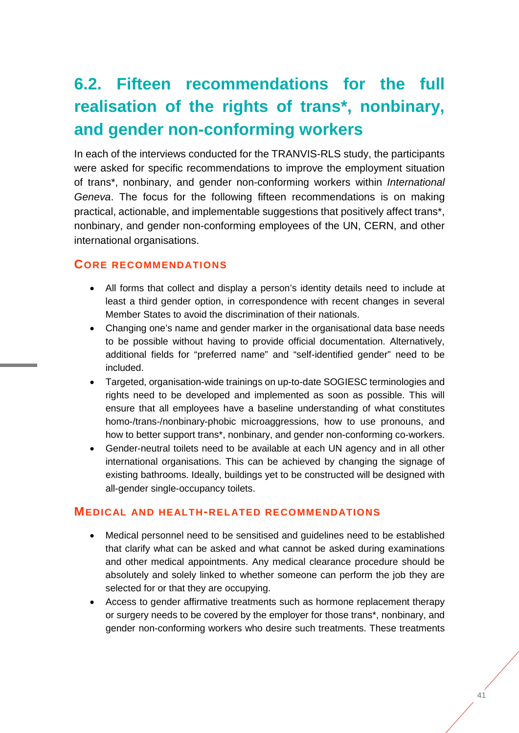# <span id="page-54-0"></span>**6.2. Fifteen recommendations for the full realisation of the rights of trans\*, nonbinary, and gender non-conforming workers**

In each of the interviews conducted for the TRANVIS-RLS study, the participants were asked for specific recommendations to improve the employment situation of trans\*, nonbinary, and gender non-conforming workers within *International Geneva*. The focus for the following fifteen recommendations is on making practical, actionable, and implementable suggestions that positively affect trans\*, nonbinary, and gender non-conforming employees of the UN, CERN, and other international organisations.

## <span id="page-54-1"></span>**CORE RECOMMENDATIONS**

- All forms that collect and display a person's identity details need to include at least a third gender option, in correspondence with recent changes in several Member States to avoid the discrimination of their nationals.
- Changing one's name and gender marker in the organisational data base needs to be possible without having to provide official documentation. Alternatively, additional fields for "preferred name" and "self-identified gender" need to be included.
- Targeted, organisation-wide trainings on up-to-date SOGIESC terminologies and rights need to be developed and implemented as soon as possible. This will ensure that all employees have a baseline understanding of what constitutes homo-/trans-/nonbinary-phobic microaggressions, how to use pronouns, and how to better support trans\*, nonbinary, and gender non-conforming co-workers.
- Gender-neutral toilets need to be available at each UN agency and in all other international organisations. This can be achieved by changing the signage of existing bathrooms. Ideally, buildings yet to be constructed will be designed with all-gender single-occupancy toilets.

## <span id="page-54-2"></span>**MEDICAL AND HEALTH-RELATED RECOMMENDATIONS**

- Medical personnel need to be sensitised and guidelines need to be established that clarify what can be asked and what cannot be asked during examinations and other medical appointments. Any medical clearance procedure should be absolutely and solely linked to whether someone can perform the job they are selected for or that they are occupying.
- Access to gender affirmative treatments such as hormone replacement therapy or surgery needs to be covered by the employer for those trans\*, nonbinary, and gender non-conforming workers who desire such treatments. These treatments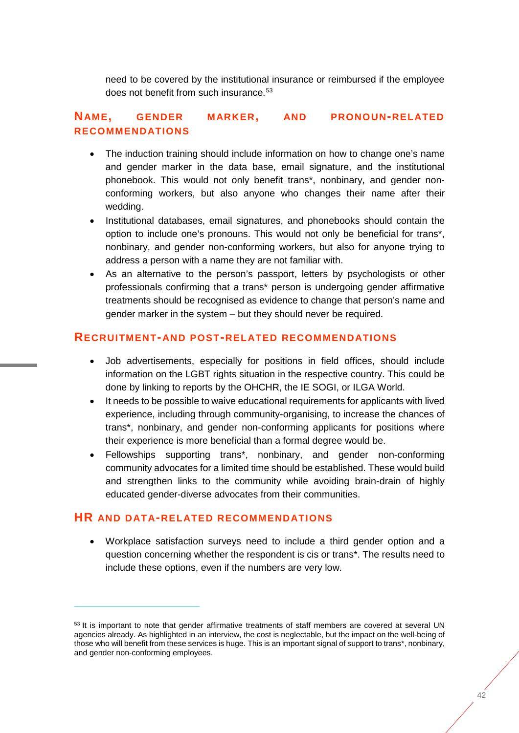need to be covered by the institutional insurance or reimbursed if the employee does not benefit from such insurance.<sup>[53](#page-55-3)</sup>

## <span id="page-55-0"></span>**NAME, GENDER MARKER, AND PRONOUN-RELATED RECOMMENDATIONS**

- The induction training should include information on how to change one's name and gender marker in the data base, email signature, and the institutional phonebook. This would not only benefit trans\*, nonbinary, and gender nonconforming workers, but also anyone who changes their name after their wedding.
- Institutional databases, email signatures, and phonebooks should contain the option to include one's pronouns. This would not only be beneficial for trans\*, nonbinary, and gender non-conforming workers, but also for anyone trying to address a person with a name they are not familiar with.
- As an alternative to the person's passport, letters by psychologists or other professionals confirming that a trans\* person is undergoing gender affirmative treatments should be recognised as evidence to change that person's name and gender marker in the system – but they should never be required.

## <span id="page-55-1"></span>**RECRUITMENT-AND POST-RELATED RECOMMENDATIONS**

- Job advertisements, especially for positions in field offices, should include information on the LGBT rights situation in the respective country. This could be done by linking to reports by the OHCHR, the IE SOGI, or ILGA World.
- It needs to be possible to waive educational requirements for applicants with lived experience, including through community-organising, to increase the chances of trans\*, nonbinary, and gender non-conforming applicants for positions where their experience is more beneficial than a formal degree would be.
- Fellowships supporting trans\*, nonbinary, and gender non-conforming community advocates for a limited time should be established. These would build and strengthen links to the community while avoiding brain-drain of highly educated gender-diverse advocates from their communities.

## <span id="page-55-2"></span>**HR AND DATA-RELATED RECOMMENDATIONS**

-

• Workplace satisfaction surveys need to include a third gender option and a question concerning whether the respondent is cis or trans\*. The results need to include these options, even if the numbers are very low.

<span id="page-55-3"></span><sup>&</sup>lt;sup>53</sup> It is important to note that gender affirmative treatments of staff members are covered at several UN agencies already. As highlighted in an interview, the cost is neglectable, but the impact on the well-being of those who will benefit from these services is huge. This is an important signal of support to trans\*, nonbinary, and gender non-conforming employees.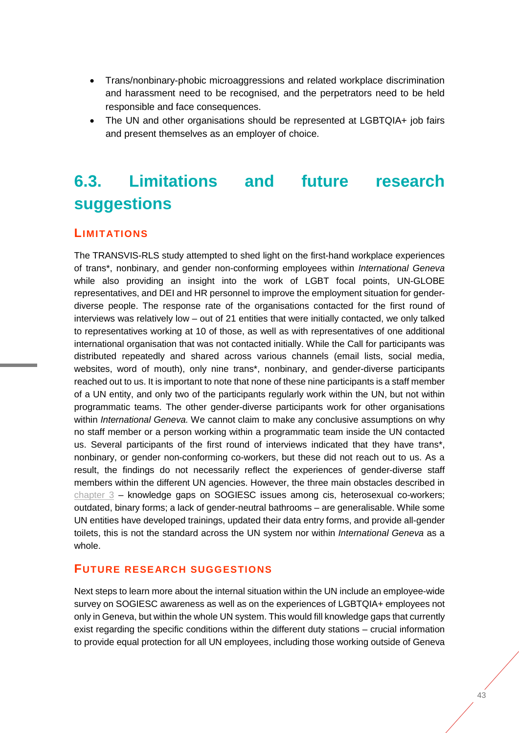- Trans/nonbinary-phobic microaggressions and related workplace discrimination and harassment need to be recognised, and the perpetrators need to be held responsible and face consequences.
- The UN and other organisations should be represented at LGBTQIA+ job fairs and present themselves as an employer of choice.

# <span id="page-56-0"></span>**6.3. Limitations and future research suggestions**

## <span id="page-56-1"></span>**LIMITATIONS**

The TRANSVIS-RLS study attempted to shed light on the first-hand workplace experiences of trans\*, nonbinary, and gender non-conforming employees within *International Geneva* while also providing an insight into the work of LGBT focal points, UN-GLOBE representatives, and DEI and HR personnel to improve the employment situation for genderdiverse people. The response rate of the organisations contacted for the first round of interviews was relatively low – out of 21 entities that were initially contacted, we only talked to representatives working at 10 of those, as well as with representatives of one additional international organisation that was not contacted initially. While the Call for participants was distributed repeatedly and shared across various channels (email lists, social media, websites, word of mouth), only nine trans\*, nonbinary, and gender-diverse participants reached out to us. It is important to note that none of these nine participants is a staff member of a UN entity, and only two of the participants regularly work within the UN, but not within programmatic teams. The other gender-diverse participants work for other organisations within *International Geneva.* We cannot claim to make any conclusive assumptions on why no staff member or a person working within a programmatic team inside the UN contacted us. Several participants of the first round of interviews indicated that they have trans\*, nonbinary, or gender non-conforming co-workers, but these did not reach out to us. As a result, the findings do not necessarily reflect the experiences of gender-diverse staff members within the different UN agencies. However, the three main obstacles described in [chapter 3](#page-27-0) – knowledge gaps on SOGIESC issues among cis, heterosexual co-workers; outdated, binary forms; a lack of gender-neutral bathrooms – are generalisable. While some UN entities have developed trainings, updated their data entry forms, and provide all-gender toilets, this is not the standard across the UN system nor within *International Geneva* as a whole.

## <span id="page-56-2"></span>**FUTURE RESEARCH SUGGESTIONS**

Next steps to learn more about the internal situation within the UN include an employee-wide survey on SOGIESC awareness as well as on the experiences of LGBTQIA+ employees not only in Geneva, but within the whole UN system. This would fill knowledge gaps that currently exist regarding the specific conditions within the different duty stations – crucial information to provide equal protection for all UN employees, including those working outside of Geneva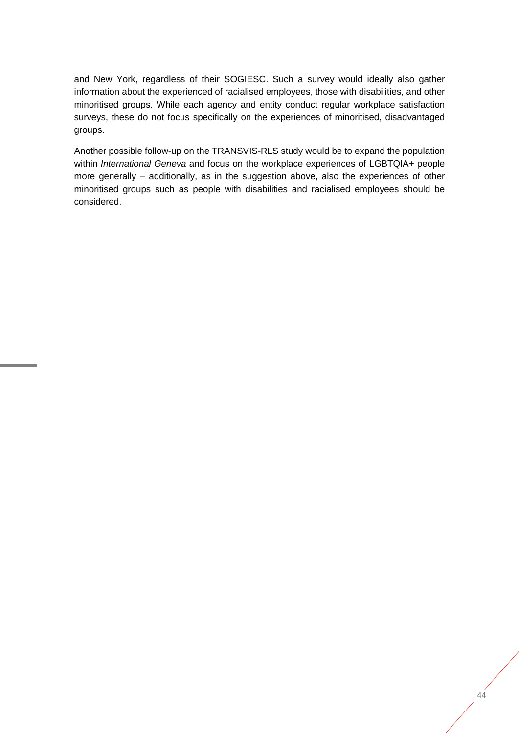and New York, regardless of their SOGIESC. Such a survey would ideally also gather information about the experienced of racialised employees, those with disabilities, and other minoritised groups. While each agency and entity conduct regular workplace satisfaction surveys, these do not focus specifically on the experiences of minoritised, disadvantaged groups.

Another possible follow-up on the TRANSVIS-RLS study would be to expand the population within *International Geneva* and focus on the workplace experiences of LGBTQIA+ people more generally – additionally, as in the suggestion above, also the experiences of other minoritised groups such as people with disabilities and racialised employees should be considered.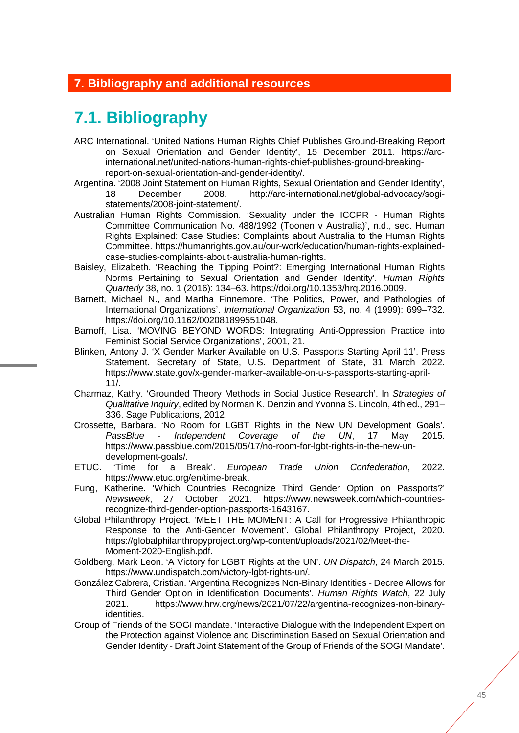## <span id="page-58-0"></span>**7. Bibliography and additional resources**

## <span id="page-58-1"></span>**7.1. Bibliography**

- ARC International. 'United Nations Human Rights Chief Publishes Ground-Breaking Report on Sexual Orientation and Gender Identity', 15 December 2011. https://arcinternational.net/united-nations-human-rights-chief-publishes-ground-breakingreport-on-sexual-orientation-and-gender-identity/.
- Argentina. '2008 Joint Statement on Human Rights, Sexual Orientation and Gender Identity', 18 December 2008. http://arc-international.net/global-advocacy/sogistatements/2008-joint-statement/.
- Australian Human Rights Commission. 'Sexuality under the ICCPR Human Rights Committee Communication No. 488/1992 (Toonen v Australia)', n.d., sec. Human Rights Explained: Case Studies: Complaints about Australia to the Human Rights Committee. https://humanrights.gov.au/our-work/education/human-rights-explainedcase-studies-complaints-about-australia-human-rights.
- Baisley, Elizabeth. 'Reaching the Tipping Point?: Emerging International Human Rights Norms Pertaining to Sexual Orientation and Gender Identity'. *Human Rights Quarterly* 38, no. 1 (2016): 134–63. https://doi.org/10.1353/hrq.2016.0009.
- Barnett, Michael N., and Martha Finnemore. 'The Politics, Power, and Pathologies of International Organizations'. *International Organization* 53, no. 4 (1999): 699–732. https://doi.org/10.1162/002081899551048.
- Barnoff, Lisa. 'MOVING BEYOND WORDS: Integrating Anti-Oppression Practice into Feminist Social Service Organizations', 2001, 21.
- Blinken, Antony J. 'X Gender Marker Available on U.S. Passports Starting April 11'. Press Statement. Secretary of State, U.S. Department of State, 31 March 2022. https://www.state.gov/x-gender-marker-available-on-u-s-passports-starting-april-11/.
- Charmaz, Kathy. 'Grounded Theory Methods in Social Justice Research'. In *Strategies of Qualitative Inquiry*, edited by Norman K. Denzin and Yvonna S. Lincoln, 4th ed., 291– 336. Sage Publications, 2012.
- Crossette, Barbara. 'No Room for LGBT Rights in the New UN Development Goals'. *PassBlue - Independent Coverage of the UN*, 17 May 2015. https://www.passblue.com/2015/05/17/no-room-for-lgbt-rights-in-the-new-undevelopment-goals/.
- ETUC. 'Time for a Break'. *European Trade Union Confederation*, 2022. https://www.etuc.org/en/time-break.
- Fung, Katherine. 'Which Countries Recognize Third Gender Option on Passports?' *Newsweek*, 27 October 2021. https://www.newsweek.com/which-countriesrecognize-third-gender-option-passports-1643167.
- Global Philanthropy Project. 'MEET THE MOMENT: A Call for Progressive Philanthropic Response to the Anti-Gender Movement'. Global Philanthropy Project, 2020. https://globalphilanthropyproject.org/wp-content/uploads/2021/02/Meet-the-Moment-2020-English.pdf.
- Goldberg, Mark Leon. 'A Victory for LGBT Rights at the UN'. *UN Dispatch*, 24 March 2015. https://www.undispatch.com/victory-lgbt-rights-un/.
- González Cabrera, Cristian. 'Argentina Recognizes Non-Binary Identities Decree Allows for Third Gender Option in Identification Documents'. *Human Rights Watch*, 22 July 2021. https://www.hrw.org/news/2021/07/22/argentina-recognizes-non-binaryidentities.
- Group of Friends of the SOGI mandate. 'Interactive Dialogue with the Independent Expert on the Protection against Violence and Discrimination Based on Sexual Orientation and Gender Identity - Draft Joint Statement of the Group of Friends of the SOGI Mandate'.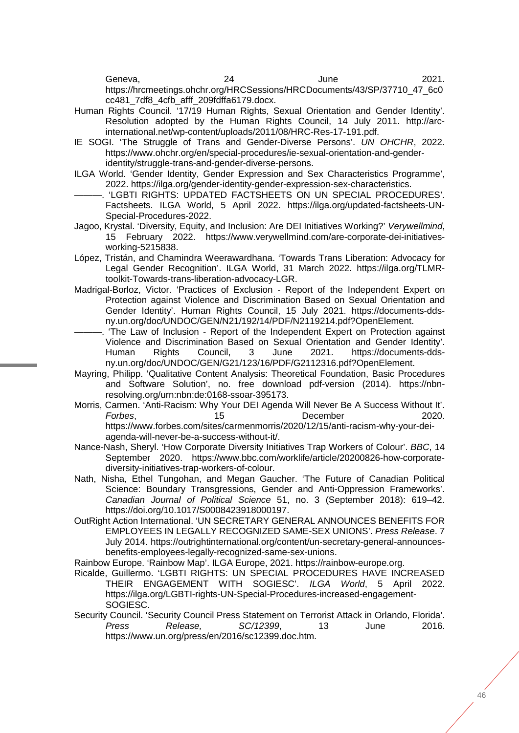Geneva, 24 June 2021. https://hrcmeetings.ohchr.org/HRCSessions/HRCDocuments/43/SP/37710\_47\_6c0 cc481\_7df8\_4cfb\_afff\_209fdffa6179.docx.

- Human Rights Council. '17/19 Human Rights, Sexual Orientation and Gender Identity'. Resolution adopted by the Human Rights Council, 14 July 2011. http://arcinternational.net/wp-content/uploads/2011/08/HRC-Res-17-191.pdf.
- IE SOGI. 'The Struggle of Trans and Gender-Diverse Persons'. *UN OHCHR*, 2022. https://www.ohchr.org/en/special-procedures/ie-sexual-orientation-and-genderidentity/struggle-trans-and-gender-diverse-persons.
- ILGA World. 'Gender Identity, Gender Expression and Sex Characteristics Programme', 2022. https://ilga.org/gender-identity-gender-expression-sex-characteristics.
	- ———. 'LGBTI RIGHTS: UPDATED FACTSHEETS ON UN SPECIAL PROCEDURES'. Factsheets. ILGA World, 5 April 2022. https://ilga.org/updated-factsheets-UN-Special-Procedures-2022.
- Jagoo, Krystal. 'Diversity, Equity, and Inclusion: Are DEI Initiatives Working?' *Verywellmind*, 15 February 2022. https://www.verywellmind.com/are-corporate-dei-initiativesworking-5215838.
- López, Tristán, and Chamindra Weerawardhana. 'Towards Trans Liberation: Advocacy for Legal Gender Recognition'. ILGA World, 31 March 2022. https://ilga.org/TLMRtoolkit-Towards-trans-liberation-advocacy-LGR.
- Madrigal-Borloz, Victor. 'Practices of Exclusion Report of the Independent Expert on Protection against Violence and Discrimination Based on Sexual Orientation and Gender Identity'. Human Rights Council, 15 July 2021. https://documents-ddsny.un.org/doc/UNDOC/GEN/N21/192/14/PDF/N2119214.pdf?OpenElement.
- . 'The Law of Inclusion Report of the Independent Expert on Protection against Violence and Discrimination Based on Sexual Orientation and Gender Identity'.<br>Human Rights Council, 3 June 2021. https://documents-dds-Rights Council, 3 June 2021. https://documents-ddsny.un.org/doc/UNDOC/GEN/G21/123/16/PDF/G2112316.pdf?OpenElement.
- Mayring, Philipp. 'Qualitative Content Analysis: Theoretical Foundation, Basic Procedures and Software Solution', no. free download pdf-version (2014). https://nbnresolving.org/urn:nbn:de:0168-ssoar-395173.
- Morris, Carmen. 'Anti-Racism: Why Your DEI Agenda Will Never Be A Success Without It'. *Forbes*, 15 December 2020. https://www.forbes.com/sites/carmenmorris/2020/12/15/anti-racism-why-your-deiagenda-will-never-be-a-success-without-it/.
- Nance-Nash, Sheryl. 'How Corporate Diversity Initiatives Trap Workers of Colour'. *BBC*, 14 September 2020. https://www.bbc.com/worklife/article/20200826-how-corporatediversity-initiatives-trap-workers-of-colour.
- Nath, Nisha, Ethel Tungohan, and Megan Gaucher. 'The Future of Canadian Political Science: Boundary Transgressions, Gender and Anti-Oppression Frameworks'. *Canadian Journal of Political Science* 51, no. 3 (September 2018): 619–42. https://doi.org/10.1017/S0008423918000197.
- OutRight Action International. 'UN SECRETARY GENERAL ANNOUNCES BENEFITS FOR EMPLOYEES IN LEGALLY RECOGNIZED SAME-SEX UNIONS'. *Press Release*. 7 July 2014. https://outrightinternational.org/content/un-secretary-general-announcesbenefits-employees-legally-recognized-same-sex-unions.

Rainbow Europe. 'Rainbow Map'. ILGA Europe, 2021. https://rainbow-europe.org.

- Ricalde, Guillermo. 'LGBTI RIGHTS: UN SPECIAL PROCEDURES HAVE INCREASED THEIR ENGAGEMENT WITH SOGIESC'. *ILGA World*, 5 April 2022. https://ilga.org/LGBTI-rights-UN-Special-Procedures-increased-engagement-SOGIESC.
- Security Council. 'Security Council Press Statement on Terrorist Attack in Orlando, Florida'. *Press Release.* SC/12399, 13 June https://www.un.org/press/en/2016/sc12399.doc.htm.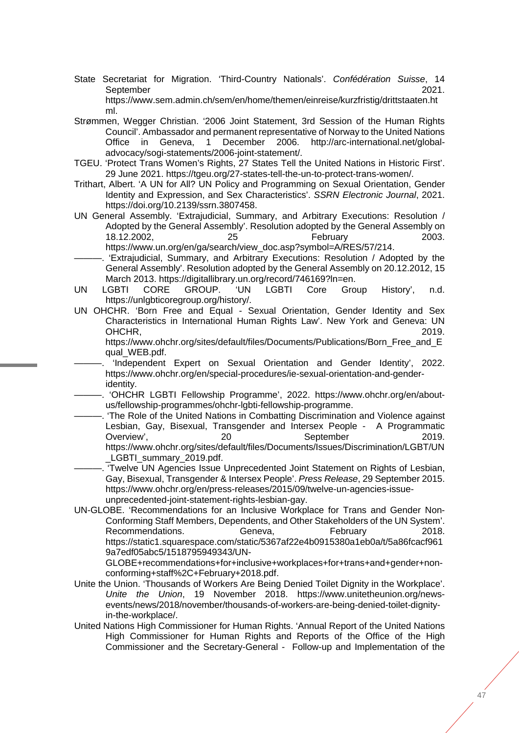State Secretariat for Migration. 'Third-Country Nationals'. *Confédération Suisse*, 14 September 2021.

https://www.sem.admin.ch/sem/en/home/themen/einreise/kurzfristig/drittstaaten.ht ml.

- Strømmen, Wegger Christian. '2006 Joint Statement, 3rd Session of the Human Rights Council'. Ambassador and permanent representative of Norway to the United Nations Office in Geneva, 1 December 2006. http://arc-international.net/globaladvocacy/sogi-statements/2006-joint-statement/.
- TGEU. 'Protect Trans Women's Rights, 27 States Tell the United Nations in Historic First'. 29 June 2021. https://tgeu.org/27-states-tell-the-un-to-protect-trans-women/.
- Trithart, Albert. 'A UN for All? UN Policy and Programming on Sexual Orientation, Gender Identity and Expression, and Sex Characteristics'. *SSRN Electronic Journal*, 2021. https://doi.org/10.2139/ssrn.3807458.
- UN General Assembly. 'Extrajudicial, Summary, and Arbitrary Executions: Resolution / Adopted by the General Assembly'. Resolution adopted by the General Assembly on 18.12.2002, 25 February 2003. https://www.un.org/en/ga/search/view\_doc.asp?symbol=A/RES/57/214.
- -. 'Extrajudicial, Summary, and Arbitrary Executions: Resolution / Adopted by the General Assembly'. Resolution adopted by the General Assembly on 20.12.2012, 15 March 2013. https://digitallibrary.un.org/record/746169?ln=en.
- UN LGBTI CORE GROUP. 'UN LGBTI Core Group History', n.d. https://unlgbticoregroup.org/history/.
- UN OHCHR. 'Born Free and Equal Sexual Orientation, Gender Identity and Sex Characteristics in International Human Rights Law'. New York and Geneva: UN OHCHR, 2019.

https://www.ohchr.org/sites/default/files/Documents/Publications/Born\_Free\_and\_E qual\_WEB.pdf.

- 'Independent Expert on Sexual Orientation and Gender Identity', 2022. https://www.ohchr.org/en/special-procedures/ie-sexual-orientation-and-genderidentity.
- ———. 'OHCHR LGBTI Fellowship Programme', 2022. https://www.ohchr.org/en/aboutus/fellowship-programmes/ohchr-lgbti-fellowship-programme.
- . 'The Role of the United Nations in Combatting Discrimination and Violence against Lesbian, Gay, Bisexual, Transgender and Intersex People - A Programmatic Overview', 20 20 September 2019. https://www.ohchr.org/sites/default/files/Documents/Issues/Discrimination/LGBT/UN \_LGBTI\_summary\_2019.pdf.
- . 'Twelve UN Agencies Issue Unprecedented Joint Statement on Rights of Lesbian, Gay, Bisexual, Transgender & Intersex People'. *Press Release*, 29 September 2015. https://www.ohchr.org/en/press-releases/2015/09/twelve-un-agencies-issueunprecedented-joint-statement-rights-lesbian-gay.
- UN-GLOBE. 'Recommendations for an Inclusive Workplace for Trans and Gender Non-Conforming Staff Members, Dependents, and Other Stakeholders of the UN System'. Recommendations. **Geneva, Recommendations.** Geneva, Recommendations. https://static1.squarespace.com/static/5367af22e4b0915380a1eb0a/t/5a86fcacf961 9a7edf05abc5/1518795949343/UN-

GLOBE+recommendations+for+inclusive+workplaces+for+trans+and+gender+nonconforming+staff%2C+February+2018.pdf.

- Unite the Union. 'Thousands of Workers Are Being Denied Toilet Dignity in the Workplace'. *Unite the Union*, 19 November 2018. https://www.unitetheunion.org/newsevents/news/2018/november/thousands-of-workers-are-being-denied-toilet-dignityin-the-workplace/.
- United Nations High Commissioner for Human Rights. 'Annual Report of the United Nations High Commissioner for Human Rights and Reports of the Office of the High Commissioner and the Secretary-General - Follow-up and Implementation of the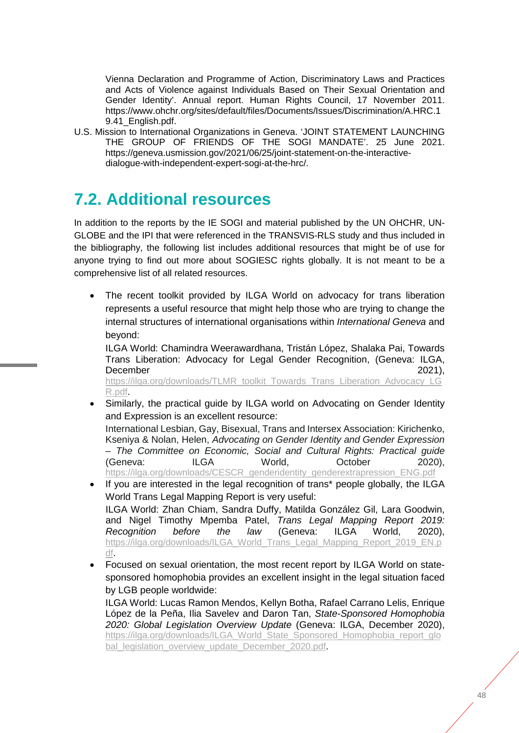Vienna Declaration and Programme of Action, Discriminatory Laws and Practices and Acts of Violence against Individuals Based on Their Sexual Orientation and Gender Identity'. Annual report. Human Rights Council, 17 November 2011. https://www.ohchr.org/sites/default/files/Documents/Issues/Discrimination/A.HRC.1 9.41 English.pdf.

U.S. Mission to International Organizations in Geneva. 'JOINT STATEMENT LAUNCHING THE GROUP OF FRIENDS OF THE SOGI MANDATE'. 25 June 2021. https://geneva.usmission.gov/2021/06/25/joint-statement-on-the-interactivedialogue-with-independent-expert-sogi-at-the-hrc/.

## <span id="page-61-0"></span>**7.2. Additional resources**

In addition to the reports by the IE SOGI and material published by the UN OHCHR, UN-GLOBE and the IPI that were referenced in the TRANSVIS-RLS study and thus included in the bibliography, the following list includes additional resources that might be of use for anyone trying to find out more about SOGIESC rights globally. It is not meant to be a comprehensive list of all related resources.

The recent toolkit provided by ILGA World on advocacy for trans liberation represents a useful resource that might help those who are trying to change the internal structures of international organisations within *International Geneva* and beyond:

ILGA World: Chamindra Weerawardhana, Tristán López, Shalaka Pai, Towards Trans Liberation: Advocacy for Legal Gender Recognition, (Geneva: ILGA, December 2021), [https://ilga.org/downloads/TLMR\\_toolkit\\_Towards\\_Trans\\_Liberation\\_Advocacy\\_LG](https://ilga.org/downloads/TLMR_toolkit_Towards_Trans_Liberation_Advocacy_LGR.pdf)

[R.pdf.](https://ilga.org/downloads/TLMR_toolkit_Towards_Trans_Liberation_Advocacy_LGR.pdf)

• Similarly, the practical guide by ILGA world on Advocating on Gender Identity and Expression is an excellent resource:

International Lesbian, Gay, Bisexual, Trans and Intersex Association: Kirichenko, Kseniya & Nolan, Helen, *Advocating on Gender Identity and Gender Expression – The Committee on Economic, Social and Cultural Rights: Practical guide*  (Geneva: ILGA World, October 2020), [https://ilga.org/downloads/CESCR\\_genderidentity\\_genderextrapression\\_ENG.pdf](https://ilga.org/downloads/CESCR_genderidentity_genderextrapression_ENG.pdf)

- If you are interested in the legal recognition of trans\* people globally, the ILGA World Trans Legal Mapping Report is very useful: ILGA World: Zhan Chiam, Sandra Duffy, Matilda González Gil, Lara Goodwin, and Nigel Timothy Mpemba Patel, *Trans Legal Mapping Report 2019: Recognition before the law* (Geneva: ILGA World, 2020), [https://ilga.org/downloads/ILGA\\_World\\_Trans\\_Legal\\_Mapping\\_Report\\_2019\\_EN.p](https://ilga.org/downloads/ILGA_World_Trans_Legal_Mapping_Report_2019_EN.pdf) [df.](https://ilga.org/downloads/ILGA_World_Trans_Legal_Mapping_Report_2019_EN.pdf)
- Focused on sexual orientation, the most recent report by ILGA World on statesponsored homophobia provides an excellent insight in the legal situation faced by LGB people worldwide:

ILGA World: Lucas Ramon Mendos, Kellyn Botha, Rafael Carrano Lelis, Enrique López de la Peña, Ilia Savelev and Daron Tan, *State-Sponsored Homophobia 2020: Global Legislation Overview Update* (Geneva: ILGA, December 2020), [https://ilga.org/downloads/ILGA\\_World\\_State\\_Sponsored\\_Homophobia\\_report\\_glo](https://ilga.org/downloads/ILGA_World_State_Sponsored_Homophobia_report_global_legislation_overview_update_December_2020.pdf) [bal\\_legislation\\_overview\\_update\\_December\\_2020.pdf.](https://ilga.org/downloads/ILGA_World_State_Sponsored_Homophobia_report_global_legislation_overview_update_December_2020.pdf)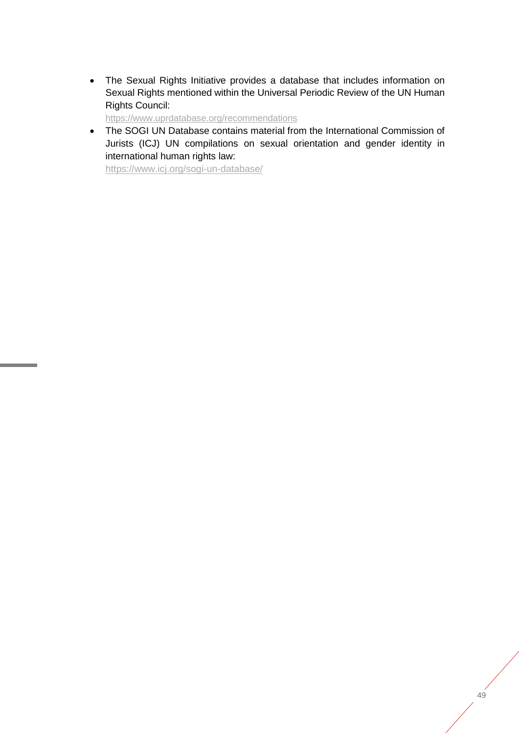• The Sexual Rights Initiative provides a database that includes information on Sexual Rights mentioned within the Universal Periodic Review of the UN Human Rights Council:

<https://www.uprdatabase.org/recommendations>

• The SOGI UN Database contains material from the International Commission of Jurists (ICJ) UN compilations on sexual orientation and gender identity in international human rights law:

<https://www.icj.org/sogi-un-database/>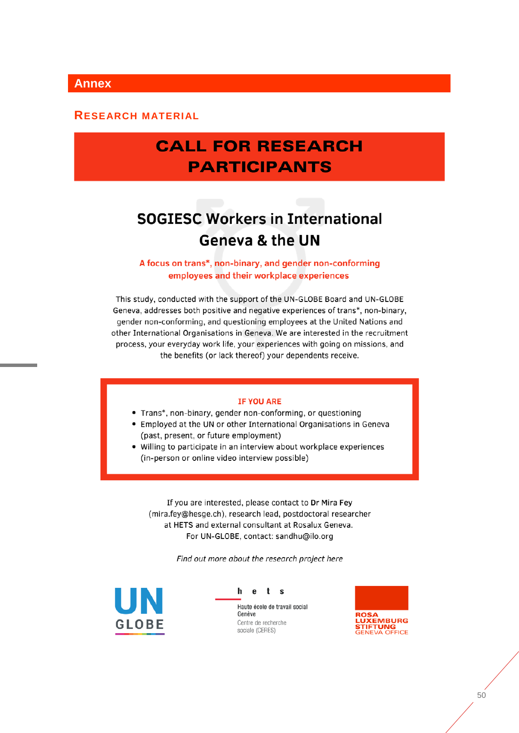## <span id="page-63-0"></span>**Annex**

#### <span id="page-63-1"></span>**RESEARCH MATERIAL**

## **CALL FOR RESEARCH PARTICIPANTS**

# **SOGIESC Workers in International Geneva & the UN**

A focus on trans\*, non-binary, and gender non-conforming employees and their workplace experiences

This study, conducted with the support of the UN-GLOBE Board and UN-GLOBE Geneva, addresses both positive and negative experiences of trans\*, non-binary, gender non-conforming, and questioning employees at the United Nations and other International Organisations in Geneva. We are interested in the recruitment process, your everyday work life, your experiences with going on missions, and the benefits (or lack thereof) your dependents receive.

#### **IF YOU ARE**

- Trans\*, non-binary, gender non-conforming, or questioning
- Employed at the UN or other International Organisations in Geneva (past, present, or future employment)
- Willing to participate in an interview about workplace experiences (in-person or online video interview possible)

If you are interested, please contact to Dr Mira Fey (mira.fey@hesge.ch), research lead, postdoctoral researcher at HETS and external consultant at Rosalux Geneva. For UN-GLOBE, contact: sandhu@ilo.org

Find out more about the research project here



t s h e

Haute école de travail social Genève Centre de recherche sociale (CERES)

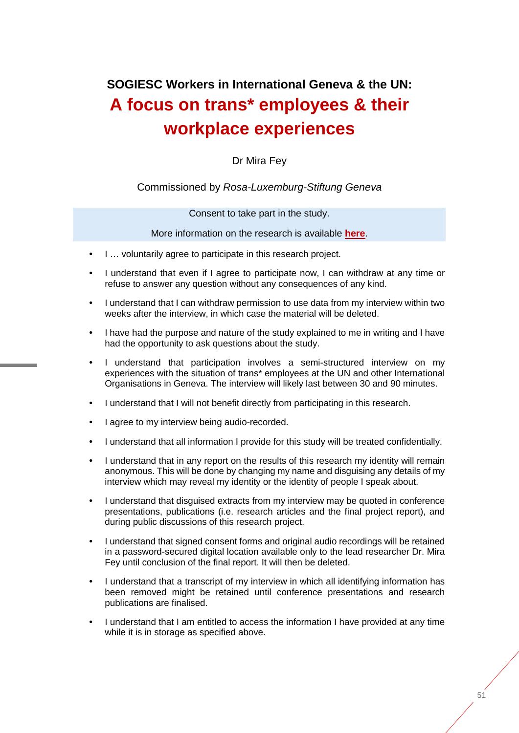# **SOGIESC Workers in International Geneva & the UN: A focus on trans\* employees & their workplace experiences**

Dr Mira Fey

#### Commissioned by *Rosa-Luxemburg-Stiftung Geneva*

Consent to take part in the study.

More information on the research is available **[here](https://transvis.net/conditions-of-lgbtqia-employees/)**.

- I … voluntarily agree to participate in this research project.
- I understand that even if I agree to participate now, I can withdraw at any time or refuse to answer any question without any consequences of any kind.
- I understand that I can withdraw permission to use data from my interview within two weeks after the interview, in which case the material will be deleted.
- I have had the purpose and nature of the study explained to me in writing and I have had the opportunity to ask questions about the study.
- I understand that participation involves a semi-structured interview on my experiences with the situation of trans\* employees at the UN and other International Organisations in Geneva. The interview will likely last between 30 and 90 minutes.
- I understand that I will not benefit directly from participating in this research.
- I agree to my interview being audio-recorded.
- I understand that all information I provide for this study will be treated confidentially.
- I understand that in any report on the results of this research my identity will remain anonymous. This will be done by changing my name and disguising any details of my interview which may reveal my identity or the identity of people I speak about.
- I understand that disguised extracts from my interview may be quoted in conference presentations, publications (i.e. research articles and the final project report), and during public discussions of this research project.
- I understand that signed consent forms and original audio recordings will be retained in a password-secured digital location available only to the lead researcher Dr. Mira Fey until conclusion of the final report. It will then be deleted.
- I understand that a transcript of my interview in which all identifying information has been removed might be retained until conference presentations and research publications are finalised.
- I understand that I am entitled to access the information I have provided at any time while it is in storage as specified above.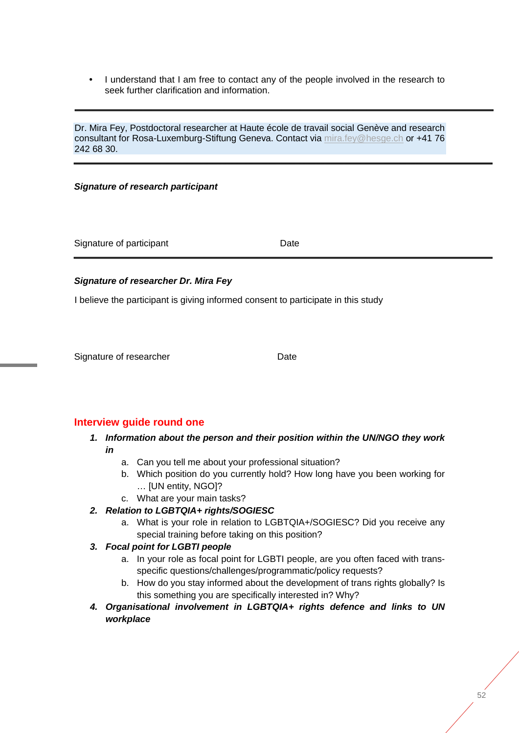• I understand that I am free to contact any of the people involved in the research to seek further clarification and information.

Dr. Mira Fey, Postdoctoral researcher at Haute école de travail social Genève and research consultant for Rosa-Luxemburg-Stiftung Geneva. Contact via [mira.fey@hesge.ch](mailto:mira.fey@hesge.ch) or +41 76 242 68 30.

#### *Signature of research participant*

Signature of participant Date Date

#### *Signature of researcher Dr. Mira Fey*

I believe the participant is giving informed consent to participate in this study

Signature of researcher **Date** 

### **Interview guide round one**

- *1. Information about the person and their position within the UN/NGO they work in*
	- a. Can you tell me about your professional situation?
	- b. Which position do you currently hold? How long have you been working for … [UN entity, NGO]?
	- c. What are your main tasks?
- *2. Relation to LGBTQIA+ rights/SOGIESC*
	- a. What is your role in relation to LGBTQIA+/SOGIESC? Did you receive any special training before taking on this position?

#### *3. Focal point for LGBTI people*

- a. In your role as focal point for LGBTI people, are you often faced with transspecific questions/challenges/programmatic/policy requests?
- b. How do you stay informed about the development of trans rights globally? Is this something you are specifically interested in? Why?
- *4. Organisational involvement in LGBTQIA+ rights defence and links to UN workplace*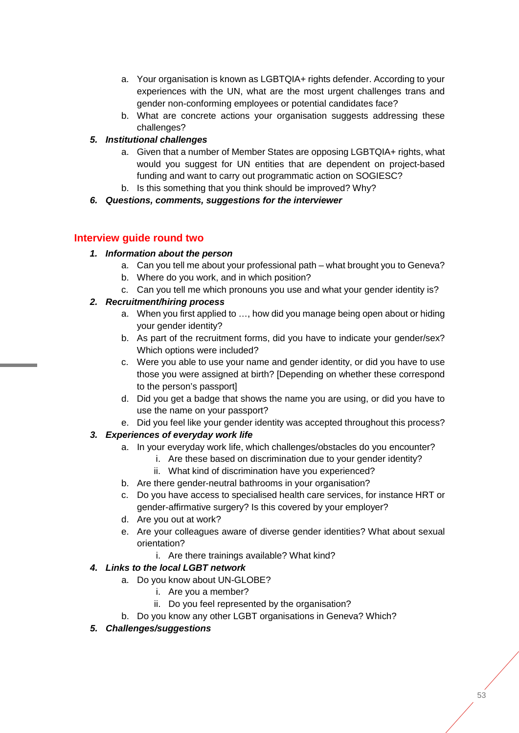- a. Your organisation is known as LGBTQIA+ rights defender. According to your experiences with the UN, what are the most urgent challenges trans and gender non-conforming employees or potential candidates face?
- b. What are concrete actions your organisation suggests addressing these challenges?

#### *5. Institutional challenges*

- a. Given that a number of Member States are opposing LGBTQIA+ rights, what would you suggest for UN entities that are dependent on project-based funding and want to carry out programmatic action on SOGIESC?
- b. Is this something that you think should be improved? Why?

#### *6. Questions, comments, suggestions for the interviewer*

#### **Interview guide round two**

#### *1. Information about the person*

- a. Can you tell me about your professional path what brought you to Geneva?
- b. Where do you work, and in which position?
- c. Can you tell me which pronouns you use and what your gender identity is?

### *2. Recruitment/hiring process*

- a. When you first applied to …, how did you manage being open about or hiding your gender identity?
- b. As part of the recruitment forms, did you have to indicate your gender/sex? Which options were included?
- c. Were you able to use your name and gender identity, or did you have to use those you were assigned at birth? [Depending on whether these correspond to the person's passport]
- d. Did you get a badge that shows the name you are using, or did you have to use the name on your passport?
- e. Did you feel like your gender identity was accepted throughout this process?

#### *3. Experiences of everyday work life*

- a. In your everyday work life, which challenges/obstacles do you encounter?
	- i. Are these based on discrimination due to your gender identity?
	- ii. What kind of discrimination have you experienced?
- b. Are there gender-neutral bathrooms in your organisation?
- c. Do you have access to specialised health care services, for instance HRT or gender-affirmative surgery? Is this covered by your employer?
- d. Are you out at work?
- e. Are your colleagues aware of diverse gender identities? What about sexual orientation?
	- i. Are there trainings available? What kind?

### *4. Links to the local LGBT network*

- a. Do you know about UN-GLOBE?
	- i. Are you a member?
	- ii. Do you feel represented by the organisation?
- b. Do you know any other LGBT organisations in Geneva? Which?
- *5. Challenges/suggestions*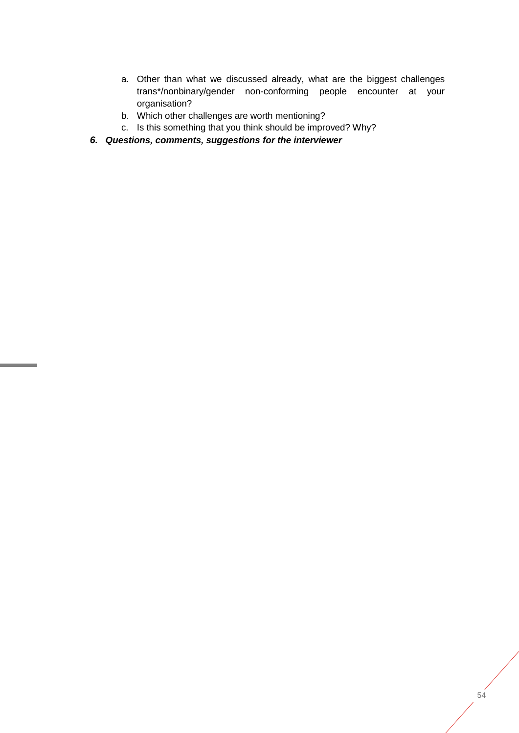- a. Other than what we discussed already, what are the biggest challenges trans\*/nonbinary/gender non-conforming people encounter at your organisation?
- b. Which other challenges are worth mentioning?
- c. Is this something that you think should be improved? Why?
- *6. Questions, comments, suggestions for the interviewer*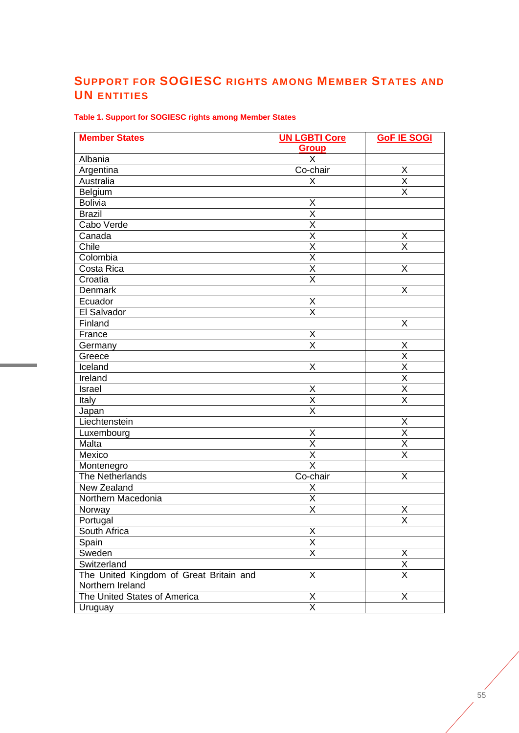## <span id="page-68-0"></span>**SUPPORT FOR SOGIESC RIGHTS AMONG MEMBER STATES AND UN ENTITIES**

## **Table 1. Support for SOGIESC rights among Member States**

| <b>Member States</b>                    | <b>UN LGBTI Core</b>             | <b>GoF IE SOGI</b>      |
|-----------------------------------------|----------------------------------|-------------------------|
|                                         | Group<br>$\overline{\mathsf{x}}$ |                         |
| Albania                                 |                                  |                         |
| Argentina                               | Co-chair                         | X                       |
| Australia                               | X                                | $\overline{\mathsf{x}}$ |
| Belgium                                 |                                  | $\overline{\mathsf{x}}$ |
| <b>Bolivia</b>                          | Χ                                |                         |
| <b>Brazil</b>                           | $\overline{\mathsf{x}}$          |                         |
| Cabo Verde                              | $\overline{\mathsf{x}}$          |                         |
| Canada                                  | $\overline{\mathsf{x}}$          | X                       |
| Chile                                   | $\overline{\mathsf{x}}$          | $\overline{\mathsf{x}}$ |
| Colombia                                | $\overline{\mathsf{x}}$          |                         |
| Costa Rica                              | $\overline{\mathsf{x}}$          | $\overline{\mathsf{X}}$ |
| Croatia                                 | $\overline{\mathsf{x}}$          |                         |
| Denmark                                 |                                  | X                       |
| Ecuador                                 | X                                |                         |
| El Salvador                             | $\overline{\mathsf{x}}$          |                         |
| Finland                                 |                                  | $\overline{X}$          |
| France                                  | X                                |                         |
| Germany                                 | X                                | Χ                       |
| Greece                                  |                                  | $\overline{\mathsf{x}}$ |
| Iceland                                 | X                                | $\overline{X}$          |
| <b>Treland</b>                          |                                  | $\overline{\mathsf{X}}$ |
| Israel                                  | X                                | $\overline{\mathsf{x}}$ |
| Italy                                   | $\overline{\mathsf{x}}$          | $\overline{\mathsf{x}}$ |
| Japan                                   | $\overline{\mathsf{x}}$          |                         |
| Liechtenstein                           |                                  | X                       |
| Luxembourg                              | X                                | $\overline{\mathsf{x}}$ |
| Malta                                   | $\overline{\mathsf{x}}$          | $\overline{\mathsf{x}}$ |
| Mexico                                  | $\overline{\mathsf{x}}$          | X                       |
| Montenegro                              | $\overline{\mathsf{x}}$          |                         |
| The Netherlands                         | Co-chair                         | $\overline{\mathsf{x}}$ |
| New Zealand                             | Χ                                |                         |
| Northern Macedonia                      | $\overline{\mathsf{x}}$          |                         |
| Norway                                  | $\overline{\mathsf{x}}$          | X                       |
| Portugal                                |                                  | $\overline{\mathsf{x}}$ |
| South Africa                            | Χ                                |                         |
| Spain                                   | $\overline{\mathsf{X}}$          |                         |
| Sweden                                  | $\overline{\mathsf{x}}$          | X                       |
| Switzerland                             |                                  | $\overline{\mathsf{x}}$ |
| The United Kingdom of Great Britain and | X                                | $\overline{\mathsf{x}}$ |
| Northern Ireland                        |                                  |                         |
| The United States of America            | X                                | X                       |
| Uruguay                                 | Χ                                |                         |